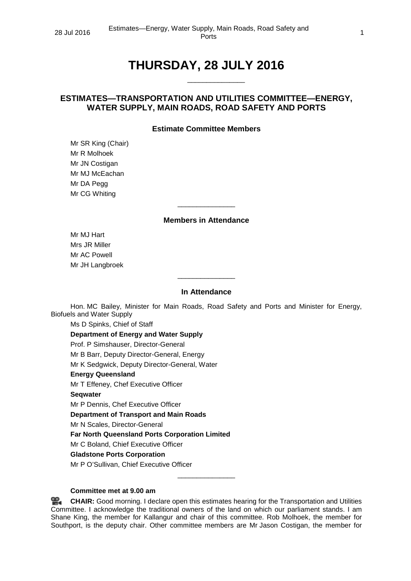# **THURSDAY, 28 JULY 2016**

\_\_\_\_\_\_\_\_\_\_\_\_\_\_\_

## **ESTIMATES—TRANSPORTATION AND UTILITIES COMMITTEE—ENERGY, WATER SUPPLY, MAIN ROADS, ROAD SAFETY AND PORTS**

#### **Estimate Committee Members**

Mr SR King (Chair) Mr R Molhoek Mr JN Costigan Mr MJ McEachan Mr DA Pegg Mr CG Whiting

#### **Members in Attendance**

\_\_\_\_\_\_\_\_\_\_\_\_\_\_\_

Mr MJ Hart Mrs JR Miller Mr AC Powell Mr JH Langbroek

#### **In Attendance**

 $\overline{\phantom{a}}$  , where the contract of the contract of  $\overline{\phantom{a}}$ 

Hon. MC Bailey, Minister for Main Roads, Road Safety and Ports and Minister for Energy, Biofuels and Water Supply

Ms D Spinks, Chief of Staff **Department of Energy and Water Supply** Prof. P Simshauser, Director-General Mr B Barr, Deputy Director-General, Energy Mr K Sedgwick, Deputy Director-General, Water **Energy Queensland** Mr T Effeney, Chef Executive Officer **Seqwater** Mr P Dennis, Chef Executive Officer **Department of Transport and Main Roads** Mr N Scales, Director-General **Far North Queensland Ports Corporation Limited** Mr C Boland, Chief Executive Officer

### **Gladstone Ports Corporation**

Mr P O'Sullivan, Chief Executive Officer

#### **Committee met at 9.00 am**

**[CHAIR:](http://www.parliament.qld.gov.au/docs/find.aspx?id=0Mba20160728_085950)** Good morning. I declare open this estimates hearing for the Transportation and Utilities Committee. I acknowledge the traditional owners of the land on which our parliament stands. I am Shane King, the member for Kallangur and chair of this committee. Rob Molhoek, the member for Southport, is the deputy chair. Other committee members are Mr Jason Costigan, the member for

\_\_\_\_\_\_\_\_\_\_\_\_\_\_\_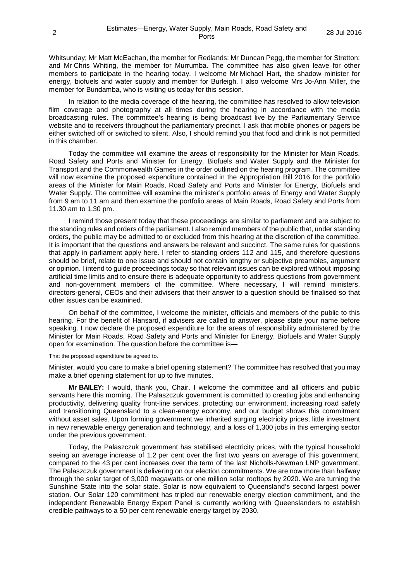Whitsunday; Mr Matt McEachan, the member for Redlands; Mr Duncan Pegg, the member for Stretton; and Mr Chris Whiting, the member for Murrumba. The committee has also given leave for other members to participate in the hearing today. I welcome Mr Michael Hart, the shadow minister for energy, biofuels and water supply and member for Burleigh. I also welcome Mrs Jo-Ann Miller, the member for Bundamba, who is visiting us today for this session.

In relation to the media coverage of the hearing, the committee has resolved to allow television film coverage and photography at all times during the hearing in accordance with the media broadcasting rules. The committee's hearing is being broadcast live by the Parliamentary Service website and to receivers throughout the parliamentary precinct. I ask that mobile phones or pagers be either switched off or switched to silent. Also, I should remind you that food and drink is not permitted in this chamber.

Today the committee will examine the areas of responsibility for the Minister for Main Roads, Road Safety and Ports and Minister for Energy, Biofuels and Water Supply and the Minister for Transport and the Commonwealth Games in the order outlined on the hearing program. The committee will now examine the proposed expenditure contained in the Appropriation Bill 2016 for the portfolio areas of the Minister for Main Roads, Road Safety and Ports and Minister for Energy, Biofuels and Water Supply. The committee will examine the minister's portfolio areas of Energy and Water Supply from 9 am to 11 am and then examine the portfolio areas of Main Roads, Road Safety and Ports from 11.30 am to 1.30 pm.

I remind those present today that these proceedings are similar to parliament and are subject to the standing rules and orders of the parliament. I also remind members of the public that, under standing orders, the public may be admitted to or excluded from this hearing at the discretion of the committee. It is important that the questions and answers be relevant and succinct. The same rules for questions that apply in parliament apply here. I refer to standing orders 112 and 115, and therefore questions should be brief, relate to one issue and should not contain lengthy or subjective preambles, argument or opinion. I intend to guide proceedings today so that relevant issues can be explored without imposing artificial time limits and to ensure there is adequate opportunity to address questions from government and non-government members of the committee. Where necessary, I will remind ministers, directors-general, CEOs and their advisers that their answer to a question should be finalised so that other issues can be examined.

On behalf of the committee, I welcome the minister, officials and members of the public to this hearing. For the benefit of Hansard, if advisers are called to answer, please state your name before speaking. I now declare the proposed expenditure for the areas of responsibility administered by the Minister for Main Roads, Road Safety and Ports and Minister for Energy, Biofuels and Water Supply open for examination. The question before the committee is—

#### That the proposed expenditure be agreed to.

Minister, would you care to make a brief opening statement? The committee has resolved that you may make a brief opening statement for up to five minutes.

**Mr BAILEY:** I would, thank you, Chair. I welcome the committee and all officers and public servants here this morning. The Palaszczuk government is committed to creating jobs and enhancing productivity, delivering quality front-line services, protecting our environment, increasing road safety and transitioning Queensland to a clean-energy economy, and our budget shows this commitment without asset sales. Upon forming government we inherited surging electricity prices, little investment in new renewable energy generation and technology, and a loss of 1,300 jobs in this emerging sector under the previous government.

Today, the Palaszczuk government has stabilised electricity prices, with the typical household seeing an average increase of 1.2 per cent over the first two years on average of this government, compared to the 43 per cent increases over the term of the last Nicholls-Newman LNP government. The Palaszczuk government is delivering on our election commitments. We are now more than halfway through the solar target of 3,000 megawatts or one million solar rooftops by 2020. We are turning the Sunshine State into the solar state. Solar is now equivalent to Queensland's second largest power station. Our Solar 120 commitment has tripled our renewable energy election commitment, and the independent Renewable Energy Expert Panel is currently working with Queenslanders to establish credible pathways to a 50 per cent renewable energy target by 2030.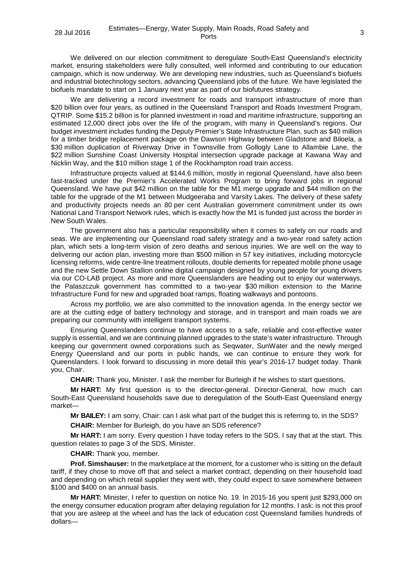We delivered on our election commitment to deregulate South-East Queensland's electricity market, ensuring stakeholders were fully consulted, well informed and contributing to our education campaign, which is now underway. We are developing new industries, such as Queensland's biofuels and industrial biotechnology sectors, advancing Queensland jobs of the future. We have legislated the biofuels mandate to start on 1 January next year as part of our biofutures strategy.

We are delivering a record investment for roads and transport infrastructure of more than \$20 billion over four years, as outlined in the Queensland Transport and Roads Investment Program, QTRIP. Some \$15.2 billion is for planned investment in road and maritime infrastructure, supporting an estimated 12,000 direct jobs over the life of the program, with many in Queensland's regions. Our budget investment includes funding the Deputy Premier's State Infrastructure Plan, such as \$40 million for a timber bridge replacement package on the Dawson Highway between Gladstone and Biloela, a \$30 million duplication of Riverway Drive in Townsville from Gollogly Lane to Allambie Lane, the \$22 million Sunshine Coast University Hospital intersection upgrade package at Kawana Way and Nicklin Way, and the \$10 million stage 1 of the Rockhampton road train access.

Infrastructure projects valued at \$144.6 million, mostly in regional Queensland, have also been fast-tracked under the Premier's Accelerated Works Program to bring forward jobs in regional Queensland. We have put \$42 million on the table for the M1 merge upgrade and \$44 million on the table for the upgrade of the M1 between Mudgeeraba and Varsity Lakes. The delivery of these safety and productivity projects needs an 80 per cent Australian government commitment under its own National Land Transport Network rules, which is exactly how the M1 is funded just across the border in New South Wales.

The government also has a particular responsibility when it comes to safety on our roads and seas. We are implementing our Queensland road safety strategy and a two-year road safety action plan, which sets a long-term vision of zero deaths and serious injuries. We are well on the way to delivering our action plan, investing more than \$500 million in 57 key initiatives, including motorcycle licensing reforms, wide centre-line treatment rollouts, double demerits for repeated mobile phone usage and the new Settle Down Stallion online digital campaign designed by young people for young drivers via our CO-LAB project. As more and more Queenslanders are heading out to enjoy our waterways, the Palaszczuk government has committed to a two-year \$30 million extension to the Marine Infrastructure Fund for new and upgraded boat ramps, floating walkways and pontoons.

Across my portfolio, we are also committed to the innovation agenda. In the energy sector we are at the cutting edge of battery technology and storage, and in transport and main roads we are preparing our community with intelligent transport systems.

Ensuring Queenslanders continue to have access to a safe, reliable and cost-effective water supply is essential, and we are continuing planned upgrades to the state's water infrastructure. Through keeping our government owned corporations such as Seqwater, SunWater and the newly merged Energy Queensland and our ports in public hands, we can continue to ensure they work for Queenslanders. I look forward to discussing in more detail this year's 2016-17 budget today. Thank you, Chair.

**CHAIR:** Thank you, Minister. I ask the member for Burleigh if he wishes to start questions.

**Mr HART:** My first question is to the director-general. Director-General, how much can South-East Queensland households save due to deregulation of the South-East Queensland energy market—

**Mr BAILEY:** I am sorry, Chair: can I ask what part of the budget this is referring to, in the SDS?

**CHAIR:** Member for Burleigh, do you have an SDS reference?

**Mr HART:** I am sorry. Every question I have today refers to the SDS. I say that at the start. This question relates to page 3 of the SDS, Minister.

**CHAIR:** Thank you, member.

**Prof. Simshauser:** In the marketplace at the moment, for a customer who is sitting on the default tariff, if they chose to move off that and select a market contract, depending on their household load and depending on which retail supplier they went with, they could expect to save somewhere between \$100 and \$400 on an annual basis.

**Mr HART:** Minister, I refer to question on notice No. 19. In 2015-16 you spent just \$293,000 on the energy consumer education program after delaying regulation for 12 months. I ask: is not this proof that you are asleep at the wheel and has the lack of education cost Queensland families hundreds of dollars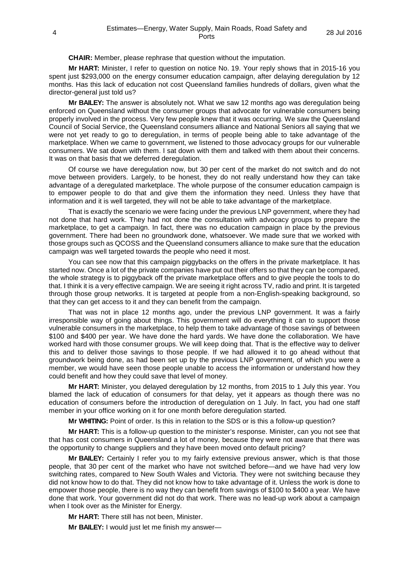**CHAIR:** Member, please rephrase that question without the imputation.

**Mr HART:** Minister, I refer to question on notice No. 19. Your reply shows that in 2015-16 you spent just \$293,000 on the energy consumer education campaign, after delaying deregulation by 12 months. Has this lack of education not cost Queensland families hundreds of dollars, given what the director-general just told us?

**Mr BAILEY:** The answer is absolutely not. What we saw 12 months ago was deregulation being enforced on Queensland without the consumer groups that advocate for vulnerable consumers being properly involved in the process. Very few people knew that it was occurring. We saw the Queensland Council of Social Service, the Queensland consumers alliance and National Seniors all saying that we were not yet ready to go to deregulation, in terms of people being able to take advantage of the marketplace. When we came to government, we listened to those advocacy groups for our vulnerable consumers. We sat down with them. I sat down with them and talked with them about their concerns. It was on that basis that we deferred deregulation.

Of course we have deregulation now, but 30 per cent of the market do not switch and do not move between providers. Largely, to be honest, they do not really understand how they can take advantage of a deregulated marketplace. The whole purpose of the consumer education campaign is to empower people to do that and give them the information they need. Unless they have that information and it is well targeted, they will not be able to take advantage of the marketplace.

That is exactly the scenario we were facing under the previous LNP government, where they had not done that hard work. They had not done the consultation with advocacy groups to prepare the marketplace, to get a campaign. In fact, there was no education campaign in place by the previous government. There had been no groundwork done, whatsoever. We made sure that we worked with those groups such as QCOSS and the Queensland consumers alliance to make sure that the education campaign was well targeted towards the people who need it most.

You can see now that this campaign piggybacks on the offers in the private marketplace. It has started now. Once a lot of the private companies have put out their offers so that they can be compared, the whole strategy is to piggyback off the private marketplace offers and to give people the tools to do that. I think it is a very effective campaign. We are seeing it right across TV, radio and print. It is targeted through those group networks. It is targeted at people from a non-English-speaking background, so that they can get access to it and they can benefit from the campaign.

That was not in place 12 months ago, under the previous LNP government. It was a fairly irresponsible way of going about things. This government will do everything it can to support those vulnerable consumers in the marketplace, to help them to take advantage of those savings of between \$100 and \$400 per year. We have done the hard yards. We have done the collaboration. We have worked hard with those consumer groups. We will keep doing that. That is the effective way to deliver this and to deliver those savings to those people. If we had allowed it to go ahead without that groundwork being done, as had been set up by the previous LNP government, of which you were a member, we would have seen those people unable to access the information or understand how they could benefit and how they could save that level of money.

**Mr HART:** Minister, you delayed deregulation by 12 months, from 2015 to 1 July this year. You blamed the lack of education of consumers for that delay, yet it appears as though there was no education of consumers before the introduction of deregulation on 1 July. In fact, you had one staff member in your office working on it for one month before deregulation started.

**Mr WHITING:** Point of order. Is this in relation to the SDS or is this a follow-up question?

**Mr HART:** This is a follow-up question to the minister's response. Minister, can you not see that that has cost consumers in Queensland a lot of money, because they were not aware that there was the opportunity to change suppliers and they have been moved onto default pricing?

**Mr BAILEY:** Certainly I refer you to my fairly extensive previous answer, which is that those people, that 30 per cent of the market who have not switched before—and we have had very low switching rates, compared to New South Wales and Victoria. They were not switching because they did not know how to do that. They did not know how to take advantage of it. Unless the work is done to empower those people, there is no way they can benefit from savings of \$100 to \$400 a year. We have done that work. Your government did not do that work. There was no lead-up work about a campaign when I took over as the Minister for Energy.

**Mr HART:** There still has not been, Minister.

**Mr BAILEY:** I would just let me finish my answer—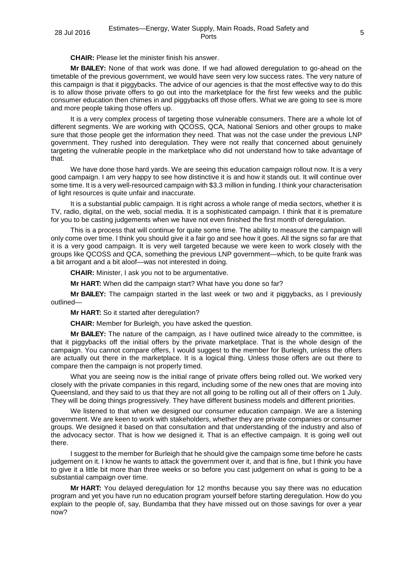**CHAIR:** Please let the minister finish his answer.

**Mr BAILEY:** None of that work was done. If we had allowed deregulation to go-ahead on the timetable of the previous government, we would have seen very low success rates. The very nature of this campaign is that it piggybacks. The advice of our agencies is that the most effective way to do this is to allow those private offers to go out into the marketplace for the first few weeks and the public consumer education then chimes in and piggybacks off those offers. What we are going to see is more and more people taking those offers up.

It is a very complex process of targeting those vulnerable consumers. There are a whole lot of different segments. We are working with QCOSS, QCA, National Seniors and other groups to make sure that those people get the information they need. That was not the case under the previous LNP government. They rushed into deregulation. They were not really that concerned about genuinely targeting the vulnerable people in the marketplace who did not understand how to take advantage of that.

We have done those hard yards. We are seeing this education campaign rollout now. It is a very good campaign. I am very happy to see how distinctive it is and how it stands out. It will continue over some time. It is a very well-resourced campaign with \$3.3 million in funding. I think your characterisation of light resources is quite unfair and inaccurate.

It is a substantial public campaign. It is right across a whole range of media sectors, whether it is TV, radio, digital, on the web, social media. It is a sophisticated campaign. I think that it is premature for you to be casting judgements when we have not even finished the first month of deregulation.

This is a process that will continue for quite some time. The ability to measure the campaign will only come over time. I think you should give it a fair go and see how it goes. All the signs so far are that it is a very good campaign. It is very well targeted because we were keen to work closely with the groups like QCOSS and QCA, something the previous LNP government—which, to be quite frank was a bit arrogant and a bit aloof—was not interested in doing.

**CHAIR:** Minister, I ask you not to be argumentative.

**Mr HART:** When did the campaign start? What have you done so far?

**Mr BAILEY:** The campaign started in the last week or two and it piggybacks, as I previously outlined—

**Mr HART:** So it started after deregulation?

**CHAIR:** Member for Burleigh, you have asked the question.

**Mr BAILEY:** The nature of the campaign, as I have outlined twice already to the committee, is that it piggybacks off the initial offers by the private marketplace. That is the whole design of the campaign. You cannot compare offers, I would suggest to the member for Burleigh, unless the offers are actually out there in the marketplace. It is a logical thing. Unless those offers are out there to compare then the campaign is not properly timed.

What you are seeing now is the initial range of private offers being rolled out. We worked very closely with the private companies in this regard, including some of the new ones that are moving into Queensland, and they said to us that they are not all going to be rolling out all of their offers on 1 July. They will be doing things progressively. They have different business models and different priorities.

We listened to that when we designed our consumer education campaign. We are a listening government. We are keen to work with stakeholders, whether they are private companies or consumer groups. We designed it based on that consultation and that understanding of the industry and also of the advocacy sector. That is how we designed it. That is an effective campaign. It is going well out there.

I suggest to the member for Burleigh that he should give the campaign some time before he casts judgement on it. I know he wants to attack the government over it, and that is fine, but I think you have to give it a little bit more than three weeks or so before you cast judgement on what is going to be a substantial campaign over time.

**Mr HART:** You delayed deregulation for 12 months because you say there was no education program and yet you have run no education program yourself before starting deregulation. How do you explain to the people of, say, Bundamba that they have missed out on those savings for over a year now?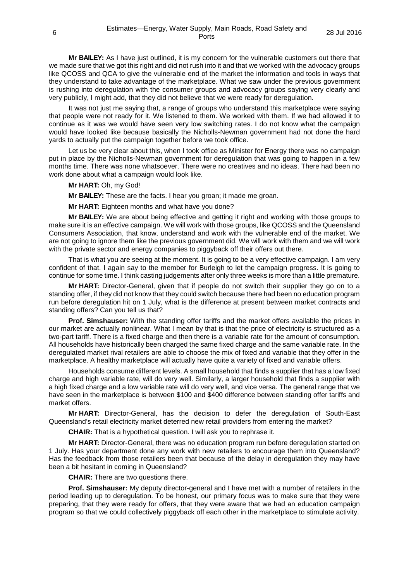**Mr BAILEY:** As I have just outlined, it is my concern for the vulnerable customers out there that we made sure that we got this right and did not rush into it and that we worked with the advocacy groups like QCOSS and QCA to give the vulnerable end of the market the information and tools in ways that they understand to take advantage of the marketplace. What we saw under the previous government is rushing into deregulation with the consumer groups and advocacy groups saying very clearly and very publicly, I might add, that they did not believe that we were ready for deregulation.

It was not just me saying that, a range of groups who understand this marketplace were saying that people were not ready for it. We listened to them. We worked with them. If we had allowed it to continue as it was we would have seen very low switching rates. I do not know what the campaign would have looked like because basically the Nicholls-Newman government had not done the hard yards to actually put the campaign together before we took office.

Let us be very clear about this, when I took office as Minister for Energy there was no campaign put in place by the Nicholls-Newman government for deregulation that was going to happen in a few months time. There was none whatsoever. There were no creatives and no ideas. There had been no work done about what a campaign would look like.

### **Mr HART:** Oh, my God!

**Mr BAILEY:** These are the facts. I hear you groan; it made me groan.

**Mr HART:** Eighteen months and what have you done?

**Mr BAILEY:** We are about being effective and getting it right and working with those groups to make sure it is an effective campaign. We will work with those groups, like QCOSS and the Queensland Consumers Association, that know, understand and work with the vulnerable end of the market. We are not going to ignore them like the previous government did. We will work with them and we will work with the private sector and energy companies to piggyback off their offers out there.

That is what you are seeing at the moment. It is going to be a very effective campaign. I am very confident of that. I again say to the member for Burleigh to let the campaign progress. It is going to continue for some time. I think casting judgements after only three weeks is more than a little premature.

**Mr HART:** Director-General, given that if people do not switch their supplier they go on to a standing offer, if they did not know that they could switch because there had been no education program run before deregulation hit on 1 July, what is the difference at present between market contracts and standing offers? Can you tell us that?

**Prof. Simshauser:** With the standing offer tariffs and the market offers available the prices in our market are actually nonlinear. What I mean by that is that the price of electricity is structured as a two-part tariff. There is a fixed charge and then there is a variable rate for the amount of consumption. All households have historically been charged the same fixed charge and the same variable rate. In the deregulated market rival retailers are able to choose the mix of fixed and variable that they offer in the marketplace. A healthy marketplace will actually have quite a variety of fixed and variable offers.

Households consume different levels. A small household that finds a supplier that has a low fixed charge and high variable rate, will do very well. Similarly, a larger household that finds a supplier with a high fixed charge and a low variable rate will do very well, and vice versa. The general range that we have seen in the marketplace is between \$100 and \$400 difference between standing offer tariffs and market offers.

**Mr HART:** Director-General, has the decision to defer the deregulation of South-East Queensland's retail electricity market deterred new retail providers from entering the market?

**CHAIR:** That is a hypothetical question. I will ask you to rephrase it.

**Mr HART:** Director-General, there was no education program run before deregulation started on 1 July. Has your department done any work with new retailers to encourage them into Queensland? Has the feedback from those retailers been that because of the delay in deregulation they may have been a bit hesitant in coming in Queensland?

**CHAIR:** There are two questions there.

**Prof. Simshauser:** My deputy director-general and I have met with a number of retailers in the period leading up to deregulation. To be honest, our primary focus was to make sure that they were preparing, that they were ready for offers, that they were aware that we had an education campaign program so that we could collectively piggyback off each other in the marketplace to stimulate activity.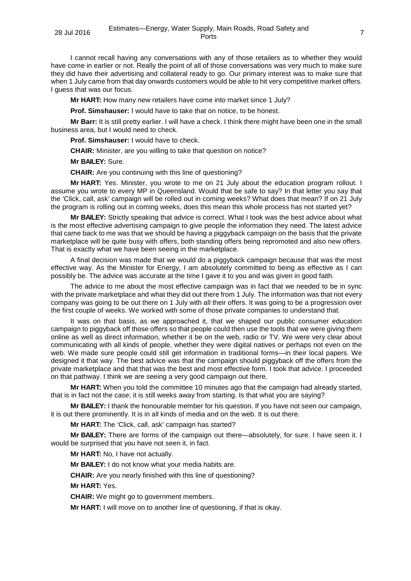I cannot recall having any conversations with any of those retailers as to whether they would have come in earlier or not. Really the point of all of those conversations was very much to make sure they did have their advertising and collateral ready to go. Our primary interest was to make sure that when 1 July came from that day onwards customers would be able to hit very competitive market offers. I guess that was our focus.

**Mr HART:** How many new retailers have come into market since 1 July?

**Prof. Simshauser:** I would have to take that on notice, to be honest.

**Mr Barr:** It is still pretty earlier. I will have a check. I think there might have been one in the small business area, but I would need to check.

**Prof. Simshauser:** I would have to check.

**CHAIR:** Minister, are you willing to take that question on notice?

**Mr BAILEY:** Sure.

**CHAIR:** Are you continuing with this line of questioning?

**Mr HART:** Yes. Minister, you wrote to me on 21 July about the education program rollout. I assume you wrote to every MP in Queensland. Would that be safe to say? In that letter you say that the 'Click, call, ask' campaign will be rolled out in coming weeks? What does that mean? If on 21 July the program is rolling out in coming weeks, does this mean this whole process has not started yet?

**Mr BAILEY:** Strictly speaking that advice is correct. What I took was the best advice about what is the most effective advertising campaign to give people the information they need. The latest advice that came back to me was that we should be having a piggyback campaign on the basis that the private marketplace will be quite busy with offers, both standing offers being repromoted and also new offers. That is exactly what we have been seeing in the marketplace.

A final decision was made that we would do a piggyback campaign because that was the most effective way. As the Minister for Energy, I am absolutely committed to being as effective as I can possibly be. The advice was accurate at the time I gave it to you and was given in good faith.

The advice to me about the most effective campaign was in fact that we needed to be in sync with the private marketplace and what they did out there from 1 July. The information was that not every company was going to be out there on 1 July with all their offers. It was going to be a progression over the first couple of weeks. We worked with some of those private companies to understand that.

It was on that basis, as we approached it, that we shaped our public consumer education campaign to piggyback off those offers so that people could then use the tools that we were giving them online as well as direct information, whether it be on the web, radio or TV. We were very clear about communicating with all kinds of people, whether they were digital natives or perhaps not even on the web. We made sure people could still get information in traditional forms—in their local papers. We designed it that way. The best advice was that the campaign should piggyback off the offers from the private marketplace and that that was the best and most effective form. I took that advice. I proceeded on that pathway. I think we are seeing a very good campaign out there.

**Mr HART:** When you told the committee 10 minutes ago that the campaign had already started, that is in fact not the case; it is still weeks away from starting. Is that what you are saying?

**Mr BAILEY:** I thank the honourable member for his question. If you have not seen our campaign, it is out there prominently. It is in all kinds of media and on the web. It is out there.

**Mr HART:** The 'Click, call, ask' campaign has started?

**Mr BAILEY:** There are forms of the campaign out there—absolutely, for sure. I have seen it. I would be surprised that you have not seen it, in fact.

**Mr HART:** No, I have not actually.

**Mr BAILEY:** I do not know what your media habits are.

**CHAIR:** Are you nearly finished with this line of questioning?

**Mr HART:** Yes.

**CHAIR:** We might go to government members.

**Mr HART:** I will move on to another line of questioning, if that is okay.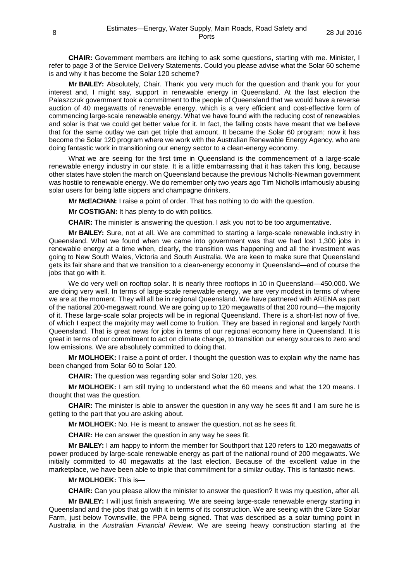**CHAIR:** Government members are itching to ask some questions, starting with me. Minister, I refer to page 3 of the Service Delivery Statements. Could you please advise what the Solar 60 scheme is and why it has become the Solar 120 scheme?

**Mr BAILEY:** Absolutely, Chair. Thank you very much for the question and thank you for your interest and, I might say, support in renewable energy in Queensland. At the last election the Palaszczuk government took a commitment to the people of Queensland that we would have a reverse auction of 40 megawatts of renewable energy, which is a very efficient and cost-effective form of commencing large-scale renewable energy. What we have found with the reducing cost of renewables and solar is that we could get better value for it. In fact, the falling costs have meant that we believe that for the same outlay we can get triple that amount. It became the Solar 60 program; now it has become the Solar 120 program where we work with the Australian Renewable Energy Agency, who are doing fantastic work in transitioning our energy sector to a clean-energy economy.

What we are seeing for the first time in Queensland is the commencement of a large-scale renewable energy industry in our state. It is a little embarrassing that it has taken this long, because other states have stolen the march on Queensland because the previous Nicholls-Newman government was hostile to renewable energy. We do remember only two years ago Tim Nicholls infamously abusing solar users for being latte sippers and champagne drinkers.

**Mr McEACHAN:** I raise a point of order. That has nothing to do with the question.

**Mr COSTIGAN:** It has plenty to do with politics.

**CHAIR:** The minister is answering the question. I ask you not to be too argumentative.

**Mr BAILEY:** Sure, not at all. We are committed to starting a large-scale renewable industry in Queensland. What we found when we came into government was that we had lost 1,300 jobs in renewable energy at a time when, clearly, the transition was happening and all the investment was going to New South Wales, Victoria and South Australia. We are keen to make sure that Queensland gets its fair share and that we transition to a clean-energy economy in Queensland—and of course the jobs that go with it.

We do very well on rooftop solar. It is nearly three rooftops in 10 in Queensland—450,000. We are doing very well. In terms of large-scale renewable energy, we are very modest in terms of where we are at the moment. They will all be in regional Queensland. We have partnered with ARENA as part of the national 200-megawatt round. We are going up to 120 megawatts of that 200 round—the majority of it. These large-scale solar projects will be in regional Queensland. There is a short-list now of five, of which I expect the majority may well come to fruition. They are based in regional and largely North Queensland. That is great news for jobs in terms of our regional economy here in Queensland. It is great in terms of our commitment to act on climate change, to transition our energy sources to zero and low emissions. We are absolutely committed to doing that.

**Mr MOLHOEK:** I raise a point of order. I thought the question was to explain why the name has been changed from Solar 60 to Solar 120.

**CHAIR:** The question was regarding solar and Solar 120, yes.

**Mr MOLHOEK:** I am still trying to understand what the 60 means and what the 120 means. I thought that was the question.

**CHAIR:** The minister is able to answer the question in any way he sees fit and I am sure he is getting to the part that you are asking about.

**Mr MOLHOEK:** No. He is meant to answer the question, not as he sees fit.

**CHAIR:** He can answer the question in any way he sees fit.

**Mr BAILEY:** I am happy to inform the member for Southport that 120 refers to 120 megawatts of power produced by large-scale renewable energy as part of the national round of 200 megawatts. We initially committed to 40 megawatts at the last election. Because of the excellent value in the marketplace, we have been able to triple that commitment for a similar outlay. This is fantastic news.

#### **Mr MOLHOEK:** This is—

**CHAIR:** Can you please allow the minister to answer the question? It was my question, after all.

**Mr BAILEY:** I will just finish answering. We are seeing large-scale renewable energy starting in Queensland and the jobs that go with it in terms of its construction. We are seeing with the Clare Solar Farm, just below Townsville, the PPA being signed. That was described as a solar turning point in Australia in the *Australian Financial Review*. We are seeing heavy construction starting at the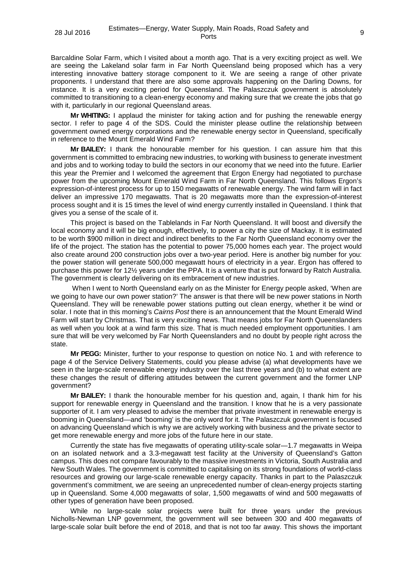Barcaldine Solar Farm, which I visited about a month ago. That is a very exciting project as well. We are seeing the Lakeland solar farm in Far North Queensland being proposed which has a very interesting innovative battery storage component to it. We are seeing a range of other private proponents. I understand that there are also some approvals happening on the Darling Downs, for instance. It is a very exciting period for Queensland. The Palaszczuk government is absolutely committed to transitioning to a clean-energy economy and making sure that we create the jobs that go with it, particularly in our regional Queensland areas.

**Mr WHITING:** I applaud the minister for taking action and for pushing the renewable energy sector. I refer to page 4 of the SDS. Could the minister please outline the relationship between government owned energy corporations and the renewable energy sector in Queensland, specifically in reference to the Mount Emerald Wind Farm?

**Mr BAILEY:** I thank the honourable member for his question. I can assure him that this government is committed to embracing new industries, to working with business to generate investment and jobs and to working today to build the sectors in our economy that we need into the future. Earlier this year the Premier and I welcomed the agreement that Ergon Energy had negotiated to purchase power from the upcoming Mount Emerald Wind Farm in Far North Queensland. This follows Ergon's expression-of-interest process for up to 150 megawatts of renewable energy. The wind farm will in fact deliver an impressive 170 megawatts. That is 20 megawatts more than the expression-of-interest process sought and it is 15 times the level of wind energy currently installed in Queensland. I think that gives you a sense of the scale of it.

This project is based on the Tablelands in Far North Queensland. It will boost and diversify the local economy and it will be big enough, effectively, to power a city the size of Mackay. It is estimated to be worth \$900 million in direct and indirect benefits to the Far North Queensland economy over the life of the project. The station has the potential to power 75,000 homes each year. The project would also create around 200 construction jobs over a two-year period. Here is another big number for you: the power station will generate 500,000 megawatt hours of electricity in a year. Ergon has offered to purchase this power for 12½ years under the PPA. It is a venture that is put forward by Ratch Australia. The government is clearly delivering on its embracement of new industries.

When I went to North Queensland early on as the Minister for Energy people asked, 'When are we going to have our own power station?' The answer is that there will be new power stations in North Queensland. They will be renewable power stations putting out clean energy, whether it be wind or solar. I note that in this morning's *Cairns Post* there is an announcement that the Mount Emerald Wind Farm will start by Christmas. That is very exciting news. That means jobs for Far North Queenslanders as well when you look at a wind farm this size. That is much needed employment opportunities. I am sure that will be very welcomed by Far North Queenslanders and no doubt by people right across the state.

**Mr PEGG:** Minister, further to your response to question on notice No. 1 and with reference to page 4 of the Service Delivery Statements, could you please advise (a) what developments have we seen in the large-scale renewable energy industry over the last three years and (b) to what extent are these changes the result of differing attitudes between the current government and the former LNP government?

**Mr BAILEY:** I thank the honourable member for his question and, again, I thank him for his support for renewable energy in Queensland and the transition. I know that he is a very passionate supporter of it. I am very pleased to advise the member that private investment in renewable energy is booming in Queensland—and 'booming' is the only word for it. The Palaszczuk government is focused on advancing Queensland which is why we are actively working with business and the private sector to get more renewable energy and more jobs of the future here in our state.

Currently the state has five megawatts of operating utility-scale solar—1.7 megawatts in Weipa on an isolated network and a 3.3-megawatt test facility at the University of Queensland's Gatton campus. This does not compare favourably to the massive investments in Victoria, South Australia and New South Wales. The government is committed to capitalising on its strong foundations of world-class resources and growing our large-scale renewable energy capacity. Thanks in part to the Palaszczuk government's commitment, we are seeing an unprecedented number of clean-energy projects starting up in Queensland. Some 4,000 megawatts of solar, 1,500 megawatts of wind and 500 megawatts of other types of generation have been proposed.

While no large-scale solar projects were built for three years under the previous Nicholls-Newman LNP government, the government will see between 300 and 400 megawatts of large-scale solar built before the end of 2018, and that is not too far away. This shows the important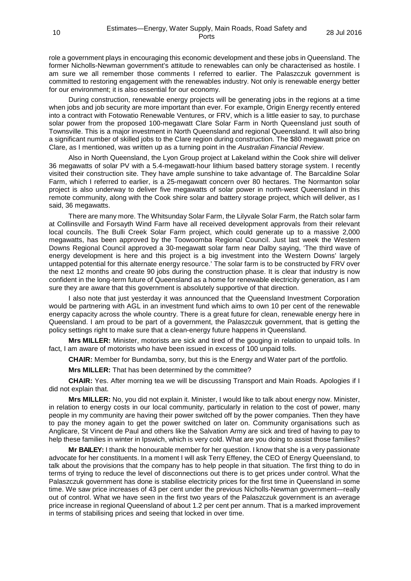role a government plays in encouraging this economic development and these jobs in Queensland. The former Nicholls-Newman government's attitude to renewables can only be characterised as hostile. I am sure we all remember those comments I referred to earlier. The Palaszczuk government is committed to restoring engagement with the renewables industry. Not only is renewable energy better for our environment; it is also essential for our economy.

During construction, renewable energy projects will be generating jobs in the regions at a time when jobs and job security are more important than ever. For example, Origin Energy recently entered into a contract with Fotowatio Renewable Ventures, or FRV, which is a little easier to say, to purchase solar power from the proposed 100-megawatt Clare Solar Farm in North Queensland just south of Townsville. This is a major investment in North Queensland and regional Queensland. It will also bring a significant number of skilled jobs to the Clare region during construction. The \$80 megawatt price on Clare, as I mentioned, was written up as a turning point in the *Australian Financial Review*.

Also in North Queensland, the Lyon Group project at Lakeland within the Cook shire will deliver 36 megawatts of solar PV with a 5.4-megawatt-hour lithium based battery storage system. I recently visited their construction site. They have ample sunshine to take advantage of. The Barcaldine Solar Farm, which I referred to earlier, is a 25-megawatt concern over 80 hectares. The Normanton solar project is also underway to deliver five megawatts of solar power in north-west Queensland in this remote community, along with the Cook shire solar and battery storage project, which will deliver, as I said, 36 megawatts.

There are many more. The Whitsunday Solar Farm, the Lilyvale Solar Farm, the Ratch solar farm at Collinsville and Forsayth Wind Farm have all received development approvals from their relevant local councils. The Bulli Creek Solar Farm project, which could generate up to a massive 2,000 megawatts, has been approved by the Toowoomba Regional Council. Just last week the Western Downs Regional Council approved a 30-megawatt solar farm near Dalby saying, 'The third wave of energy development is here and this project is a big investment into the Western Downs' largely untapped potential for this alternate energy resource.' The solar farm is to be constructed by FRV over the next 12 months and create 90 jobs during the construction phase. It is clear that industry is now confident in the long-term future of Queensland as a home for renewable electricity generation, as I am sure they are aware that this government is absolutely supportive of that direction.

I also note that just yesterday it was announced that the Queensland Investment Corporation would be partnering with AGL in an investment fund which aims to own 10 per cent of the renewable energy capacity across the whole country. There is a great future for clean, renewable energy here in Queensland. I am proud to be part of a government, the Palaszczuk government, that is getting the policy settings right to make sure that a clean-energy future happens in Queensland.

**Mrs MILLER:** Minister, motorists are sick and tired of the gouging in relation to unpaid tolls. In fact, I am aware of motorists who have been issued in excess of 100 unpaid tolls.

**CHAIR:** Member for Bundamba, sorry, but this is the Energy and Water part of the portfolio.

**Mrs MILLER:** That has been determined by the committee?

**CHAIR:** Yes. After morning tea we will be discussing Transport and Main Roads. Apologies if I did not explain that.

**Mrs MILLER:** No, you did not explain it. Minister, I would like to talk about energy now. Minister, in relation to energy costs in our local community, particularly in relation to the cost of power, many people in my community are having their power switched off by the power companies. Then they have to pay the money again to get the power switched on later on. Community organisations such as Anglicare, St Vincent de Paul and others like the Salvation Army are sick and tired of having to pay to help these families in winter in Ipswich, which is very cold. What are you doing to assist those families?

**Mr BAILEY:** I thank the honourable member for her question. I know that she is a very passionate advocate for her constituents. In a moment I will ask Terry Effeney, the CEO of Energy Queensland, to talk about the provisions that the company has to help people in that situation. The first thing to do in terms of trying to reduce the level of disconnections out there is to get prices under control. What the Palaszczuk government has done is stabilise electricity prices for the first time in Queensland in some time. We saw price increases of 43 per cent under the previous Nicholls-Newman government—really out of control. What we have seen in the first two years of the Palaszczuk government is an average price increase in regional Queensland of about 1.2 per cent per annum. That is a marked improvement in terms of stabilising prices and seeing that locked in over time.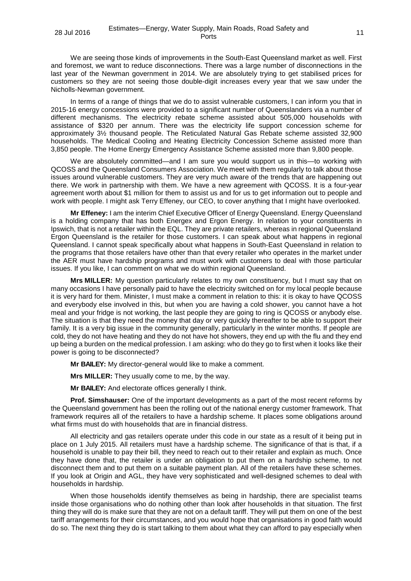We are seeing those kinds of improvements in the South-East Queensland market as well. First and foremost, we want to reduce disconnections. There was a large number of disconnections in the last year of the Newman government in 2014. We are absolutely trying to get stabilised prices for customers so they are not seeing those double-digit increases every year that we saw under the Nicholls-Newman government.

In terms of a range of things that we do to assist vulnerable customers, I can inform you that in 2015-16 energy concessions were provided to a significant number of Queenslanders via a number of different mechanisms. The electricity rebate scheme assisted about 505,000 households with assistance of \$320 per annum. There was the electricity life support concession scheme for approximately 3½ thousand people. The Reticulated Natural Gas Rebate scheme assisted 32,900 households. The Medical Cooling and Heating Electricity Concession Scheme assisted more than 3,850 people. The Home Energy Emergency Assistance Scheme assisted more than 9,800 people.

We are absolutely committed—and I am sure you would support us in this—to working with QCOSS and the Queensland Consumers Association. We meet with them regularly to talk about those issues around vulnerable customers. They are very much aware of the trends that are happening out there. We work in partnership with them. We have a new agreement with QCOSS. It is a four-year agreement worth about \$1 million for them to assist us and for us to get information out to people and work with people. I might ask Terry Effeney, our CEO, to cover anything that I might have overlooked.

**Mr Effeney:** I am the interim Chief Executive Officer of Energy Queensland. Energy Queensland is a holding company that has both Energex and Ergon Energy. In relation to your constituents in Ipswich, that is not a retailer within the EQL. They are private retailers, whereas in regional Queensland Ergon Queensland is the retailer for those customers. I can speak about what happens in regional Queensland. I cannot speak specifically about what happens in South-East Queensland in relation to the programs that those retailers have other than that every retailer who operates in the market under the AER must have hardship programs and must work with customers to deal with those particular issues. If you like, I can comment on what we do within regional Queensland.

**Mrs MILLER:** My question particularly relates to my own constituency, but I must say that on many occasions I have personally paid to have the electricity switched on for my local people because it is very hard for them. Minister, I must make a comment in relation to this: it is okay to have QCOSS and everybody else involved in this, but when you are having a cold shower, you cannot have a hot meal and your fridge is not working, the last people they are going to ring is QCOSS or anybody else. The situation is that they need the money that day or very quickly thereafter to be able to support their family. It is a very big issue in the community generally, particularly in the winter months. If people are cold, they do not have heating and they do not have hot showers, they end up with the flu and they end up being a burden on the medical profession. I am asking: who do they go to first when it looks like their power is going to be disconnected?

**Mr BAILEY:** My director-general would like to make a comment.

**Mrs MILLER:** They usually come to me, by the way.

**Mr BAILEY:** And electorate offices generally I think.

**Prof. Simshauser:** One of the important developments as a part of the most recent reforms by the Queensland government has been the rolling out of the national energy customer framework. That framework requires all of the retailers to have a hardship scheme. It places some obligations around what firms must do with households that are in financial distress.

All electricity and gas retailers operate under this code in our state as a result of it being put in place on 1 July 2015. All retailers must have a hardship scheme. The significance of that is that, if a household is unable to pay their bill, they need to reach out to their retailer and explain as much. Once they have done that, the retailer is under an obligation to put them on a hardship scheme, to not disconnect them and to put them on a suitable payment plan. All of the retailers have these schemes. If you look at Origin and AGL, they have very sophisticated and well-designed schemes to deal with households in hardship.

When those households identify themselves as being in hardship, there are specialist teams inside those organisations who do nothing other than look after households in that situation. The first thing they will do is make sure that they are not on a default tariff. They will put them on one of the best tariff arrangements for their circumstances, and you would hope that organisations in good faith would do so. The next thing they do is start talking to them about what they can afford to pay especially when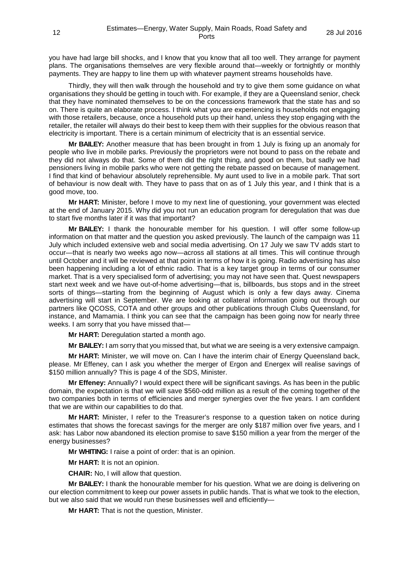you have had large bill shocks, and I know that you know that all too well. They arrange for payment plans. The organisations themselves are very flexible around that—weekly or fortnightly or monthly payments. They are happy to line them up with whatever payment streams households have.

Thirdly, they will then walk through the household and try to give them some guidance on what organisations they should be getting in touch with. For example, if they are a Queensland senior, check that they have nominated themselves to be on the concessions framework that the state has and so on. There is quite an elaborate process. I think what you are experiencing is households not engaging with those retailers, because, once a household puts up their hand, unless they stop engaging with the retailer, the retailer will always do their best to keep them with their supplies for the obvious reason that electricity is important. There is a certain minimum of electricity that is an essential service.

**Mr BAILEY:** Another measure that has been brought in from 1 July is fixing up an anomaly for people who live in mobile parks. Previously the proprietors were not bound to pass on the rebate and they did not always do that. Some of them did the right thing, and good on them, but sadly we had pensioners living in mobile parks who were not getting the rebate passed on because of management. I find that kind of behaviour absolutely reprehensible. My aunt used to live in a mobile park. That sort of behaviour is now dealt with. They have to pass that on as of 1 July this year, and I think that is a good move, too.

**Mr HART:** Minister, before I move to my next line of questioning, your government was elected at the end of January 2015. Why did you not run an education program for deregulation that was due to start five months later if it was that important?

**Mr BAILEY:** I thank the honourable member for his question. I will offer some follow-up information on that matter and the question you asked previously. The launch of the campaign was 11 July which included extensive web and social media advertising. On 17 July we saw TV adds start to occur—that is nearly two weeks ago now—across all stations at all times. This will continue through until October and it will be reviewed at that point in terms of how it is going. Radio advertising has also been happening including a lot of ethnic radio. That is a key target group in terms of our consumer market. That is a very specialised form of advertising; you may not have seen that. Quest newspapers start next week and we have out-of-home advertising—that is, billboards, bus stops and in the street sorts of things—starting from the beginning of August which is only a few days away. Cinema advertising will start in September. We are looking at collateral information going out through our partners like QCOSS, COTA and other groups and other publications through Clubs Queensland, for instance, and Mamamia. I think you can see that the campaign has been going now for nearly three weeks. I am sorry that you have missed that-

**Mr HART:** Deregulation started a month ago.

**Mr BAILEY:** I am sorry that you missed that, but what we are seeing is a very extensive campaign.

**Mr HART:** Minister, we will move on. Can I have the interim chair of Energy Queensland back, please. Mr Effeney, can I ask you whether the merger of Ergon and Energex will realise savings of \$150 million annually? This is page 4 of the SDS, Minister.

**Mr Effeney:** Annually? I would expect there will be significant savings. As has been in the public domain, the expectation is that we will save \$560-odd million as a result of the coming together of the two companies both in terms of efficiencies and merger synergies over the five years. I am confident that we are within our capabilities to do that.

**Mr HART:** Minister, I refer to the Treasurer's response to a question taken on notice during estimates that shows the forecast savings for the merger are only \$187 million over five years, and I ask: has Labor now abandoned its election promise to save \$150 million a year from the merger of the energy businesses?

**Mr WHITING:** I raise a point of order: that is an opinion.

**Mr HART:** It is not an opinion.

**CHAIR:** No, I will allow that question.

**Mr BAILEY:** I thank the honourable member for his question. What we are doing is delivering on our election commitment to keep our power assets in public hands. That is what we took to the election, but we also said that we would run these businesses well and efficiently—

**Mr HART:** That is not the question, Minister.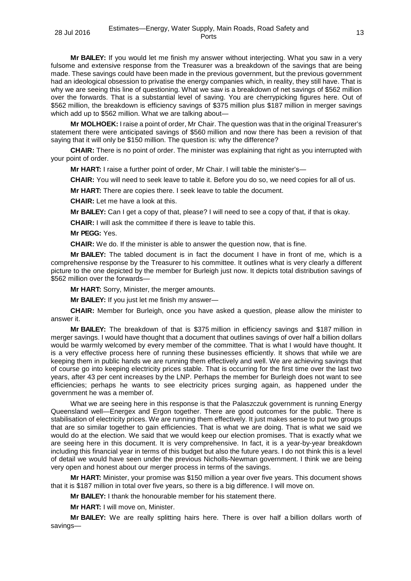**Mr BAILEY:** If you would let me finish my answer without interjecting. What you saw in a very fulsome and extensive response from the Treasurer was a breakdown of the savings that are being made. These savings could have been made in the previous government, but the previous government had an ideological obsession to privatise the energy companies which, in reality, they still have. That is why we are seeing this line of questioning. What we saw is a breakdown of net savings of \$562 million over the forwards. That is a substantial level of saving. You are cherrypicking figures here. Out of \$562 million, the breakdown is efficiency savings of \$375 million plus \$187 million in merger savings which add up to \$562 million. What we are talking about-

**Mr MOLHOEK:** I raise a point of order, Mr Chair. The question was that in the original Treasurer's statement there were anticipated savings of \$560 million and now there has been a revision of that saying that it will only be \$150 million. The question is: why the difference?

**CHAIR:** There is no point of order. The minister was explaining that right as you interrupted with your point of order.

**Mr HART:** I raise a further point of order, Mr Chair. I will table the minister's—

**CHAIR:** You will need to seek leave to table it. Before you do so, we need copies for all of us.

**Mr HART:** There are copies there. I seek leave to table the document.

**CHAIR:** Let me have a look at this.

**Mr BAILEY:** Can I get a copy of that, please? I will need to see a copy of that, if that is okay.

**CHAIR:** I will ask the committee if there is leave to table this.

**Mr PEGG:** Yes.

**CHAIR:** We do. If the minister is able to answer the question now, that is fine.

**Mr BAILEY:** The tabled document is in fact the document I have in front of me, which is a comprehensive response by the Treasurer to his committee. It outlines what is very clearly a different picture to the one depicted by the member for Burleigh just now. It depicts total distribution savings of \$562 million over the forwards—

**Mr HART:** Sorry, Minister, the merger amounts.

**Mr BAILEY:** If you just let me finish my answer—

**CHAIR:** Member for Burleigh, once you have asked a question, please allow the minister to answer it.

**Mr BAILEY:** The breakdown of that is \$375 million in efficiency savings and \$187 million in merger savings. I would have thought that a document that outlines savings of over half a billion dollars would be warmly welcomed by every member of the committee. That is what I would have thought. It is a very effective process here of running these businesses efficiently. It shows that while we are keeping them in public hands we are running them effectively and well. We are achieving savings that of course go into keeping electricity prices stable. That is occurring for the first time over the last two years, after 43 per cent increases by the LNP. Perhaps the member for Burleigh does not want to see efficiencies; perhaps he wants to see electricity prices surging again, as happened under the government he was a member of.

What we are seeing here in this response is that the Palaszczuk government is running Energy Queensland well—Energex and Ergon together. There are good outcomes for the public. There is stabilisation of electricity prices. We are running them effectively. It just makes sense to put two groups that are so similar together to gain efficiencies. That is what we are doing. That is what we said we would do at the election. We said that we would keep our election promises. That is exactly what we are seeing here in this document. It is very comprehensive. In fact, it is a year-by-year breakdown including this financial year in terms of this budget but also the future years. I do not think this is a level of detail we would have seen under the previous Nicholls-Newman government. I think we are being very open and honest about our merger process in terms of the savings.

**Mr HART:** Minister, your promise was \$150 million a year over five years. This document shows that it is \$187 million in total over five years, so there is a big difference. I will move on.

**Mr BAILEY:** I thank the honourable member for his statement there.

**Mr HART:** I will move on, Minister.

**Mr BAILEY:** We are really splitting hairs here. There is over half a billion dollars worth of savings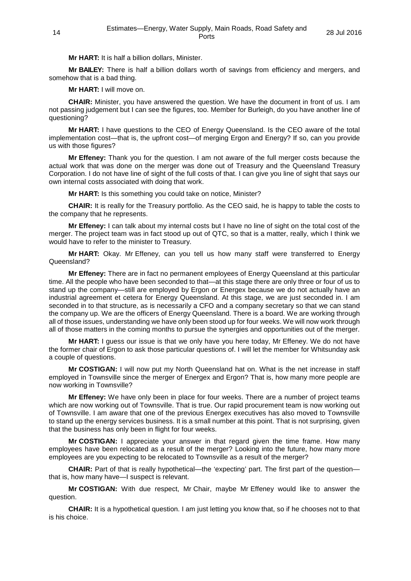**Mr HART:** It is half a billion dollars, Minister.

**Mr BAILEY:** There is half a billion dollars worth of savings from efficiency and mergers, and somehow that is a bad thing.

**Mr HART:** I will move on.

**CHAIR:** Minister, you have answered the question. We have the document in front of us. I am not passing judgement but I can see the figures, too. Member for Burleigh, do you have another line of questioning?

**Mr HART:** I have questions to the CEO of Energy Queensland. Is the CEO aware of the total implementation cost—that is, the upfront cost—of merging Ergon and Energy? If so, can you provide us with those figures?

**Mr Effeney:** Thank you for the question. I am not aware of the full merger costs because the actual work that was done on the merger was done out of Treasury and the Queensland Treasury Corporation. I do not have line of sight of the full costs of that. I can give you line of sight that says our own internal costs associated with doing that work.

**Mr HART:** Is this something you could take on notice, Minister?

**CHAIR:** It is really for the Treasury portfolio. As the CEO said, he is happy to table the costs to the company that he represents.

**Mr Effeney:** I can talk about my internal costs but I have no line of sight on the total cost of the merger. The project team was in fact stood up out of QTC, so that is a matter, really, which I think we would have to refer to the minister to Treasury.

**Mr HART:** Okay. Mr Effeney, can you tell us how many staff were transferred to Energy Queensland?

**Mr Effeney:** There are in fact no permanent employees of Energy Queensland at this particular time. All the people who have been seconded to that—at this stage there are only three or four of us to stand up the company—still are employed by Ergon or Energex because we do not actually have an industrial agreement et cetera for Energy Queensland. At this stage, we are just seconded in. I am seconded in to that structure, as is necessarily a CFO and a company secretary so that we can stand the company up. We are the officers of Energy Queensland. There is a board. We are working through all of those issues, understanding we have only been stood up for four weeks. We will now work through all of those matters in the coming months to pursue the synergies and opportunities out of the merger.

**Mr HART:** I guess our issue is that we only have you here today, Mr Effeney. We do not have the former chair of Ergon to ask those particular questions of. I will let the member for Whitsunday ask a couple of questions.

**Mr COSTIGAN:** I will now put my North Queensland hat on. What is the net increase in staff employed in Townsville since the merger of Energex and Ergon? That is, how many more people are now working in Townsville?

**Mr Effeney:** We have only been in place for four weeks. There are a number of project teams which are now working out of Townsville. That is true. Our rapid procurement team is now working out of Townsville. I am aware that one of the previous Energex executives has also moved to Townsville to stand up the energy services business. It is a small number at this point. That is not surprising, given that the business has only been in flight for four weeks.

**Mr COSTIGAN:** I appreciate your answer in that regard given the time frame. How many employees have been relocated as a result of the merger? Looking into the future, how many more employees are you expecting to be relocated to Townsville as a result of the merger?

**CHAIR:** Part of that is really hypothetical—the 'expecting' part. The first part of the question that is, how many have—I suspect is relevant.

**Mr COSTIGAN:** With due respect, Mr Chair, maybe Mr Effeney would like to answer the question.

**CHAIR:** It is a hypothetical question. I am just letting you know that, so if he chooses not to that is his choice.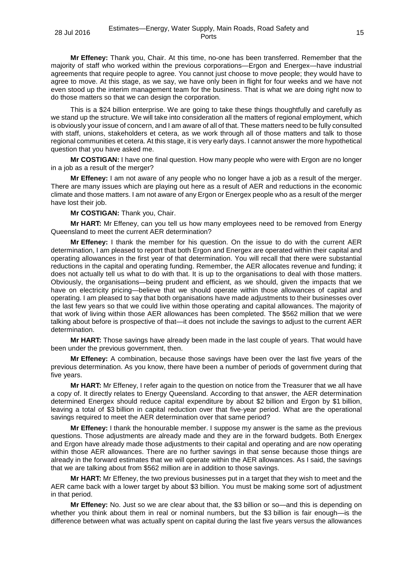**Mr Effeney:** Thank you, Chair. At this time, no-one has been transferred. Remember that the majority of staff who worked within the previous corporations—Ergon and Energex—have industrial agreements that require people to agree. You cannot just choose to move people; they would have to agree to move. At this stage, as we say, we have only been in flight for four weeks and we have not even stood up the interim management team for the business. That is what we are doing right now to do those matters so that we can design the corporation.

This is a \$24 billion enterprise. We are going to take these things thoughtfully and carefully as we stand up the structure. We will take into consideration all the matters of regional employment, which is obviously your issue of concern, and I am aware of all of that. These matters need to be fully consulted with staff, unions, stakeholders et cetera, as we work through all of those matters and talk to those regional communities et cetera. At this stage, it is very early days. I cannot answer the more hypothetical question that you have asked me.

**Mr COSTIGAN:** I have one final question. How many people who were with Ergon are no longer in a job as a result of the merger?

**Mr Effeney:** I am not aware of any people who no longer have a job as a result of the merger. There are many issues which are playing out here as a result of AER and reductions in the economic climate and those matters. I am not aware of any Ergon or Energex people who as a result of the merger have lost their job.

**Mr COSTIGAN:** Thank you, Chair.

**Mr HART:** Mr Effeney, can you tell us how many employees need to be removed from Energy Queensland to meet the current AER determination?

**Mr Effeney:** I thank the member for his question. On the issue to do with the current AER determination, I am pleased to report that both Ergon and Energex are operated within their capital and operating allowances in the first year of that determination. You will recall that there were substantial reductions in the capital and operating funding. Remember, the AER allocates revenue and funding; it does not actually tell us what to do with that. It is up to the organisations to deal with those matters. Obviously, the organisations—being prudent and efficient, as we should, given the impacts that we have on electricity pricing—believe that we should operate within those allowances of capital and operating. I am pleased to say that both organisations have made adjustments to their businesses over the last few years so that we could live within those operating and capital allowances. The majority of that work of living within those AER allowances has been completed. The \$562 million that we were talking about before is prospective of that—it does not include the savings to adjust to the current AER determination.

**Mr HART:** Those savings have already been made in the last couple of years. That would have been under the previous government, then.

**Mr Effeney:** A combination, because those savings have been over the last five years of the previous determination. As you know, there have been a number of periods of government during that five years.

**Mr HART:** Mr Effeney, I refer again to the question on notice from the Treasurer that we all have a copy of. It directly relates to Energy Queensland. According to that answer, the AER determination determined Energex should reduce capital expenditure by about \$2 billion and Ergon by \$1 billion, leaving a total of \$3 billion in capital reduction over that five-year period. What are the operational savings required to meet the AER determination over that same period?

**Mr Effeney:** I thank the honourable member. I suppose my answer is the same as the previous questions. Those adjustments are already made and they are in the forward budgets. Both Energex and Ergon have already made those adjustments to their capital and operating and are now operating within those AER allowances. There are no further savings in that sense because those things are already in the forward estimates that we will operate within the AER allowances. As I said, the savings that we are talking about from \$562 million are in addition to those savings.

**Mr HART:** Mr Effeney, the two previous businesses put in a target that they wish to meet and the AER came back with a lower target by about \$3 billion. You must be making some sort of adjustment in that period.

**Mr Effeney:** No. Just so we are clear about that, the \$3 billion or so—and this is depending on whether you think about them in real or nominal numbers, but the \$3 billion is fair enough—is the difference between what was actually spent on capital during the last five years versus the allowances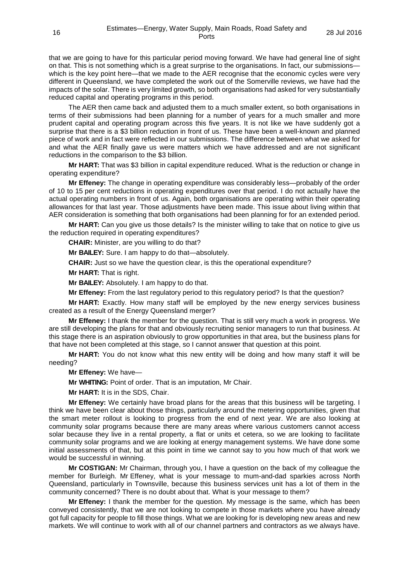that we are going to have for this particular period moving forward. We have had general line of sight on that. This is not something which is a great surprise to the organisations. In fact, our submissions which is the key point here—that we made to the AER recognise that the economic cycles were very different in Queensland, we have completed the work out of the Somerville reviews, we have had the impacts of the solar. There is very limited growth, so both organisations had asked for very substantially reduced capital and operating programs in this period.

The AER then came back and adjusted them to a much smaller extent, so both organisations in terms of their submissions had been planning for a number of years for a much smaller and more prudent capital and operating program across this five years. It is not like we have suddenly got a surprise that there is a \$3 billion reduction in front of us. These have been a well-known and planned piece of work and in fact were reflected in our submissions. The difference between what we asked for and what the AER finally gave us were matters which we have addressed and are not significant reductions in the comparison to the \$3 billion.

**Mr HART:** That was \$3 billion in capital expenditure reduced. What is the reduction or change in operating expenditure?

**Mr Effeney:** The change in operating expenditure was considerably less—probably of the order of 10 to 15 per cent reductions in operating expenditures over that period. I do not actually have the actual operating numbers in front of us. Again, both organisations are operating within their operating allowances for that last year. Those adjustments have been made. This issue about living within that AER consideration is something that both organisations had been planning for for an extended period.

**Mr HART:** Can you give us those details? Is the minister willing to take that on notice to give us the reduction required in operating expenditures?

**CHAIR:** Minister, are you willing to do that?

**Mr BAILEY:** Sure. I am happy to do that—absolutely.

**CHAIR:** Just so we have the question clear, is this the operational expenditure?

**Mr HART:** That is right.

**Mr BAILEY:** Absolutely. I am happy to do that.

**Mr Effeney:** From the last regulatory period to this regulatory period? Is that the question?

**Mr HART:** Exactly. How many staff will be employed by the new energy services business created as a result of the Energy Queensland merger?

**Mr Effeney:** I thank the member for the question. That is still very much a work in progress. We are still developing the plans for that and obviously recruiting senior managers to run that business. At this stage there is an aspiration obviously to grow opportunities in that area, but the business plans for that have not been completed at this stage, so I cannot answer that question at this point.

**Mr HART:** You do not know what this new entity will be doing and how many staff it will be needing?

**Mr Effeney:** We have—

**Mr WHITING:** Point of order. That is an imputation, Mr Chair.

**Mr HART:** It is in the SDS, Chair.

**Mr Effeney:** We certainly have broad plans for the areas that this business will be targeting. I think we have been clear about those things, particularly around the metering opportunities, given that the smart meter rollout is looking to progress from the end of next year. We are also looking at community solar programs because there are many areas where various customers cannot access solar because they live in a rental property, a flat or units et cetera, so we are looking to facilitate community solar programs and we are looking at energy management systems. We have done some initial assessments of that, but at this point in time we cannot say to you how much of that work we would be successful in winning.

**Mr COSTIGAN:** Mr Chairman, through you, I have a question on the back of my colleague the member for Burleigh. Mr Effeney, what is your message to mum-and-dad sparkies across North Queensland, particularly in Townsville, because this business services unit has a lot of them in the community concerned? There is no doubt about that. What is your message to them?

**Mr Effeney:** I thank the member for the question. My message is the same, which has been conveyed consistently, that we are not looking to compete in those markets where you have already got full capacity for people to fill those things. What we are looking for is developing new areas and new markets. We will continue to work with all of our channel partners and contractors as we always have.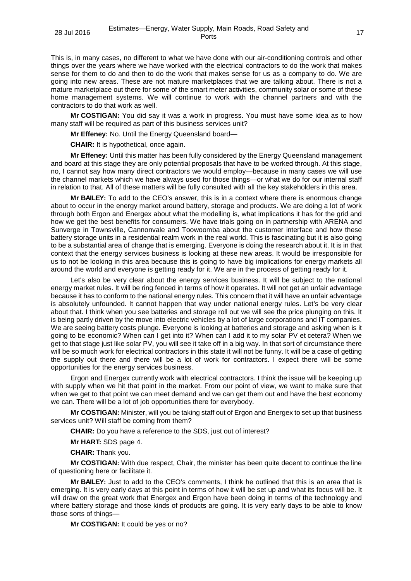This is, in many cases, no different to what we have done with our air-conditioning controls and other things over the years where we have worked with the electrical contractors to do the work that makes sense for them to do and then to do the work that makes sense for us as a company to do. We are going into new areas. These are not mature marketplaces that we are talking about. There is not a mature marketplace out there for some of the smart meter activities, community solar or some of these home management systems. We will continue to work with the channel partners and with the contractors to do that work as well.

**Mr COSTIGAN:** You did say it was a work in progress. You must have some idea as to how many staff will be required as part of this business services unit?

**Mr Effeney:** No. Until the Energy Queensland board—

**CHAIR:** It is hypothetical, once again.

**Mr Effeney:** Until this matter has been fully considered by the Energy Queensland management and board at this stage they are only potential proposals that have to be worked through. At this stage, no, I cannot say how many direct contractors we would employ—because in many cases we will use the channel markets which we have always used for those things—or what we do for our internal staff in relation to that. All of these matters will be fully consulted with all the key stakeholders in this area.

**Mr BAILEY:** To add to the CEO's answer, this is in a context where there is enormous change about to occur in the energy market around battery, storage and products. We are doing a lot of work through both Ergon and Energex about what the modelling is, what implications it has for the grid and how we get the best benefits for consumers. We have trials going on in partnership with ARENA and Sunverge in Townsville, Cannonvale and Toowoomba about the customer interface and how these battery storage units in a residential realm work in the real world. This is fascinating but it is also going to be a substantial area of change that is emerging. Everyone is doing the research about it. It is in that context that the energy services business is looking at these new areas. It would be irresponsible for us to not be looking in this area because this is going to have big implications for energy markets all around the world and everyone is getting ready for it. We are in the process of getting ready for it.

Let's also be very clear about the energy services business. It will be subject to the national energy market rules. It will be ring fenced in terms of how it operates. It will not get an unfair advantage because it has to conform to the national energy rules. This concern that it will have an unfair advantage is absolutely unfounded. It cannot happen that way under national energy rules. Let's be very clear about that. I think when you see batteries and storage roll out we will see the price plunging on this. It is being partly driven by the move into electric vehicles by a lot of large corporations and IT companies. We are seeing battery costs plunge. Everyone is looking at batteries and storage and asking when is it going to be economic? When can I get into it? When can I add it to my solar PV et cetera? When we get to that stage just like solar PV, you will see it take off in a big way. In that sort of circumstance there will be so much work for electrical contractors in this state it will not be funny. It will be a case of getting the supply out there and there will be a lot of work for contractors. I expect there will be some opportunities for the energy services business.

Ergon and Energex currently work with electrical contractors. I think the issue will be keeping up with supply when we hit that point in the market. From our point of view, we want to make sure that when we get to that point we can meet demand and we can get them out and have the best economy we can. There will be a lot of job opportunities there for everybody.

**Mr COSTIGAN:** Minister, will you be taking staff out of Ergon and Energex to set up that business services unit? Will staff be coming from them?

**CHAIR:** Do you have a reference to the SDS, just out of interest?

**Mr HART:** SDS page 4.

**CHAIR:** Thank you.

**Mr COSTIGAN:** With due respect, Chair, the minister has been quite decent to continue the line of questioning here or facilitate it.

**Mr BAILEY:** Just to add to the CEO's comments, I think he outlined that this is an area that is emerging. It is very early days at this point in terms of how it will be set up and what its focus will be. It will draw on the great work that Energex and Ergon have been doing in terms of the technology and where battery storage and those kinds of products are going. It is very early days to be able to know those sorts of things—

**Mr COSTIGAN:** It could be yes or no?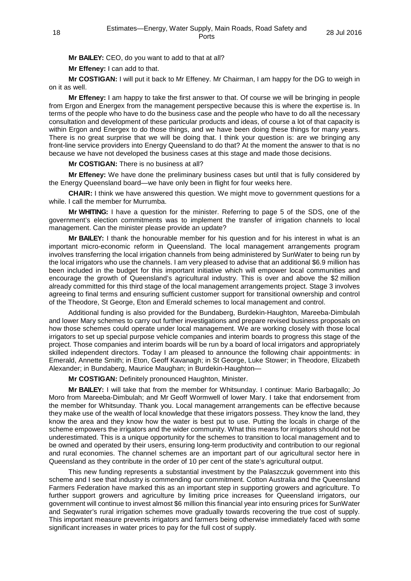**Mr BAILEY:** CEO, do you want to add to that at all?

**Mr Effeney:** I can add to that.

**Mr COSTIGAN:** I will put it back to Mr Effeney. Mr Chairman, I am happy for the DG to weigh in on it as well.

**Mr Effeney:** I am happy to take the first answer to that. Of course we will be bringing in people from Ergon and Energex from the management perspective because this is where the expertise is. In terms of the people who have to do the business case and the people who have to do all the necessary consultation and development of these particular products and ideas, of course a lot of that capacity is within Ergon and Energex to do those things, and we have been doing these things for many years. There is no great surprise that we will be doing that. I think your question is: are we bringing any front-line service providers into Energy Queensland to do that? At the moment the answer to that is no because we have not developed the business cases at this stage and made those decisions.

**Mr COSTIGAN:** There is no business at all?

**Mr Effeney:** We have done the preliminary business cases but until that is fully considered by the Energy Queensland board—we have only been in flight for four weeks here.

**CHAIR:** I think we have answered this question. We might move to government questions for a while. I call the member for Murrumba.

**Mr WHITING:** I have a question for the minister. Referring to page 5 of the SDS, one of the government's election commitments was to implement the transfer of irrigation channels to local management. Can the minister please provide an update?

**Mr BAILEY:** I thank the honourable member for his question and for his interest in what is an important micro-economic reform in Queensland. The local management arrangements program involves transferring the local irrigation channels from being administered by SunWater to being run by the local irrigators who use the channels. I am very pleased to advise that an additional \$6.9 million has been included in the budget for this important initiative which will empower local communities and encourage the growth of Queensland's agricultural industry. This is over and above the \$2 million already committed for this third stage of the local management arrangements project. Stage 3 involves agreeing to final terms and ensuring sufficient customer support for transitional ownership and control of the Theodore, St George, Eton and Emerald schemes to local management and control.

Additional funding is also provided for the Bundaberg, Burdekin-Haughton, Mareeba-Dimbulah and lower Mary schemes to carry out further investigations and prepare revised business proposals on how those schemes could operate under local management. We are working closely with those local irrigators to set up special purpose vehicle companies and interim boards to progress this stage of the project. Those companies and interim boards will be run by a board of local irrigators and appropriately skilled independent directors. Today I am pleased to announce the following chair appointments: in Emerald, Annette Smith; in Eton, Geoff Kavanagh; in St George, Luke Stower; in Theodore, Elizabeth Alexander; in Bundaberg, Maurice Maughan; in Burdekin-Haughton—

**Mr COSTIGAN:** Definitely pronounced Haughton, Minister.

**Mr BAILEY:** I will take that from the member for Whitsunday. I continue: Mario Barbagallo; Jo Moro from Mareeba-Dimbulah; and Mr Geoff Wormwell of lower Mary. I take that endorsement from the member for Whitsunday. Thank you. Local management arrangements can be effective because they make use of the wealth of local knowledge that these irrigators possess. They know the land, they know the area and they know how the water is best put to use. Putting the locals in charge of the scheme empowers the irrigators and the wider community. What this means for irrigators should not be underestimated. This is a unique opportunity for the schemes to transition to local management and to be owned and operated by their users, ensuring long-term productivity and contribution to our regional and rural economies. The channel schemes are an important part of our agricultural sector here in Queensland as they contribute in the order of 10 per cent of the state's agricultural output.

This new funding represents a substantial investment by the Palaszczuk government into this scheme and I see that industry is commending our commitment. Cotton Australia and the Queensland Farmers Federation have marked this as an important step in supporting growers and agriculture. To further support growers and agriculture by limiting price increases for Queensland irrigators, our government will continue to invest almost \$6 million this financial year into ensuring prices for SunWater and Seqwater's rural irrigation schemes move gradually towards recovering the true cost of supply. This important measure prevents irrigators and farmers being otherwise immediately faced with some significant increases in water prices to pay for the full cost of supply.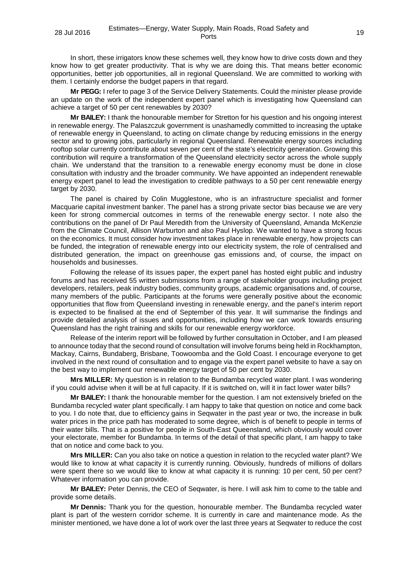In short, these irrigators know these schemes well, they know how to drive costs down and they know how to get greater productivity. That is why we are doing this. That means better economic opportunities, better job opportunities, all in regional Queensland. We are committed to working with them. I certainly endorse the budget papers in that regard.

**Mr PEGG:** I refer to page 3 of the Service Delivery Statements. Could the minister please provide an update on the work of the independent expert panel which is investigating how Queensland can achieve a target of 50 per cent renewables by 2030?

**Mr BAILEY:** I thank the honourable member for Stretton for his question and his ongoing interest in renewable energy. The Palaszczuk government is unashamedly committed to increasing the uptake of renewable energy in Queensland, to acting on climate change by reducing emissions in the energy sector and to growing jobs, particularly in regional Queensland. Renewable energy sources including rooftop solar currently contribute about seven per cent of the state's electricity generation. Growing this contribution will require a transformation of the Queensland electricity sector across the whole supply chain. We understand that the transition to a renewable energy economy must be done in close consultation with industry and the broader community. We have appointed an independent renewable energy expert panel to lead the investigation to credible pathways to a 50 per cent renewable energy target by 2030.

The panel is chaired by Colin Mugglestone, who is an infrastructure specialist and former Macquarie capital investment banker. The panel has a strong private sector bias because we are very keen for strong commercial outcomes in terms of the renewable energy sector. I note also the contributions on the panel of Dr Paul Meredith from the University of Queensland, Amanda McKenzie from the Climate Council, Allison Warburton and also Paul Hyslop. We wanted to have a strong focus on the economics. It must consider how investment takes place in renewable energy, how projects can be funded, the integration of renewable energy into our electricity system, the role of centralised and distributed generation, the impact on greenhouse gas emissions and, of course, the impact on households and businesses.

Following the release of its issues paper, the expert panel has hosted eight public and industry forums and has received 55 written submissions from a range of stakeholder groups including project developers, retailers, peak industry bodies, community groups, academic organisations and, of course, many members of the public. Participants at the forums were generally positive about the economic opportunities that flow from Queensland investing in renewable energy, and the panel's interim report is expected to be finalised at the end of September of this year. It will summarise the findings and provide detailed analysis of issues and opportunities, including how we can work towards ensuring Queensland has the right training and skills for our renewable energy workforce.

Release of the interim report will be followed by further consultation in October, and I am pleased to announce today that the second round of consultation will involve forums being held in Rockhampton, Mackay, Cairns, Bundaberg, Brisbane, Toowoomba and the Gold Coast. I encourage everyone to get involved in the next round of consultation and to engage via the expert panel website to have a say on the best way to implement our renewable energy target of 50 per cent by 2030.

**Mrs MILLER:** My question is in relation to the Bundamba recycled water plant. I was wondering if you could advise when it will be at full capacity. If it is switched on, will it in fact lower water bills?

**Mr BAILEY:** I thank the honourable member for the question. I am not extensively briefed on the Bundamba recycled water plant specifically. I am happy to take that question on notice and come back to you. I do note that, due to efficiency gains in Seqwater in the past year or two, the increase in bulk water prices in the price path has moderated to some degree, which is of benefit to people in terms of their water bills. That is a positive for people in South-East Queensland, which obviously would cover your electorate, member for Bundamba. In terms of the detail of that specific plant, I am happy to take that on notice and come back to you.

**Mrs MILLER:** Can you also take on notice a question in relation to the recycled water plant? We would like to know at what capacity it is currently running. Obviously, hundreds of millions of dollars were spent there so we would like to know at what capacity it is running: 10 per cent, 50 per cent? Whatever information you can provide.

**Mr BAILEY:** Peter Dennis, the CEO of Seqwater, is here. I will ask him to come to the table and provide some details.

**Mr Dennis:** Thank you for the question, honourable member. The Bundamba recycled water plant is part of the western corridor scheme. It is currently in care and maintenance mode. As the minister mentioned, we have done a lot of work over the last three years at Seqwater to reduce the cost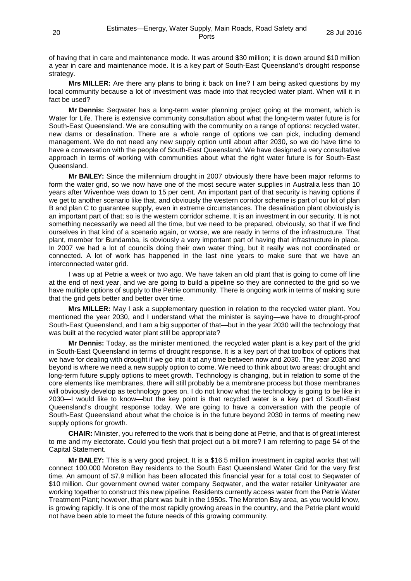of having that in care and maintenance mode. It was around \$30 million; it is down around \$10 million a year in care and maintenance mode. It is a key part of South-East Queensland's drought response strategy.

**Mrs MILLER:** Are there any plans to bring it back on line? I am being asked questions by my local community because a lot of investment was made into that recycled water plant. When will it in fact be used?

**Mr Dennis:** Seqwater has a long-term water planning project going at the moment, which is Water for Life. There is extensive community consultation about what the long-term water future is for South-East Queensland. We are consulting with the community on a range of options: recycled water, new dams or desalination. There are a whole range of options we can pick, including demand management. We do not need any new supply option until about after 2030, so we do have time to have a conversation with the people of South-East Queensland. We have designed a very consultative approach in terms of working with communities about what the right water future is for South-East Queensland.

**Mr BAILEY:** Since the millennium drought in 2007 obviously there have been major reforms to form the water grid, so we now have one of the most secure water supplies in Australia less than 10 years after Wivenhoe was down to 15 per cent. An important part of that security is having options if we get to another scenario like that, and obviously the western corridor scheme is part of our kit of plan B and plan C to guarantee supply, even in extreme circumstances. The desalination plant obviously is an important part of that; so is the western corridor scheme. It is an investment in our security. It is not something necessarily we need all the time, but we need to be prepared, obviously, so that if we find ourselves in that kind of a scenario again, or worse, we are ready in terms of the infrastructure. That plant, member for Bundamba, is obviously a very important part of having that infrastructure in place. In 2007 we had a lot of councils doing their own water thing, but it really was not coordinated or connected. A lot of work has happened in the last nine years to make sure that we have an interconnected water grid.

I was up at Petrie a week or two ago. We have taken an old plant that is going to come off line at the end of next year, and we are going to build a pipeline so they are connected to the grid so we have multiple options of supply to the Petrie community. There is ongoing work in terms of making sure that the grid gets better and better over time.

**Mrs MILLER:** May I ask a supplementary question in relation to the recycled water plant. You mentioned the year 2030, and I understand what the minister is saying—we have to drought-proof South-East Queensland, and I am a big supporter of that—but in the year 2030 will the technology that was built at the recycled water plant still be appropriate?

**Mr Dennis:** Today, as the minister mentioned, the recycled water plant is a key part of the grid in South-East Queensland in terms of drought response. It is a key part of that toolbox of options that we have for dealing with drought if we go into it at any time between now and 2030. The year 2030 and beyond is where we need a new supply option to come. We need to think about two areas: drought and long-term future supply options to meet growth. Technology is changing, but in relation to some of the core elements like membranes, there will still probably be a membrane process but those membranes will obviously develop as technology goes on. I do not know what the technology is going to be like in 2030—I would like to know—but the key point is that recycled water is a key part of South-East Queensland's drought response today. We are going to have a conversation with the people of South-East Queensland about what the choice is in the future beyond 2030 in terms of meeting new supply options for growth.

**CHAIR:** Minister, you referred to the work that is being done at Petrie, and that is of great interest to me and my electorate. Could you flesh that project out a bit more? I am referring to page 54 of the Capital Statement.

**Mr BAILEY:** This is a very good project. It is a \$16.5 million investment in capital works that will connect 100,000 Moreton Bay residents to the South East Queensland Water Grid for the very first time. An amount of \$7.9 million has been allocated this financial year for a total cost to Seqwater of \$10 million. Our government owned water company Seqwater, and the water retailer Unitywater are working together to construct this new pipeline. Residents currently access water from the Petrie Water Treatment Plant; however, that plant was built in the 1950s. The Moreton Bay area, as you would know, is growing rapidly. It is one of the most rapidly growing areas in the country, and the Petrie plant would not have been able to meet the future needs of this growing community.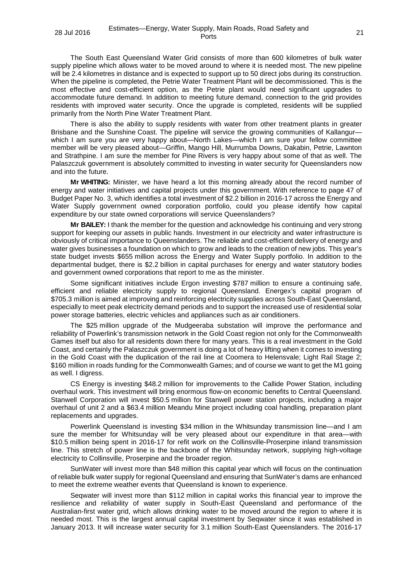The South East Queensland Water Grid consists of more than 600 kilometres of bulk water supply pipeline which allows water to be moved around to where it is needed most. The new pipeline will be 2.4 kilometres in distance and is expected to support up to 50 direct jobs during its construction. When the pipeline is completed, the Petrie Water Treatment Plant will be decommissioned. This is the most effective and cost-efficient option, as the Petrie plant would need significant upgrades to accommodate future demand. In addition to meeting future demand, connection to the grid provides residents with improved water security. Once the upgrade is completed, residents will be supplied primarily from the North Pine Water Treatment Plant.

There is also the ability to supply residents with water from other treatment plants in greater Brisbane and the Sunshine Coast. The pipeline will service the growing communities of Kallangur which I am sure you are very happy about—North Lakes—which I am sure your fellow committee member will be very pleased about—Griffin, Mango Hill, Murrumba Downs, Dakabin, Petrie, Lawnton and Strathpine. I am sure the member for Pine Rivers is very happy about some of that as well. The Palaszczuk government is absolutely committed to investing in water security for Queenslanders now and into the future.

**Mr WHITING:** Minister, we have heard a lot this morning already about the record number of energy and water initiatives and capital projects under this government. With reference to page 47 of Budget Paper No. 3, which identifies a total investment of \$2.2 billion in 2016-17 across the Energy and Water Supply government owned corporation portfolio, could you please identify how capital expenditure by our state owned corporations will service Queenslanders?

**Mr BAILEY:** I thank the member for the question and acknowledge his continuing and very strong support for keeping our assets in public hands. Investment in our electricity and water infrastructure is obviously of critical importance to Queenslanders. The reliable and cost-efficient delivery of energy and water gives businesses a foundation on which to grow and leads to the creation of new jobs. This year's state budget invests \$655 million across the Energy and Water Supply portfolio. In addition to the departmental budget, there is \$2.2 billion in capital purchases for energy and water statutory bodies and government owned corporations that report to me as the minister.

Some significant initiatives include Ergon investing \$787 million to ensure a continuing safe, efficient and reliable electricity supply to regional Queensland. Energex's capital program of \$705.3 million is aimed at improving and reinforcing electricity supplies across South-East Queensland, especially to meet peak electricity demand periods and to support the increased use of residential solar power storage batteries, electric vehicles and appliances such as air conditioners.

The \$25 million upgrade of the Mudgeeraba substation will improve the performance and reliability of Powerlink's transmission network in the Gold Coast region not only for the Commonwealth Games itself but also for all residents down there for many years. This is a real investment in the Gold Coast, and certainly the Palaszczuk government is doing a lot of heavy lifting when it comes to investing in the Gold Coast with the duplication of the rail line at Coomera to Helensvale; Light Rail Stage 2; \$160 million in roads funding for the Commonwealth Games; and of course we want to get the M1 going as well. I digress.

CS Energy is investing \$48.2 million for improvements to the Callide Power Station, including overhaul work. This investment will bring enormous flow-on economic benefits to Central Queensland. Stanwell Corporation will invest \$50.5 million for Stanwell power station projects, including a major overhaul of unit 2 and a \$63.4 million Meandu Mine project including coal handling, preparation plant replacements and upgrades.

Powerlink Queensland is investing \$34 million in the Whitsunday transmission line—and I am sure the member for Whitsunday will be very pleased about our expenditure in that area—with \$10.5 million being spent in 2016-17 for refit work on the Collinsville-Proserpine inland transmission line. This stretch of power line is the backbone of the Whitsunday network, supplying high-voltage electricity to Collinsville, Proserpine and the broader region.

SunWater will invest more than \$48 million this capital year which will focus on the continuation of reliable bulk water supply for regional Queensland and ensuring that SunWater's dams are enhanced to meet the extreme weather events that Queensland is known to experience.

Seqwater will invest more than \$112 million in capital works this financial year to improve the resilience and reliability of water supply in South-East Queensland and performance of the Australian-first water grid, which allows drinking water to be moved around the region to where it is needed most. This is the largest annual capital investment by Seqwater since it was established in January 2013. It will increase water security for 3.1 million South-East Queenslanders. The 2016-17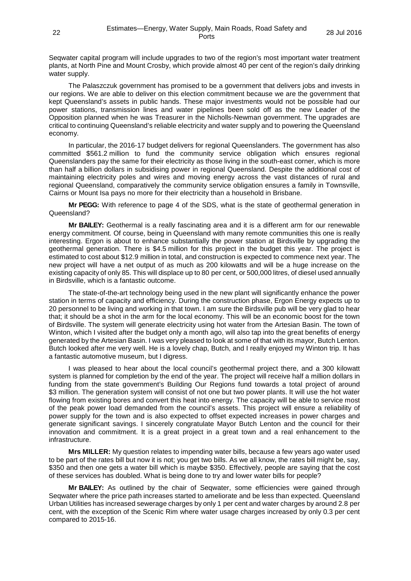Seqwater capital program will include upgrades to two of the region's most important water treatment plants, at North Pine and Mount Crosby, which provide almost 40 per cent of the region's daily drinking water supply.

The Palaszczuk government has promised to be a government that delivers jobs and invests in our regions. We are able to deliver on this election commitment because we are the government that kept Queensland's assets in public hands. These major investments would not be possible had our power stations, transmission lines and water pipelines been sold off as the new Leader of the Opposition planned when he was Treasurer in the Nicholls-Newman government. The upgrades are critical to continuing Queensland's reliable electricity and water supply and to powering the Queensland economy.

In particular, the 2016-17 budget delivers for regional Queenslanders. The government has also committed \$561.2 million to fund the community service obligation which ensures regional Queenslanders pay the same for their electricity as those living in the south-east corner, which is more than half a billion dollars in subsidising power in regional Queensland. Despite the additional cost of maintaining electricity poles and wires and moving energy across the vast distances of rural and regional Queensland, comparatively the community service obligation ensures a family in Townsville, Cairns or Mount Isa pays no more for their electricity than a household in Brisbane.

**Mr PEGG:** With reference to page 4 of the SDS, what is the state of geothermal generation in Queensland?

**Mr BAILEY:** Geothermal is a really fascinating area and it is a different arm for our renewable energy commitment. Of course, being in Queensland with many remote communities this one is really interesting. Ergon is about to enhance substantially the power station at Birdsville by upgrading the geothermal generation. There is \$4.5 million for this project in the budget this year. The project is estimated to cost about \$12.9 million in total, and construction is expected to commence next year. The new project will have a net output of as much as 200 kilowatts and will be a huge increase on the existing capacity of only 85. This will displace up to 80 per cent, or 500,000 litres, of diesel used annually in Birdsville, which is a fantastic outcome.

The state-of-the-art technology being used in the new plant will significantly enhance the power station in terms of capacity and efficiency. During the construction phase, Ergon Energy expects up to 20 personnel to be living and working in that town. I am sure the Birdsville pub will be very glad to hear that; it should be a shot in the arm for the local economy. This will be an economic boost for the town of Birdsville. The system will generate electricity using hot water from the Artesian Basin. The town of Winton, which I visited after the budget only a month ago, will also tap into the great benefits of energy generated by the Artesian Basin. I was very pleased to look at some of that with its mayor, Butch Lenton. Butch looked after me very well. He is a lovely chap, Butch, and I really enjoyed my Winton trip. It has a fantastic automotive museum, but I digress.

I was pleased to hear about the local council's geothermal project there, and a 300 kilowatt system is planned for completion by the end of the year. The project will receive half a million dollars in funding from the state government's Building Our Regions fund towards a total project of around \$3 million. The generation system will consist of not one but two power plants. It will use the hot water flowing from existing bores and convert this heat into energy. The capacity will be able to service most of the peak power load demanded from the council's assets. This project will ensure a reliability of power supply for the town and is also expected to offset expected increases in power charges and generate significant savings. I sincerely congratulate Mayor Butch Lenton and the council for their innovation and commitment. It is a great project in a great town and a real enhancement to the infrastructure.

**Mrs MILLER:** My question relates to impending water bills, because a few years ago water used to be part of the rates bill but now it is not; you get two bills. As we all know, the rates bill might be, say, \$350 and then one gets a water bill which is maybe \$350. Effectively, people are saying that the cost of these services has doubled. What is being done to try and lower water bills for people?

**Mr BAILEY:** As outlined by the chair of Seqwater, some efficiencies were gained through Seqwater where the price path increases started to ameliorate and be less than expected. Queensland Urban Utilities has increased sewerage charges by only 1 per cent and water charges by around 2.8 per cent, with the exception of the Scenic Rim where water usage charges increased by only 0.3 per cent compared to 2015-16.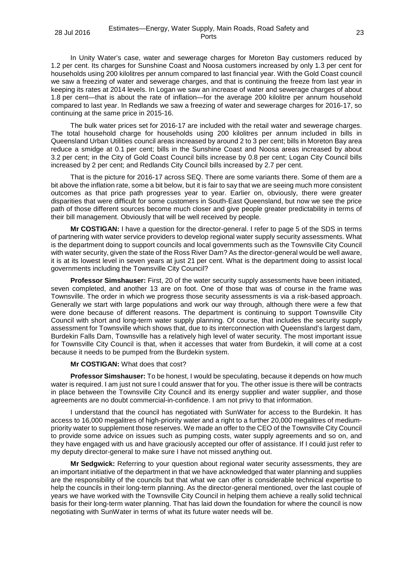In Unity Water's case, water and sewerage charges for Moreton Bay customers reduced by 1.2 per cent. Its charges for Sunshine Coast and Noosa customers increased by only 1.3 per cent for households using 200 kilolitres per annum compared to last financial year. With the Gold Coast council we saw a freezing of water and sewerage charges, and that is continuing the freeze from last year in keeping its rates at 2014 levels. In Logan we saw an increase of water and sewerage charges of about 1.8 per cent—that is about the rate of inflation—for the average 200 kilolitre per annum household compared to last year. In Redlands we saw a freezing of water and sewerage charges for 2016-17, so continuing at the same price in 2015-16.

The bulk water prices set for 2016-17 are included with the retail water and sewerage charges. The total household charge for households using 200 kilolitres per annum included in bills in Queensland Urban Utilities council areas increased by around 2 to 3 per cent; bills in Moreton Bay area reduce a smidge at 0.1 per cent; bills in the Sunshine Coast and Noosa areas increased by about 3.2 per cent; in the City of Gold Coast Council bills increase by 0.8 per cent; Logan City Council bills increased by 2 per cent; and Redlands City Council bills increased by 2.7 per cent.

That is the picture for 2016-17 across SEQ. There are some variants there. Some of them are a bit above the inflation rate, some a bit below, but it is fair to say that we are seeing much more consistent outcomes as that price path progresses year to year. Earlier on, obviously, there were greater disparities that were difficult for some customers in South-East Queensland, but now we see the price path of those different sources become much closer and give people greater predictability in terms of their bill management. Obviously that will be well received by people.

**Mr COSTIGAN:** I have a question for the director-general. I refer to page 5 of the SDS in terms of partnering with water service providers to develop regional water supply security assessments. What is the department doing to support councils and local governments such as the Townsville City Council with water security, given the state of the Ross River Dam? As the director-general would be well aware, it is at its lowest level in seven years at just 21 per cent. What is the department doing to assist local governments including the Townsville City Council?

**Professor Simshauser:** First, 20 of the water security supply assessments have been initiated, seven completed, and another 13 are on foot. One of those that was of course in the frame was Townsville. The order in which we progress those security assessments is via a risk-based approach. Generally we start with large populations and work our way through, although there were a few that were done because of different reasons. The department is continuing to support Townsville City Council with short and long-term water supply planning. Of course, that includes the security supply assessment for Townsville which shows that, due to its interconnection with Queensland's largest dam, Burdekin Falls Dam, Townsville has a relatively high level of water security. The most important issue for Townsville City Council is that, when it accesses that water from Burdekin, it will come at a cost because it needs to be pumped from the Burdekin system.

#### **Mr COSTIGAN:** What does that cost?

**Professor Simshauser:** To be honest, I would be speculating, because it depends on how much water is required. I am just not sure I could answer that for you. The other issue is there will be contracts in place between the Townsville City Council and its energy supplier and water supplier, and those agreements are no doubt commercial-in-confidence. I am not privy to that information.

I understand that the council has negotiated with SunWater for access to the Burdekin. It has access to 16,000 megalitres of high-priority water and a right to a further 20,000 megalitres of mediumpriority water to supplement those reserves. We made an offer to the CEO of the Townsville City Council to provide some advice on issues such as pumping costs, water supply agreements and so on, and they have engaged with us and have graciously accepted our offer of assistance. If I could just refer to my deputy director-general to make sure I have not missed anything out.

**Mr Sedgwick:** Referring to your question about regional water security assessments, they are an important initiative of the department in that we have acknowledged that water planning and supplies are the responsibility of the councils but that what we can offer is considerable technical expertise to help the councils in their long-term planning. As the director-general mentioned, over the last couple of years we have worked with the Townsville City Council in helping them achieve a really solid technical basis for their long-term water planning. That has laid down the foundation for where the council is now negotiating with SunWater in terms of what its future water needs will be.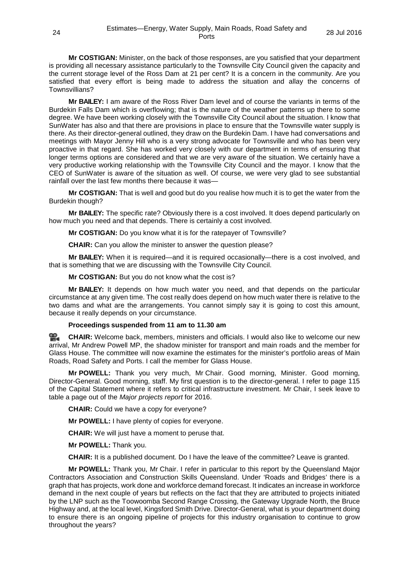**Mr COSTIGAN:** Minister, on the back of those responses, are you satisfied that your department is providing all necessary assistance particularly to the Townsville City Council given the capacity and the current storage level of the Ross Dam at 21 per cent? It is a concern in the community. Are you satisfied that every effort is being made to address the situation and allay the concerns of Townsvillians?

**Mr BAILEY:** I am aware of the Ross River Dam level and of course the variants in terms of the Burdekin Falls Dam which is overflowing; that is the nature of the weather patterns up there to some degree. We have been working closely with the Townsville City Council about the situation. I know that SunWater has also and that there are provisions in place to ensure that the Townsville water supply is there. As their director-general outlined, they draw on the Burdekin Dam. I have had conversations and meetings with Mayor Jenny Hill who is a very strong advocate for Townsville and who has been very proactive in that regard. She has worked very closely with our department in terms of ensuring that longer terms options are considered and that we are very aware of the situation. We certainly have a very productive working relationship with the Townsville City Council and the mayor. I know that the CEO of SunWater is aware of the situation as well. Of course, we were very glad to see substantial rainfall over the last few months there because it was—

**Mr COSTIGAN:** That is well and good but do you realise how much it is to get the water from the Burdekin though?

**Mr BAILEY:** The specific rate? Obviously there is a cost involved. It does depend particularly on how much you need and that depends. There is certainly a cost involved.

**Mr COSTIGAN:** Do you know what it is for the ratepayer of Townsville?

**CHAIR:** Can you allow the minister to answer the question please?

**Mr BAILEY:** When it is required—and it is required occasionally—there is a cost involved, and that is something that we are discussing with the Townsville City Council.

**Mr COSTIGAN:** But you do not know what the cost is?

**Mr BAILEY:** It depends on how much water you need, and that depends on the particular circumstance at any given time. The cost really does depend on how much water there is relative to the two dams and what are the arrangements. You cannot simply say it is going to cost this amount, because it really depends on your circumstance.

#### **Proceedings suspended from 11 am to 11.30 am**

<u>ഇ</u> **[CHAIR:](http://www.parliament.qld.gov.au/docs/find.aspx?id=0Mba20160728_113018)** Welcome back, members, ministers and officials. I would also like to welcome our new arrival, Mr Andrew Powell MP, the shadow minister for transport and main roads and the member for Glass House. The committee will now examine the estimates for the minister's portfolio areas of Main Roads, Road Safety and Ports. I call the member for Glass House.

**Mr POWELL:** Thank you very much, Mr Chair. Good morning, Minister. Good morning, Director-General. Good morning, staff. My first question is to the director-general. I refer to page 115 of the Capital Statement where it refers to critical infrastructure investment. Mr Chair, I seek leave to table a page out of the *Major projects report* for 2016.

**CHAIR:** Could we have a copy for everyone?

**Mr POWELL:** I have plenty of copies for everyone.

**CHAIR:** We will just have a moment to peruse that.

**Mr POWELL:** Thank you.

**CHAIR:** It is a published document. Do I have the leave of the committee? Leave is granted.

**Mr POWELL:** Thank you, Mr Chair. I refer in particular to this report by the Queensland Major Contractors Association and Construction Skills Queensland. Under 'Roads and Bridges' there is a graph that has projects, work done and workforce demand forecast. It indicates an increase in workforce demand in the next couple of years but reflects on the fact that they are attributed to projects initiated by the LNP such as the Toowoomba Second Range Crossing, the Gateway Upgrade North, the Bruce Highway and, at the local level, Kingsford Smith Drive. Director-General, what is your department doing to ensure there is an ongoing pipeline of projects for this industry organisation to continue to grow throughout the years?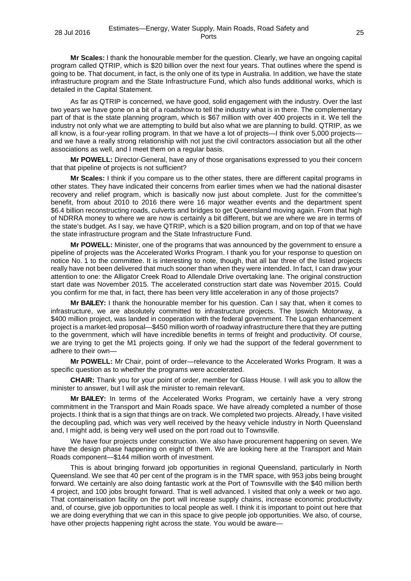**Mr Scales:** I thank the honourable member for the question. Clearly, we have an ongoing capital program called QTRIP, which is \$20 billion over the next four years. That outlines where the spend is going to be. That document, in fact, is the only one of its type in Australia. In addition, we have the state infrastructure program and the State Infrastructure Fund, which also funds additional works, which is detailed in the Capital Statement.

As far as QTRIP is concerned, we have good, solid engagement with the industry. Over the last two years we have gone on a bit of a roadshow to tell the industry what is in there. The complementary part of that is the state planning program, which is \$67 million with over 400 projects in it. We tell the industry not only what we are attempting to build but also what we are planning to build. QTRIP, as we all know, is a four-year rolling program. In that we have a lot of projects—I think over 5,000 projects and we have a really strong relationship with not just the civil contractors association but all the other associations as well, and I meet them on a regular basis.

**Mr POWELL:** Director-General, have any of those organisations expressed to you their concern that that pipeline of projects is not sufficient?

**Mr Scales:** I think if you compare us to the other states, there are different capital programs in other states. They have indicated their concerns from earlier times when we had the national disaster recovery and relief program, which is basically now just about complete. Just for the committee's benefit, from about 2010 to 2016 there were 16 major weather events and the department spent \$6.4 billion reconstructing roads, culverts and bridges to get Queensland moving again. From that high of NDRRA money to where we are now is certainly a bit different, but we are where we are in terms of the state's budget. As I say, we have QTRIP, which is a \$20 billion program, and on top of that we have the state infrastructure program and the State Infrastructure Fund.

**Mr POWELL:** Minister, one of the programs that was announced by the government to ensure a pipeline of projects was the Accelerated Works Program. I thank you for your response to question on notice No. 1 to the committee. It is interesting to note, though, that all bar three of the listed projects really have not been delivered that much sooner than when they were intended. In fact, I can draw your attention to one: the Alligator Creek Road to Allendale Drive overtaking lane. The original construction start date was November 2015. The accelerated construction start date was November 2015. Could you confirm for me that, in fact, there has been very little acceleration in any of those projects?

**Mr BAILEY:** I thank the honourable member for his question. Can I say that, when it comes to infrastructure, we are absolutely committed to infrastructure projects. The Ipswich Motorway, a \$400 million project, was landed in cooperation with the federal government. The Logan enhancement project is a market-led proposal—\$450 million worth of roadway infrastructure there that they are putting to the government, which will have incredible benefits in terms of freight and productivity. Of course, we are trying to get the M1 projects going. If only we had the support of the federal government to adhere to their own—

**Mr POWELL:** Mr Chair, point of order—relevance to the Accelerated Works Program. It was a specific question as to whether the programs were accelerated.

**CHAIR:** Thank you for your point of order, member for Glass House. I will ask you to allow the minister to answer, but I will ask the minister to remain relevant.

**Mr BAILEY:** In terms of the Accelerated Works Program, we certainly have a very strong commitment in the Transport and Main Roads space. We have already completed a number of those projects. I think that is a sign that things are on track. We completed two projects. Already, I have visited the decoupling pad, which was very well received by the heavy vehicle industry in North Queensland and, I might add, is being very well used on the port road out to Townsville.

We have four projects under construction. We also have procurement happening on seven. We have the design phase happening on eight of them. We are looking here at the Transport and Main Roads component—\$144 million worth of investment.

This is about bringing forward job opportunities in regional Queensland, particularly in North Queensland. We see that 40 per cent of the program is in the TMR space, with 953 jobs being brought forward. We certainly are also doing fantastic work at the Port of Townsville with the \$40 million berth 4 project, and 100 jobs brought forward. That is well advanced. I visited that only a week or two ago. That containerisation facility on the port will increase supply chains, increase economic productivity and, of course, give job opportunities to local people as well. I think it is important to point out here that we are doing everything that we can in this space to give people job opportunities. We also, of course, have other projects happening right across the state. You would be aware—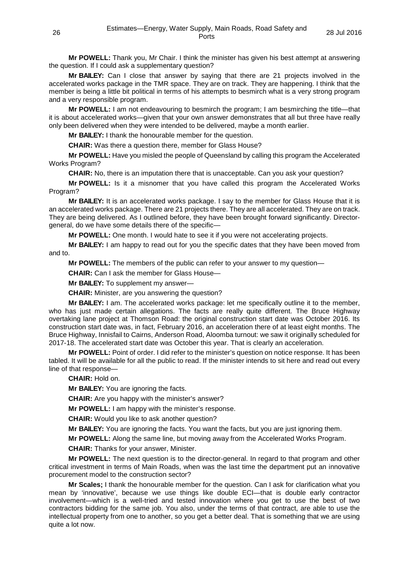**Mr POWELL:** Thank you, Mr Chair. I think the minister has given his best attempt at answering the question. If I could ask a supplementary question?

**Mr BAILEY:** Can I close that answer by saying that there are 21 projects involved in the accelerated works package in the TMR space. They are on track. They are happening. I think that the member is being a little bit political in terms of his attempts to besmirch what is a very strong program and a very responsible program.

**Mr POWELL:** I am not endeavouring to besmirch the program; I am besmirching the title—that it is about accelerated works—given that your own answer demonstrates that all but three have really only been delivered when they were intended to be delivered, maybe a month earlier.

**Mr BAILEY:** I thank the honourable member for the question.

**CHAIR:** Was there a question there, member for Glass House?

**Mr POWELL:** Have you misled the people of Queensland by calling this program the Accelerated Works Program?

**CHAIR:** No, there is an imputation there that is unacceptable. Can you ask your question?

**Mr POWELL:** Is it a misnomer that you have called this program the Accelerated Works Program?

**Mr BAILEY:** It is an accelerated works package. I say to the member for Glass House that it is an accelerated works package. There are 21 projects there. They are all accelerated. They are on track. They are being delivered. As I outlined before, they have been brought forward significantly. Directorgeneral, do we have some details there of the specific—

**Mr POWELL:** One month. I would hate to see it if you were not accelerating projects.

**Mr BAILEY:** I am happy to read out for you the specific dates that they have been moved from and to.

**Mr POWELL:** The members of the public can refer to your answer to my question—

**CHAIR:** Can I ask the member for Glass House—

**Mr BAILEY:** To supplement my answer—

**CHAIR:** Minister, are you answering the question?

**Mr BAILEY:** I am. The accelerated works package: let me specifically outline it to the member, who has just made certain allegations. The facts are really quite different. The Bruce Highway overtaking lane project at Thomson Road: the original construction start date was October 2016. Its construction start date was, in fact, February 2016, an acceleration there of at least eight months. The Bruce Highway, Innisfail to Cairns, Anderson Road, Aloomba turnout: we saw it originally scheduled for 2017-18. The accelerated start date was October this year. That is clearly an acceleration.

**Mr POWELL:** Point of order. I did refer to the minister's question on notice response. It has been tabled. It will be available for all the public to read. If the minister intends to sit here and read out every line of that response—

**CHAIR:** Hold on.

**Mr BAILEY:** You are ignoring the facts.

**CHAIR:** Are you happy with the minister's answer?

**Mr POWELL:** I am happy with the minister's response.

**CHAIR:** Would you like to ask another question?

**Mr BAILEY:** You are ignoring the facts. You want the facts, but you are just ignoring them.

**Mr POWELL:** Along the same line, but moving away from the Accelerated Works Program.

**CHAIR:** Thanks for your answer, Minister.

**Mr POWELL:** The next question is to the director-general. In regard to that program and other critical investment in terms of Main Roads, when was the last time the department put an innovative procurement model to the construction sector?

**Mr Scales;** I thank the honourable member for the question. Can I ask for clarification what you mean by 'innovative', because we use things like double ECI—that is double early contractor involvement—which is a well-tried and tested innovation where you get to use the best of two contractors bidding for the same job. You also, under the terms of that contract, are able to use the intellectual property from one to another, so you get a better deal. That is something that we are using quite a lot now.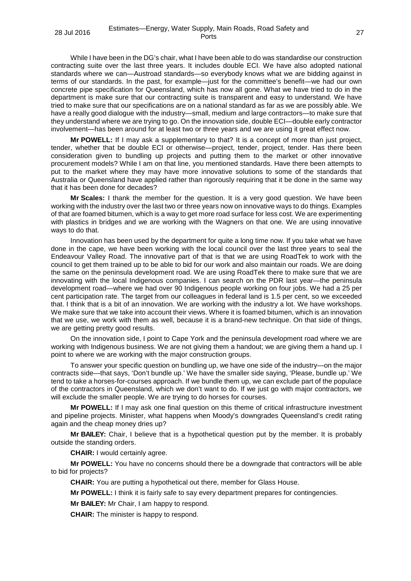While I have been in the DG's chair, what I have been able to do was standardise our construction contracting suite over the last three years. It includes double ECI. We have also adopted national standards where we can—Austroad standards—so everybody knows what we are bidding against in terms of our standards. In the past, for example—just for the committee's benefit—we had our own concrete pipe specification for Queensland, which has now all gone. What we have tried to do in the department is make sure that our contracting suite is transparent and easy to understand. We have tried to make sure that our specifications are on a national standard as far as we are possibly able. We have a really good dialogue with the industry—small, medium and large contractors—to make sure that they understand where we are trying to go. On the innovation side, double ECI—double early contractor involvement—has been around for at least two or three years and we are using it great effect now.

**Mr POWELL:** If I may ask a supplementary to that? It is a concept of more than just project, tender, whether that be double ECI or otherwise—project, tender, project, tender. Has there been consideration given to bundling up projects and putting them to the market or other innovative procurement models? While I am on that line, you mentioned standards. Have there been attempts to put to the market where they may have more innovative solutions to some of the standards that Australia or Queensland have applied rather than rigorously requiring that it be done in the same way that it has been done for decades?

**Mr Scales:** I thank the member for the question. It is a very good question. We have been working with the industry over the last two or three years now on innovative ways to do things. Examples of that are foamed bitumen, which is a way to get more road surface for less cost. We are experimenting with plastics in bridges and we are working with the Wagners on that one. We are using innovative ways to do that.

Innovation has been used by the department for quite a long time now. If you take what we have done in the cape, we have been working with the local council over the last three years to seal the Endeavour Valley Road. The innovative part of that is that we are using RoadTek to work with the council to get them trained up to be able to bid for our work and also maintain our roads. We are doing the same on the peninsula development road. We are using RoadTek there to make sure that we are innovating with the local Indigenous companies. I can search on the PDR last year—the peninsula development road—where we had over 90 Indigenous people working on four jobs. We had a 25 per cent participation rate. The target from our colleagues in federal land is 1.5 per cent, so we exceeded that. I think that is a bit of an innovation. We are working with the industry a lot. We have workshops. We make sure that we take into account their views. Where it is foamed bitumen, which is an innovation that we use, we work with them as well, because it is a brand-new technique. On that side of things, we are getting pretty good results.

On the innovation side, I point to Cape York and the peninsula development road where we are working with Indigenous business. We are not giving them a handout; we are giving them a hand up. I point to where we are working with the major construction groups.

To answer your specific question on bundling up, we have one side of the industry—on the major contracts side—that says, 'Don't bundle up.' We have the smaller side saying, 'Please, bundle up.' We tend to take a horses-for-courses approach. If we bundle them up, we can exclude part of the populace of the contractors in Queensland, which we don't want to do. If we just go with major contractors, we will exclude the smaller people. We are trying to do horses for courses.

**Mr POWELL:** If I may ask one final question on this theme of critical infrastructure investment and pipeline projects. Minister, what happens when Moody's downgrades Queensland's credit rating again and the cheap money dries up?

**Mr BAILEY:** Chair, I believe that is a hypothetical question put by the member. It is probably outside the standing orders.

**CHAIR:** I would certainly agree.

**Mr POWELL:** You have no concerns should there be a downgrade that contractors will be able to bid for projects?

**CHAIR:** You are putting a hypothetical out there, member for Glass House.

**Mr POWELL:** I think it is fairly safe to say every department prepares for contingencies.

**Mr BAILEY:** Mr Chair, I am happy to respond.

**CHAIR:** The minister is happy to respond.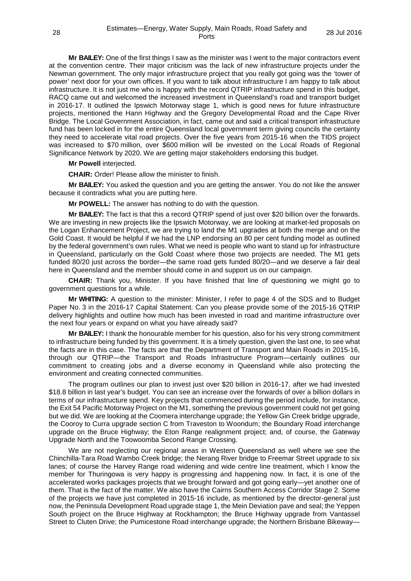**Mr BAILEY:** One of the first things I saw as the minister was I went to the major contractors event at the convention centre. Their major criticism was the lack of new infrastructure projects under the Newman government. The only major infrastructure project that you really got going was the 'tower of power' next door for your own offices. If you want to talk about infrastructure I am happy to talk about infrastructure. It is not just me who is happy with the record QTRIP infrastructure spend in this budget, RACQ came out and welcomed the increased investment in Queensland's road and transport budget in 2016-17. It outlined the Ipswich Motorway stage 1, which is good news for future infrastructure projects, mentioned the Hann Highway and the Gregory Developmental Road and the Cape River Bridge. The Local Government Association, in fact, came out and said a critical transport infrastructure fund has been locked in for the entire Queensland local government term giving councils the certainty they need to accelerate vital road projects. Over the five years from 2015-16 when the TIDS project was increased to \$70 million, over \$600 million will be invested on the Local Roads of Regional Significance Network by 2020. We are getting major stakeholders endorsing this budget.

**Mr Powell** interjected.

**CHAIR:** Order! Please allow the minister to finish.

**Mr BAILEY:** You asked the question and you are getting the answer. You do not like the answer because it contradicts what you are putting here.

**Mr POWELL:** The answer has nothing to do with the question.

**Mr BAILEY:** The fact is that this a record QTRIP spend of just over \$20 billion over the forwards. We are investing in new projects like the Ipswich Motorway, we are looking at market-led proposals on the Logan Enhancement Project, we are trying to land the M1 upgrades at both the merge and on the Gold Coast. It would be helpful if we had the LNP endorsing an 80 per cent funding model as outlined by the federal government's own rules. What we need is people who want to stand up for infrastructure in Queensland, particularly on the Gold Coast where those two projects are needed. The M1 gets funded 80/20 just across the border—the same road gets funded 80/20—and we deserve a fair deal here in Queensland and the member should come in and support us on our campaign.

**CHAIR:** Thank you, Minister. If you have finished that line of questioning we might go to government questions for a while.

**Mr WHITING:** A question to the minister: Minister, I refer to page 4 of the SDS and to Budget Paper No. 3 in the 2016-17 Capital Statement. Can you please provide some of the 2015-16 QTRIP delivery highlights and outline how much has been invested in road and maritime infrastructure over the next four years or expand on what you have already said?

**Mr BAILEY:** I thank the honourable member for his question, also for his very strong commitment to infrastructure being funded by this government. It is a timely question, given the last one, to see what the facts are in this case. The facts are that the Department of Transport and Main Roads in 2015-16, through our QTRIP—the Transport and Roads Infrastructure Program—certainly outlines our commitment to creating jobs and a diverse economy in Queensland while also protecting the environment and creating connected communities.

The program outlines our plan to invest just over \$20 billion in 2016-17, after we had invested \$18.8 billion in last year's budget. You can see an increase over the forwards of over a billion dollars in terms of our infrastructure spend. Key projects that commenced during the period include, for instance, the Exit 54 Pacific Motorway Project on the M1, something the previous government could not get going but we did. We are looking at the Coomera interchange upgrade; the Yellow Gin Creek bridge upgrade, the Cooroy to Curra upgrade section C from Traveston to Woondum; the Boundary Road interchange upgrade on the Bruce Highway; the Eton Range realignment project; and, of course, the Gateway Upgrade North and the Toowoomba Second Range Crossing.

We are not neglecting our regional areas in Western Queensland as well where we see the Chinchilla-Tara Road Wambo Creek bridge; the Nerang River bridge to Freemar Street upgrade to six lanes; of course the Harvey Range road widening and wide centre line treatment, which I know the member for Thuringowa is very happy is progressing and happening now. In fact, it is one of the accelerated works packages projects that we brought forward and got going early—yet another one of them. That is the fact of the matter. We also have the Cairns Southern Access Corridor Stage 2. Some of the projects we have just completed in 2015-16 include, as mentioned by the director-general just now, the Peninsula Development Road upgrade stage 1, the Mein Deviation pave and seal; the Yeppen South project on the Bruce Highway at Rockhampton; the Bruce Highway upgrade from Vantassel Street to Cluten Drive; the Pumicestone Road interchange upgrade; the Northern Brisbane Bikeway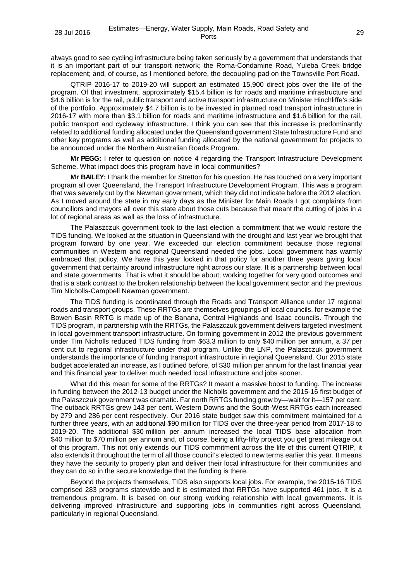always good to see cycling infrastructure being taken seriously by a government that understands that it is an important part of our transport network; the Roma-Condamine Road, Yuleba Creek bridge replacement; and, of course, as I mentioned before, the decoupling pad on the Townsville Port Road.

QTRIP 2016-17 to 2019-20 will support an estimated 15,900 direct jobs over the life of the program. Of that investment, approximately \$15.4 billion is for roads and maritime infrastructure and \$4.6 billion is for the rail, public transport and active transport infrastructure on Minister Hinchliffe's side of the portfolio. Approximately \$4.7 billion is to be invested in planned road transport infrastructure in 2016-17 with more than \$3.1 billion for roads and maritime infrastructure and \$1.6 billion for the rail, public transport and cycleway infrastructure. I think you can see that this increase is predominantly related to additional funding allocated under the Queensland government State Infrastructure Fund and other key programs as well as additional funding allocated by the national government for projects to be announced under the Northern Australian Roads Program.

**Mr PEGG:** I refer to question on notice 4 regarding the Transport Infrastructure Development Scheme. What impact does this program have in local communities?

**Mr BAILEY:** I thank the member for Stretton for his question. He has touched on a very important program all over Queensland, the Transport Infrastructure Development Program. This was a program that was severely cut by the Newman government, which they did not indicate before the 2012 election. As I moved around the state in my early days as the Minister for Main Roads I got complaints from councillors and mayors all over this state about those cuts because that meant the cutting of jobs in a lot of regional areas as well as the loss of infrastructure.

The Palaszczuk government took to the last election a commitment that we would restore the TIDS funding. We looked at the situation in Queensland with the drought and last year we brought that program forward by one year. We exceeded our election commitment because those regional communities in Western and regional Queensland needed the jobs. Local government has warmly embraced that policy. We have this year locked in that policy for another three years giving local government that certainty around infrastructure right across our state. It is a partnership between local and state governments. That is what it should be about; working together for very good outcomes and that is a stark contrast to the broken relationship between the local government sector and the previous Tim Nicholls-Campbell Newman government.

The TIDS funding is coordinated through the Roads and Transport Alliance under 17 regional roads and transport groups. These RRTGs are themselves groupings of local councils, for example the Bowen Basin RRTG is made up of the Banana, Central Highlands and Isaac councils. Through the TIDS program, in partnership with the RRTGs, the Palaszczuk government delivers targeted investment in local government transport infrastructure. On forming government in 2012 the previous government under Tim Nicholls reduced TIDS funding from \$63.3 million to only \$40 million per annum, a 37 per cent cut to regional infrastructure under that program. Unlike the LNP, the Palaszczuk government understands the importance of funding transport infrastructure in regional Queensland. Our 2015 state budget accelerated an increase, as I outlined before, of \$30 million per annum for the last financial year and this financial year to deliver much needed local infrastructure and jobs sooner.

What did this mean for some of the RRTGs? It meant a massive boost to funding. The increase in funding between the 2012-13 budget under the Nicholls government and the 2015-16 first budget of the Palaszczuk government was dramatic. Far north RRTGs funding grew by—wait for it—157 per cent. The outback RRTGs grew 143 per cent. Western Downs and the South-West RRTGs each increased by 279 and 286 per cent respectively. Our 2016 state budget saw this commitment maintained for a further three years, with an additional \$90 million for TIDS over the three-year period from 2017-18 to 2019-20. The additional \$30 million per annum increased the local TIDS base allocation from \$40 million to \$70 million per annum and, of course, being a fifty-fifty project you get great mileage out of this program. This not only extends our TIDS commitment across the life of this current QTRIP, it also extends it throughout the term of all those council's elected to new terms earlier this year. It means they have the security to properly plan and deliver their local infrastructure for their communities and they can do so in the secure knowledge that the funding is there.

Beyond the projects themselves, TIDS also supports local jobs. For example, the 2015-16 TIDS comprised 283 programs statewide and it is estimated that RRTGs have supported 461 jobs. It is a tremendous program. It is based on our strong working relationship with local governments. It is delivering improved infrastructure and supporting jobs in communities right across Queensland, particularly in regional Queensland.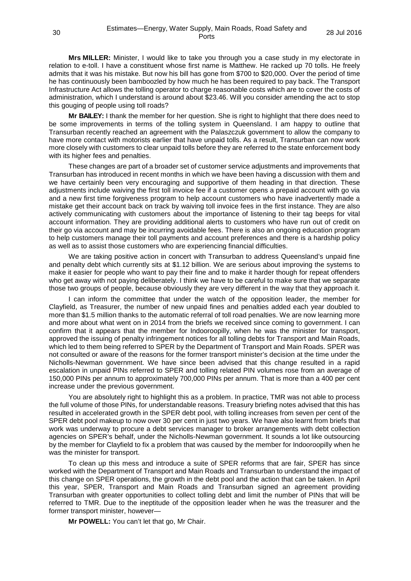**Mrs MILLER:** Minister, I would like to take you through you a case study in my electorate in relation to e-toll. I have a constituent whose first name is Matthew. He racked up 70 tolls. He freely admits that it was his mistake. But now his bill has gone from \$700 to \$20,000. Over the period of time he has continuously been bamboozled by how much he has been required to pay back. The Transport Infrastructure Act allows the tolling operator to charge reasonable costs which are to cover the costs of administration, which I understand is around about \$23.46. Will you consider amending the act to stop this gouging of people using toll roads?

**Mr BAILEY:** I thank the member for her question. She is right to highlight that there does need to be some improvements in terms of the tolling system in Queensland. I am happy to outline that Transurban recently reached an agreement with the Palaszczuk government to allow the company to have more contact with motorists earlier that have unpaid tolls. As a result, Transurban can now work more closely with customers to clear unpaid tolls before they are referred to the state enforcement body with its higher fees and penalties.

These changes are part of a broader set of customer service adjustments and improvements that Transurban has introduced in recent months in which we have been having a discussion with them and we have certainly been very encouraging and supportive of them heading in that direction. These adjustments include waiving the first toll invoice fee if a customer opens a prepaid account with go via and a new first time forgiveness program to help account customers who have inadvertently made a mistake get their account back on track by waiving toll invoice fees in the first instance. They are also actively communicating with customers about the importance of listening to their tag beeps for vital account information. They are providing additional alerts to customers who have run out of credit on their go via account and may be incurring avoidable fees. There is also an ongoing education program to help customers manage their toll payments and account preferences and there is a hardship policy as well as to assist those customers who are experiencing financial difficulties.

We are taking positive action in concert with Transurban to address Queensland's unpaid fine and penalty debt which currently sits at \$1.12 billion. We are serious about improving the systems to make it easier for people who want to pay their fine and to make it harder though for repeat offenders who get away with not paying deliberately. I think we have to be careful to make sure that we separate those two groups of people, because obviously they are very different in the way that they approach it.

I can inform the committee that under the watch of the opposition leader, the member for Clayfield, as Treasurer, the number of new unpaid fines and penalties added each year doubled to more than \$1.5 million thanks to the automatic referral of toll road penalties. We are now learning more and more about what went on in 2014 from the briefs we received since coming to government. I can confirm that it appears that the member for Indooroopilly, when he was the minister for transport, approved the issuing of penalty infringement notices for all tolling debts for Transport and Main Roads, which led to them being referred to SPER by the Department of Transport and Main Roads. SPER was not consulted or aware of the reasons for the former transport minister's decision at the time under the Nicholls-Newman government. We have since been advised that this change resulted in a rapid escalation in unpaid PINs referred to SPER and tolling related PIN volumes rose from an average of 150,000 PINs per annum to approximately 700,000 PINs per annum. That is more than a 400 per cent increase under the previous government.

You are absolutely right to highlight this as a problem. In practice, TMR was not able to process the full volume of those PINs, for understandable reasons. Treasury briefing notes advised that this has resulted in accelerated growth in the SPER debt pool, with tolling increases from seven per cent of the SPER debt pool makeup to now over 30 per cent in just two years. We have also learnt from briefs that work was underway to procure a debt services manager to broker arrangements with debt collection agencies on SPER's behalf, under the Nicholls-Newman government. It sounds a lot like outsourcing by the member for Clayfield to fix a problem that was caused by the member for Indooroopilly when he was the minister for transport.

To clean up this mess and introduce a suite of SPER reforms that are fair, SPER has since worked with the Department of Transport and Main Roads and Transurban to understand the impact of this change on SPER operations, the growth in the debt pool and the action that can be taken. In April this year, SPER, Transport and Main Roads and Transurban signed an agreement providing Transurban with greater opportunities to collect tolling debt and limit the number of PINs that will be referred to TMR. Due to the ineptitude of the opposition leader when he was the treasurer and the former transport minister, however—

**Mr POWELL:** You can't let that go, Mr Chair.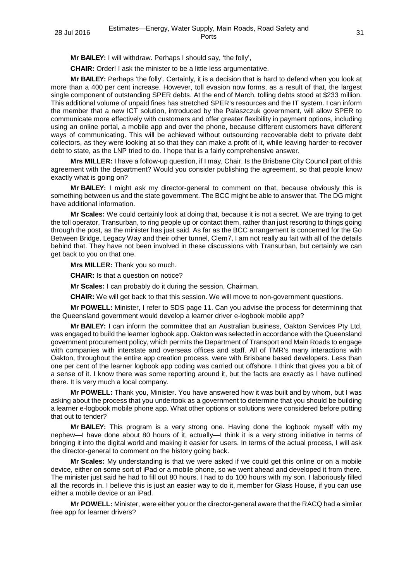**Mr BAILEY:** I will withdraw. Perhaps I should say, 'the folly',

**CHAIR:** Order! I ask the minister to be a little less argumentative.

**Mr BAILEY:** Perhaps 'the folly'. Certainly, it is a decision that is hard to defend when you look at more than a 400 per cent increase. However, toll evasion now forms, as a result of that, the largest single component of outstanding SPER debts. At the end of March, tolling debts stood at \$233 million. This additional volume of unpaid fines has stretched SPER's resources and the IT system. I can inform the member that a new ICT solution, introduced by the Palaszczuk government, will allow SPER to communicate more effectively with customers and offer greater flexibility in payment options, including using an online portal, a mobile app and over the phone, because different customers have different ways of communicating. This will be achieved without outsourcing recoverable debt to private debt collectors, as they were looking at so that they can make a profit of it, while leaving harder-to-recover debt to state, as the LNP tried to do. I hope that is a fairly comprehensive answer.

**Mrs MILLER:** I have a follow-up question, if I may, Chair. Is the Brisbane City Council part of this agreement with the department? Would you consider publishing the agreement, so that people know exactly what is going on?

**Mr BAILEY:** I might ask my director-general to comment on that, because obviously this is something between us and the state government. The BCC might be able to answer that. The DG might have additional information.

**Mr Scales:** We could certainly look at doing that, because it is not a secret. We are trying to get the toll operator, Transurban, to ring people up or contact them, rather than just resorting to things going through the post, as the minister has just said. As far as the BCC arrangement is concerned for the Go Between Bridge, Legacy Way and their other tunnel, Clem7, I am not really au fait with all of the details behind that. They have not been involved in these discussions with Transurban, but certainly we can get back to you on that one.

**Mrs MILLER:** Thank you so much.

**CHAIR:** Is that a question on notice?

**Mr Scales:** I can probably do it during the session, Chairman.

**CHAIR:** We will get back to that this session. We will move to non-government questions.

**Mr POWELL:** Minister, I refer to SDS page 11. Can you advise the process for determining that the Queensland government would develop a learner driver e-logbook mobile app?

**Mr BAILEY:** I can inform the committee that an Australian business, Oakton Services Pty Ltd, was engaged to build the learner logbook app. Oakton was selected in accordance with the Queensland government procurement policy, which permits the Department of Transport and Main Roads to engage with companies with interstate and overseas offices and staff. All of TMR's many interactions with Oakton, throughout the entire app creation process, were with Brisbane based developers. Less than one per cent of the learner logbook app coding was carried out offshore. I think that gives you a bit of a sense of it. I know there was some reporting around it, but the facts are exactly as I have outlined there. It is very much a local company.

**Mr POWELL:** Thank you, Minister. You have answered how it was built and by whom, but I was asking about the process that you undertook as a government to determine that you should be building a learner e-logbook mobile phone app. What other options or solutions were considered before putting that out to tender?

**Mr BAILEY:** This program is a very strong one. Having done the logbook myself with my nephew—I have done about 80 hours of it, actually—I think it is a very strong initiative in terms of bringing it into the digital world and making it easier for users. In terms of the actual process, I will ask the director-general to comment on the history going back.

**Mr Scales:** My understanding is that we were asked if we could get this online or on a mobile device, either on some sort of iPad or a mobile phone, so we went ahead and developed it from there. The minister just said he had to fill out 80 hours. I had to do 100 hours with my son. I laboriously filled all the records in. I believe this is just an easier way to do it, member for Glass House, if you can use either a mobile device or an iPad.

**Mr POWELL:** Minister, were either you or the director-general aware that the RACQ had a similar free app for learner drivers?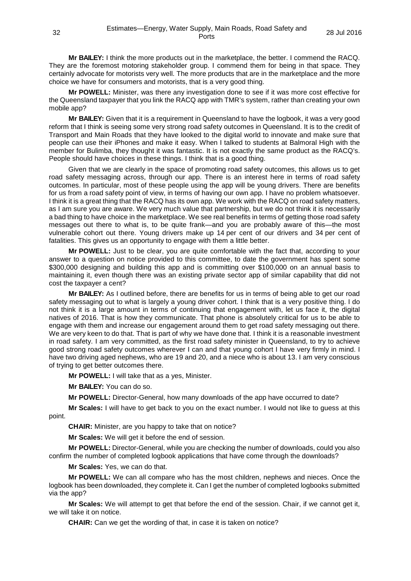**Mr BAILEY:** I think the more products out in the marketplace, the better. I commend the RACQ. They are the foremost motoring stakeholder group. I commend them for being in that space. They certainly advocate for motorists very well. The more products that are in the marketplace and the more choice we have for consumers and motorists, that is a very good thing.

**Mr POWELL:** Minister, was there any investigation done to see if it was more cost effective for the Queensland taxpayer that you link the RACQ app with TMR's system, rather than creating your own mobile app?

**Mr BAILEY:** Given that it is a requirement in Queensland to have the logbook, it was a very good reform that I think is seeing some very strong road safety outcomes in Queensland. It is to the credit of Transport and Main Roads that they have looked to the digital world to innovate and make sure that people can use their iPhones and make it easy. When I talked to students at Balmoral High with the member for Bulimba, they thought it was fantastic. It is not exactly the same product as the RACQ's. People should have choices in these things. I think that is a good thing.

Given that we are clearly in the space of promoting road safety outcomes, this allows us to get road safety messaging across, through our app. There is an interest here in terms of road safety outcomes. In particular, most of these people using the app will be young drivers. There are benefits for us from a road safety point of view, in terms of having our own app. I have no problem whatsoever. I think it is a great thing that the RACQ has its own app. We work with the RACQ on road safety matters, as I am sure you are aware. We very much value that partnership, but we do not think it is necessarily a bad thing to have choice in the marketplace. We see real benefits in terms of getting those road safety messages out there to what is, to be quite frank—and you are probably aware of this—the most vulnerable cohort out there. Young drivers make up 14 per cent of our drivers and 34 per cent of fatalities. This gives us an opportunity to engage with them a little better.

**Mr POWELL:** Just to be clear, you are quite comfortable with the fact that, according to your answer to a question on notice provided to this committee, to date the government has spent some \$300,000 designing and building this app and is committing over \$100,000 on an annual basis to maintaining it, even though there was an existing private sector app of similar capability that did not cost the taxpayer a cent?

**Mr BAILEY:** As I outlined before, there are benefits for us in terms of being able to get our road safety messaging out to what is largely a young driver cohort. I think that is a very positive thing. I do not think it is a large amount in terms of continuing that engagement with, let us face it, the digital natives of 2016. That is how they communicate. That phone is absolutely critical for us to be able to engage with them and increase our engagement around them to get road safety messaging out there. We are very keen to do that. That is part of why we have done that. I think it is a reasonable investment in road safety. I am very committed, as the first road safety minister in Queensland, to try to achieve good strong road safety outcomes wherever I can and that young cohort I have very firmly in mind. I have two driving aged nephews, who are 19 and 20, and a niece who is about 13. I am very conscious of trying to get better outcomes there.

**Mr POWELL:** I will take that as a yes, Minister.

**Mr BAILEY:** You can do so.

**Mr POWELL:** Director-General, how many downloads of the app have occurred to date?

**Mr Scales:** I will have to get back to you on the exact number. I would not like to guess at this point.

**CHAIR:** Minister, are you happy to take that on notice?

**Mr Scales:** We will get it before the end of session.

**Mr POWELL:** Director-General, while you are checking the number of downloads, could you also confirm the number of completed logbook applications that have come through the downloads?

**Mr Scales:** Yes, we can do that.

**Mr POWELL:** We can all compare who has the most children, nephews and nieces. Once the logbook has been downloaded, they complete it. Can I get the number of completed logbooks submitted via the app?

**Mr Scales:** We will attempt to get that before the end of the session. Chair, if we cannot get it, we will take it on notice.

**CHAIR:** Can we get the wording of that, in case it is taken on notice?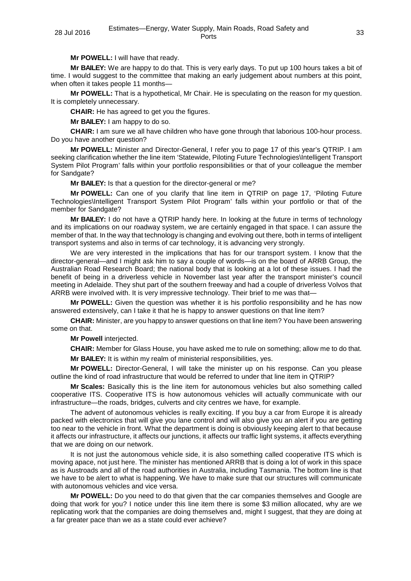**Mr POWELL:** I will have that ready.

**Mr BAILEY:** We are happy to do that. This is very early days. To put up 100 hours takes a bit of time. I would suggest to the committee that making an early judgement about numbers at this point, when often it takes people 11 months-

**Mr POWELL:** That is a hypothetical, Mr Chair. He is speculating on the reason for my question. It is completely unnecessary.

**CHAIR:** He has agreed to get you the figures.

**Mr BAILEY:** I am happy to do so.

**CHAIR:** I am sure we all have children who have gone through that laborious 100-hour process. Do you have another question?

**Mr POWELL:** Minister and Director-General, I refer you to page 17 of this year's QTRIP. I am seeking clarification whether the line item 'Statewide, Piloting Future Technologies\Intelligent Transport System Pilot Program' falls within your portfolio responsibilities or that of your colleague the member for Sandgate?

**Mr BAILEY:** Is that a question for the director-general or me?

**Mr POWELL:** Can one of you clarify that line item in QTRIP on page 17, 'Piloting Future Technologies\Intelligent Transport System Pilot Program' falls within your portfolio or that of the member for Sandgate?

**Mr BAILEY:** I do not have a QTRIP handy here. In looking at the future in terms of technology and its implications on our roadway system, we are certainly engaged in that space. I can assure the member of that. In the way that technology is changing and evolving out there, both in terms of intelligent transport systems and also in terms of car technology, it is advancing very strongly.

We are very interested in the implications that has for our transport system. I know that the director-general—and I might ask him to say a couple of words—is on the board of ARRB Group, the Australian Road Research Board; the national body that is looking at a lot of these issues. I had the benefit of being in a driverless vehicle in November last year after the transport minister's council meeting in Adelaide. They shut part of the southern freeway and had a couple of driverless Volvos that ARRB were involved with. It is very impressive technology. Their brief to me was that—

**Mr POWELL:** Given the question was whether it is his portfolio responsibility and he has now answered extensively, can I take it that he is happy to answer questions on that line item?

**CHAIR:** Minister, are you happy to answer questions on that line item? You have been answering some on that.

**Mr Powell** interjected.

**CHAIR:** Member for Glass House, you have asked me to rule on something; allow me to do that.

**Mr BAILEY:** It is within my realm of ministerial responsibilities, yes.

**Mr POWELL:** Director-General, I will take the minister up on his response. Can you please outline the kind of road infrastructure that would be referred to under that line item in QTRIP?

**Mr Scales:** Basically this is the line item for autonomous vehicles but also something called cooperative ITS. Cooperative ITS is how autonomous vehicles will actually communicate with our infrastructure—the roads, bridges, culverts and city centres we have, for example.

The advent of autonomous vehicles is really exciting. If you buy a car from Europe it is already packed with electronics that will give you lane control and will also give you an alert if you are getting too near to the vehicle in front. What the department is doing is obviously keeping alert to that because it affects our infrastructure, it affects our junctions, it affects our traffic light systems, it affects everything that we are doing on our network.

It is not just the autonomous vehicle side, it is also something called cooperative ITS which is moving apace, not just here. The minister has mentioned ARRB that is doing a lot of work in this space as is Austroads and all of the road authorities in Australia, including Tasmania. The bottom line is that we have to be alert to what is happening. We have to make sure that our structures will communicate with autonomous vehicles and vice versa.

**Mr POWELL:** Do you need to do that given that the car companies themselves and Google are doing that work for you? I notice under this line item there is some \$3 million allocated, why are we replicating work that the companies are doing themselves and, might I suggest, that they are doing at a far greater pace than we as a state could ever achieve?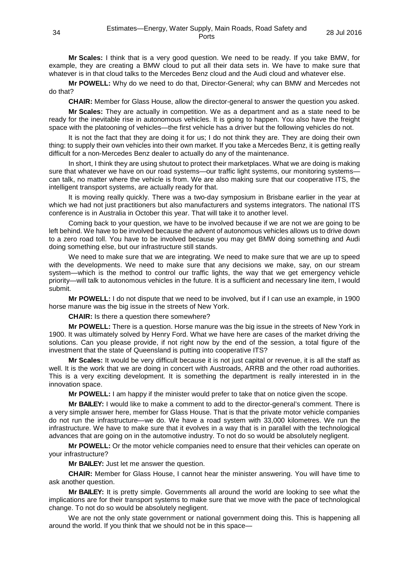**Mr Scales:** I think that is a very good question. We need to be ready. If you take BMW, for example, they are creating a BMW cloud to put all their data sets in. We have to make sure that whatever is in that cloud talks to the Mercedes Benz cloud and the Audi cloud and whatever else.

**Mr POWELL:** Why do we need to do that, Director-General; why can BMW and Mercedes not do that?

**CHAIR:** Member for Glass House, allow the director-general to answer the question you asked.

**Mr Scales:** They are actually in competition. We as a department and as a state need to be ready for the inevitable rise in autonomous vehicles. It is going to happen. You also have the freight space with the platooning of vehicles—the first vehicle has a driver but the following vehicles do not.

It is not the fact that they are doing it for us; I do not think they are. They are doing their own thing: to supply their own vehicles into their own market. If you take a Mercedes Benz, it is getting really difficult for a non-Mercedes Benz dealer to actually do any of the maintenance.

In short, I think they are using shutout to protect their marketplaces. What we are doing is making sure that whatever we have on our road systems—our traffic light systems, our monitoring systems can talk, no matter where the vehicle is from. We are also making sure that our cooperative ITS, the intelligent transport systems, are actually ready for that.

It is moving really quickly. There was a two-day symposium in Brisbane earlier in the year at which we had not just practitioners but also manufacturers and systems integrators. The national ITS conference is in Australia in October this year. That will take it to another level.

Coming back to your question, we have to be involved because if we are not we are going to be left behind. We have to be involved because the advent of autonomous vehicles allows us to drive down to a zero road toll. You have to be involved because you may get BMW doing something and Audi doing something else, but our infrastructure still stands.

We need to make sure that we are integrating. We need to make sure that we are up to speed with the developments. We need to make sure that any decisions we make, say, on our stream system—which is the method to control our traffic lights, the way that we get emergency vehicle priority—will talk to autonomous vehicles in the future. It is a sufficient and necessary line item, I would submit.

**Mr POWELL:** I do not dispute that we need to be involved, but if I can use an example, in 1900 horse manure was the big issue in the streets of New York.

**CHAIR:** Is there a question there somewhere?

**Mr POWELL:** There is a question. Horse manure was the big issue in the streets of New York in 1900. It was ultimately solved by Henry Ford. What we have here are cases of the market driving the solutions. Can you please provide, if not right now by the end of the session, a total figure of the investment that the state of Queensland is putting into cooperative ITS?

**Mr Scales:** It would be very difficult because it is not just capital or revenue, it is all the staff as well. It is the work that we are doing in concert with Austroads, ARRB and the other road authorities. This is a very exciting development. It is something the department is really interested in in the innovation space.

**Mr POWELL:** I am happy if the minister would prefer to take that on notice given the scope.

**Mr BAILEY:** I would like to make a comment to add to the director-general's comment. There is a very simple answer here, member for Glass House. That is that the private motor vehicle companies do not run the infrastructure—we do. We have a road system with 33,000 kilometres. We run the infrastructure. We have to make sure that it evolves in a way that is in parallel with the technological advances that are going on in the automotive industry. To not do so would be absolutely negligent.

**Mr POWELL:** Or the motor vehicle companies need to ensure that their vehicles can operate on your infrastructure?

**Mr BAILEY:** Just let me answer the question.

**CHAIR:** Member for Glass House, I cannot hear the minister answering. You will have time to ask another question.

**Mr BAILEY:** It is pretty simple. Governments all around the world are looking to see what the implications are for their transport systems to make sure that we move with the pace of technological change. To not do so would be absolutely negligent.

We are not the only state government or national government doing this. This is happening all around the world. If you think that we should not be in this space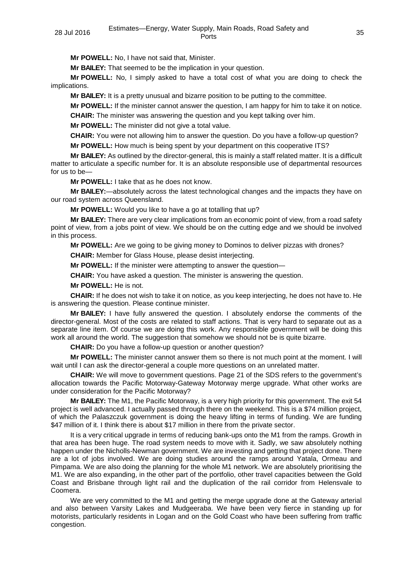**Mr POWELL:** No, I have not said that, Minister.

**Mr BAILEY:** That seemed to be the implication in your question.

**Mr POWELL:** No, I simply asked to have a total cost of what you are doing to check the implications.

**Mr BAILEY:** It is a pretty unusual and bizarre position to be putting to the committee.

**Mr POWELL:** If the minister cannot answer the question, I am happy for him to take it on notice.

**CHAIR:** The minister was answering the question and you kept talking over him.

**Mr POWELL:** The minister did not give a total value.

**CHAIR:** You were not allowing him to answer the question. Do you have a follow-up question?

**Mr POWELL:** How much is being spent by your department on this cooperative ITS?

**Mr BAILEY:** As outlined by the director-general, this is mainly a staff related matter. It is a difficult matter to articulate a specific number for. It is an absolute responsible use of departmental resources for us to be—

**Mr POWELL:** I take that as he does not know.

**Mr BAILEY:**—absolutely across the latest technological changes and the impacts they have on our road system across Queensland.

**Mr POWELL:** Would you like to have a go at totalling that up?

**Mr BAILEY:** There are very clear implications from an economic point of view, from a road safety point of view, from a jobs point of view. We should be on the cutting edge and we should be involved in this process.

**Mr POWELL:** Are we going to be giving money to Dominos to deliver pizzas with drones?

**CHAIR:** Member for Glass House, please desist interjecting.

**Mr POWELL:** If the minister were attempting to answer the question—

**CHAIR:** You have asked a question. The minister is answering the question.

**Mr POWELL:** He is not.

**CHAIR:** If he does not wish to take it on notice, as you keep interjecting, he does not have to. He is answering the question. Please continue minister.

**Mr BAILEY:** I have fully answered the question. I absolutely endorse the comments of the director-general. Most of the costs are related to staff actions. That is very hard to separate out as a separate line item. Of course we are doing this work. Any responsible government will be doing this work all around the world. The suggestion that somehow we should not be is quite bizarre.

**CHAIR:** Do you have a follow-up question or another question?

**Mr POWELL:** The minister cannot answer them so there is not much point at the moment. I will wait until I can ask the director-general a couple more questions on an unrelated matter.

**CHAIR:** We will move to government questions. Page 21 of the SDS refers to the government's allocation towards the Pacific Motorway-Gateway Motorway merge upgrade. What other works are under consideration for the Pacific Motorway?

**Mr BAILEY:** The M1, the Pacific Motorway, is a very high priority for this government. The exit 54 project is well advanced. I actually passed through there on the weekend. This is a \$74 million project, of which the Palaszczuk government is doing the heavy lifting in terms of funding. We are funding \$47 million of it. I think there is about \$17 million in there from the private sector.

It is a very critical upgrade in terms of reducing bank-ups onto the M1 from the ramps. Growth in that area has been huge. The road system needs to move with it. Sadly, we saw absolutely nothing happen under the Nicholls-Newman government. We are investing and getting that project done. There are a lot of jobs involved. We are doing studies around the ramps around Yatala, Ormeau and Pimpama. We are also doing the planning for the whole M1 network. We are absolutely prioritising the M1. We are also expanding, in the other part of the portfolio, other travel capacities between the Gold Coast and Brisbane through light rail and the duplication of the rail corridor from Helensvale to Coomera.

We are very committed to the M1 and getting the merge upgrade done at the Gateway arterial and also between Varsity Lakes and Mudgeeraba. We have been very fierce in standing up for motorists, particularly residents in Logan and on the Gold Coast who have been suffering from traffic congestion.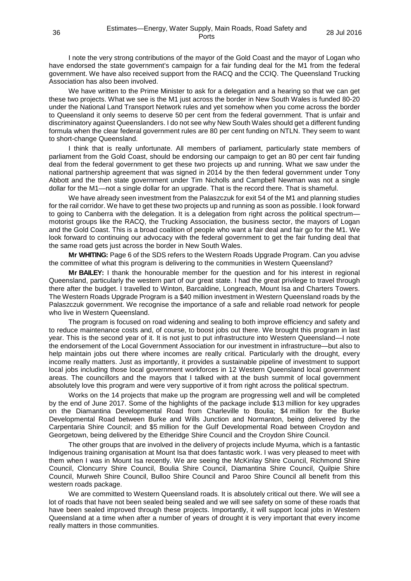I note the very strong contributions of the mayor of the Gold Coast and the mayor of Logan who have endorsed the state government's campaign for a fair funding deal for the M1 from the federal government. We have also received support from the RACQ and the CCIQ. The Queensland Trucking Association has also been involved.

We have written to the Prime Minister to ask for a delegation and a hearing so that we can get these two projects. What we see is the M1 just across the border in New South Wales is funded 80-20 under the National Land Transport Network rules and yet somehow when you come across the border to Queensland it only seems to deserve 50 per cent from the federal government. That is unfair and discriminatory against Queenslanders. I do not see why New South Wales should get a different funding formula when the clear federal government rules are 80 per cent funding on NTLN. They seem to want to short-change Queensland.

I think that is really unfortunate. All members of parliament, particularly state members of parliament from the Gold Coast, should be endorsing our campaign to get an 80 per cent fair funding deal from the federal government to get these two projects up and running. What we saw under the national partnership agreement that was signed in 2014 by the then federal government under Tony Abbott and the then state government under Tim Nicholls and Campbell Newman was not a single dollar for the M1—not a single dollar for an upgrade. That is the record there. That is shameful.

We have already seen investment from the Palaszczuk for exit 54 of the M1 and planning studies for the rail corridor. We have to get these two projects up and running as soon as possible. I look forward to going to Canberra with the delegation. It is a delegation from right across the political spectrum motorist groups like the RACQ, the Trucking Association, the business sector, the mayors of Logan and the Gold Coast. This is a broad coalition of people who want a fair deal and fair go for the M1. We look forward to continuing our advocacy with the federal government to get the fair funding deal that the same road gets just across the border in New South Wales.

**Mr WHITING:** Page 6 of the SDS refers to the Western Roads Upgrade Program. Can you advise the committee of what this program is delivering to the communities in Western Queensland?

**Mr BAILEY:** I thank the honourable member for the question and for his interest in regional Queensland, particularly the western part of our great state. I had the great privilege to travel through there after the budget. I travelled to Winton, Barcaldine, Longreach, Mount Isa and Charters Towers. The Western Roads Upgrade Program is a \$40 million investment in Western Queensland roads by the Palaszczuk government. We recognise the importance of a safe and reliable road network for people who live in Western Queensland.

The program is focused on road widening and sealing to both improve efficiency and safety and to reduce maintenance costs and, of course, to boost jobs out there. We brought this program in last year. This is the second year of it. It is not just to put infrastructure into Western Queensland—I note the endorsement of the Local Government Association for our investment in infrastructure—but also to help maintain jobs out there where incomes are really critical. Particularly with the drought, every income really matters. Just as importantly, it provides a sustainable pipeline of investment to support local jobs including those local government workforces in 12 Western Queensland local government areas. The councillors and the mayors that I talked with at the bush summit of local government absolutely love this program and were very supportive of it from right across the political spectrum.

Works on the 14 projects that make up the program are progressing well and will be completed by the end of June 2017. Some of the highlights of the package include \$13 million for key upgrades on the Diamantina Developmental Road from Charleville to Boulia; \$4 million for the Burke Developmental Road between Burke and Wills Junction and Normanton, being delivered by the Carpentaria Shire Council; and \$5 million for the Gulf Developmental Road between Croydon and Georgetown, being delivered by the Etheridge Shire Council and the Croydon Shire Council.

The other groups that are involved in the delivery of projects include Myuma, which is a fantastic Indigenous training organisation at Mount Isa that does fantastic work. I was very pleased to meet with them when I was in Mount Isa recently. We are seeing the McKinlay Shire Council, Richmond Shire Council, Cloncurry Shire Council, Boulia Shire Council, Diamantina Shire Council, Quilpie Shire Council, Murweh Shire Council, Bulloo Shire Council and Paroo Shire Council all benefit from this western roads package.

We are committed to Western Queensland roads. It is absolutely critical out there. We will see a lot of roads that have not been sealed being sealed and we will see safety on some of these roads that have been sealed improved through these projects. Importantly, it will support local jobs in Western Queensland at a time when after a number of years of drought it is very important that every income really matters in those communities.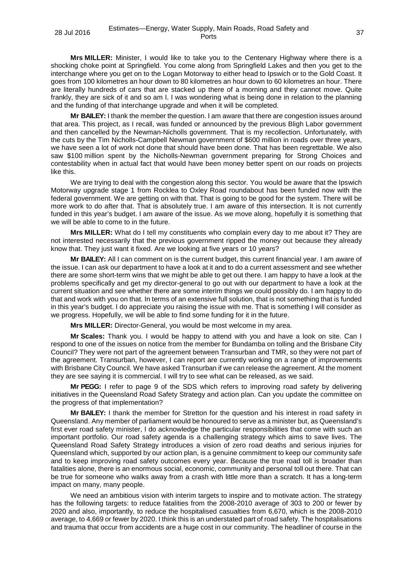**Mrs MILLER:** Minister, I would like to take you to the Centenary Highway where there is a shocking choke point at Springfield. You come along from Springfield Lakes and then you get to the interchange where you get on to the Logan Motorway to either head to Ipswich or to the Gold Coast. It goes from 100 kilometres an hour down to 80 kilometres an hour down to 60 kilometres an hour. There are literally hundreds of cars that are stacked up there of a morning and they cannot move. Quite frankly, they are sick of it and so am I. I was wondering what is being done in relation to the planning and the funding of that interchange upgrade and when it will be completed.

**Mr BAILEY:** I thank the member the question. I am aware that there are congestion issues around that area. This project, as I recall, was funded or announced by the previous Bligh Labor government and then cancelled by the Newman-Nicholls government. That is my recollection. Unfortunately, with the cuts by the Tim Nicholls-Campbell Newman government of \$600 million in roads over three years, we have seen a lot of work not done that should have been done. That has been regrettable. We also saw \$100 million spent by the Nicholls-Newman government preparing for Strong Choices and contestability when in actual fact that would have been money better spent on our roads on projects like this.

We are trying to deal with the congestion along this sector. You would be aware that the Ipswich Motorway upgrade stage 1 from Rocklea to Oxley Road roundabout has been funded now with the federal government. We are getting on with that. That is going to be good for the system. There will be more work to do after that. That is absolutely true. I am aware of this intersection. It is not currently funded in this year's budget. I am aware of the issue. As we move along, hopefully it is something that we will be able to come to in the future.

**Mrs MILLER:** What do I tell my constituents who complain every day to me about it? They are not interested necessarily that the previous government ripped the money out because they already know that. They just want it fixed. Are we looking at five years or 10 years?

**Mr BAILEY:** All I can comment on is the current budget, this current financial year. I am aware of the issue. I can ask our department to have a look at it and to do a current assessment and see whether there are some short-term wins that we might be able to get out there. I am happy to have a look at the problems specifically and get my director-general to go out with our department to have a look at the current situation and see whether there are some interim things we could possibly do. I am happy to do that and work with you on that. In terms of an extensive full solution, that is not something that is funded in this year's budget. I do appreciate you raising the issue with me. That is something I will consider as we progress. Hopefully, we will be able to find some funding for it in the future.

**Mrs MILLER:** Director-General, you would be most welcome in my area.

**Mr Scales:** Thank you. I would be happy to attend with you and have a look on site. Can I respond to one of the issues on notice from the member for Bundamba on tolling and the Brisbane City Council? They were not part of the agreement between Transurban and TMR, so they were not part of the agreement. Transurban, however, I can report are currently working on a range of improvements with Brisbane City Council. We have asked Transurban if we can release the agreement. At the moment they are see saying it is commercial. I will try to see what can be released, as we said.

**Mr PEGG:** I refer to page 9 of the SDS which refers to improving road safety by delivering initiatives in the Queensland Road Safety Strategy and action plan. Can you update the committee on the progress of that implementation?

**Mr BAILEY:** I thank the member for Stretton for the question and his interest in road safety in Queensland. Any member of parliament would be honoured to serve as a minister but, as Queensland's first ever road safety minister, I do acknowledge the particular responsibilities that come with such an important portfolio. Our road safety agenda is a challenging strategy which aims to save lives. The Queensland Road Safety Strategy introduces a vision of zero road deaths and serious injuries for Queensland which, supported by our action plan, is a genuine commitment to keep our community safe and to keep improving road safety outcomes every year. Because the true road toll is broader than fatalities alone, there is an enormous social, economic, community and personal toll out there. That can be true for someone who walks away from a crash with little more than a scratch. It has a long-term impact on many, many people.

We need an ambitious vision with interim targets to inspire and to motivate action. The strategy has the following targets: to reduce fatalities from the 2008-2010 average of 303 to 200 or fewer by 2020 and also, importantly, to reduce the hospitalised casualties from 6,670, which is the 2008-2010 average, to 4,669 or fewer by 2020. I think this is an understated part of road safety. The hospitalisations and trauma that occur from accidents are a huge cost in our community. The headliner of course in the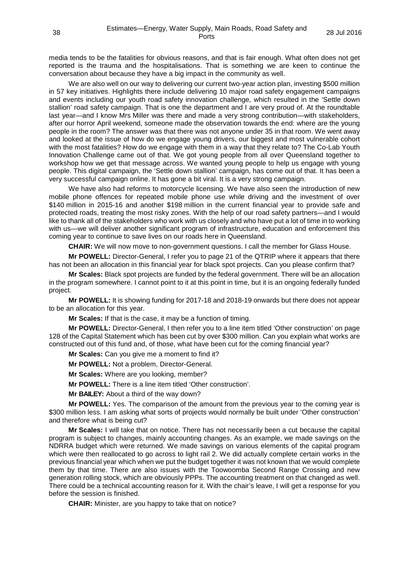media tends to be the fatalities for obvious reasons, and that is fair enough. What often does not get reported is the trauma and the hospitalisations. That is something we are keen to continue the conversation about because they have a big impact in the community as well.

We are also well on our way to delivering our current two-year action plan, investing \$500 million in 57 key initiatives. Highlights there include delivering 10 major road safety engagement campaigns and events including our youth road safety innovation challenge, which resulted in the 'Settle down stallion' road safety campaign. That is one the department and I are very proud of. At the roundtable last year—and I know Mrs Miller was there and made a very strong contribution—with stakeholders, after our horror April weekend, someone made the observation towards the end: where are the young people in the room? The answer was that there was not anyone under 35 in that room. We went away and looked at the issue of how do we engage young drivers, our biggest and most vulnerable cohort with the most fatalities? How do we engage with them in a way that they relate to? The Co-Lab Youth Innovation Challenge came out of that. We got young people from all over Queensland together to workshop how we get that message across. We wanted young people to help us engage with young people. This digital campaign, the 'Settle down stallion' campaign, has come out of that. It has been a very successful campaign online. It has gone a bit viral. It is a very strong campaign.

We have also had reforms to motorcycle licensing. We have also seen the introduction of new mobile phone offences for repeated mobile phone use while driving and the investment of over \$140 million in 2015-16 and another \$198 million in the current financial year to provide safe and protected roads, treating the most risky zones. With the help of our road safety partners—and I would like to thank all of the stakeholders who work with us closely and who have put a lot of time in to working with us—we will deliver another significant program of infrastructure, education and enforcement this coming year to continue to save lives on our roads here in Queensland.

**CHAIR:** We will now move to non-government questions. I call the member for Glass House.

**Mr POWELL:** Director-General, I refer you to page 21 of the QTRIP where it appears that there has not been an allocation in this financial year for black spot projects. Can you please confirm that?

**Mr Scales:** Black spot projects are funded by the federal government. There will be an allocation in the program somewhere. I cannot point to it at this point in time, but it is an ongoing federally funded project.

**Mr POWELL:** It is showing funding for 2017-18 and 2018-19 onwards but there does not appear to be an allocation for this year.

**Mr Scales:** If that is the case, it may be a function of timing.

**Mr POWELL:** Director-General, I then refer you to a line item titled 'Other construction' on page 128 of the Capital Statement which has been cut by over \$300 million. Can you explain what works are constructed out of this fund and, of those, what have been cut for the coming financial year?

**Mr Scales:** Can you give me a moment to find it?

**Mr POWELL:** Not a problem, Director-General.

**Mr Scales:** Where are you looking, member?

**Mr POWELL:** There is a line item titled 'Other construction'.

**Mr BAILEY:** About a third of the way down?

**Mr POWELL:** Yes. The comparison of the amount from the previous year to the coming year is \$300 million less. I am asking what sorts of projects would normally be built under 'Other construction' and therefore what is being cut?

**Mr Scales:** I will take that on notice. There has not necessarily been a cut because the capital program is subject to changes, mainly accounting changes. As an example, we made savings on the NDRRA budget which were returned. We made savings on various elements of the capital program which were then reallocated to go across to light rail 2. We did actually complete certain works in the previous financial year which when we put the budget together it was not known that we would complete them by that time. There are also issues with the Toowoomba Second Range Crossing and new generation rolling stock, which are obviously PPPs. The accounting treatment on that changed as well. There could be a technical accounting reason for it. With the chair's leave, I will get a response for you before the session is finished.

**CHAIR:** Minister, are you happy to take that on notice?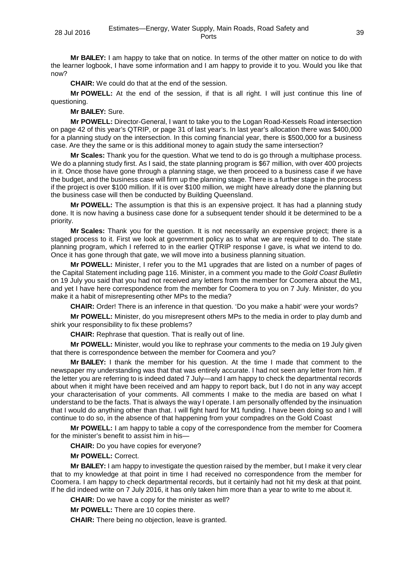**Mr BAILEY:** I am happy to take that on notice. In terms of the other matter on notice to do with the learner logbook, I have some information and I am happy to provide it to you. Would you like that now?

**CHAIR:** We could do that at the end of the session.

**Mr POWELL:** At the end of the session, if that is all right. I will just continue this line of questioning.

**Mr BAILEY:** Sure.

**Mr POWELL:** Director-General, I want to take you to the Logan Road-Kessels Road intersection on page 42 of this year's QTRIP, or page 31 of last year's. In last year's allocation there was \$400,000 for a planning study on the intersection. In this coming financial year, there is \$500,000 for a business case. Are they the same or is this additional money to again study the same intersection?

**Mr Scales:** Thank you for the question. What we tend to do is go through a multiphase process. We do a planning study first. As I said, the state planning program is \$67 million, with over 400 projects in it. Once those have gone through a planning stage, we then proceed to a business case if we have the budget, and the business case will firm up the planning stage. There is a further stage in the process if the project is over \$100 million. If it is over \$100 million, we might have already done the planning but the business case will then be conducted by Building Queensland.

**Mr POWELL:** The assumption is that this is an expensive project. It has had a planning study done. It is now having a business case done for a subsequent tender should it be determined to be a priority.

**Mr Scales:** Thank you for the question. It is not necessarily an expensive project; there is a staged process to it. First we look at government policy as to what we are required to do. The state planning program, which I referred to in the earlier QTRIP response I gave, is what we intend to do. Once it has gone through that gate, we will move into a business planning situation.

**Mr POWELL:** Minister, I refer you to the M1 upgrades that are listed on a number of pages of the Capital Statement including page 116. Minister, in a comment you made to the *Gold Coast Bulletin* on 19 July you said that you had not received any letters from the member for Coomera about the M1, and yet I have here correspondence from the member for Coomera to you on 7 July. Minister, do you make it a habit of misrepresenting other MPs to the media?

**CHAIR:** Order! There is an inference in that question. 'Do you make a habit' were your words?

**Mr POWELL:** Minister, do you misrepresent others MPs to the media in order to play dumb and shirk your responsibility to fix these problems?

**CHAIR:** Rephrase that question. That is really out of line.

**Mr POWELL:** Minister, would you like to rephrase your comments to the media on 19 July given that there is correspondence between the member for Coomera and you?

**Mr BAILEY:** I thank the member for his question. At the time I made that comment to the newspaper my understanding was that that was entirely accurate. I had not seen any letter from him. If the letter you are referring to is indeed dated 7 July—and I am happy to check the departmental records about when it might have been received and am happy to report back, but I do not in any way accept your characterisation of your comments. All comments I make to the media are based on what I understand to be the facts. That is always the way I operate. I am personally offended by the insinuation that I would do anything other than that. I will fight hard for M1 funding. I have been doing so and I will continue to do so, in the absence of that happening from your compadres on the Gold Coast

**Mr POWELL:** I am happy to table a copy of the correspondence from the member for Coomera for the minister's benefit to assist him in his—

**CHAIR:** Do you have copies for everyone?

**Mr POWELL:** Correct.

**Mr BAILEY:** I am happy to investigate the question raised by the member, but I make it very clear that to my knowledge at that point in time I had received no correspondence from the member for Coomera. I am happy to check departmental records, but it certainly had not hit my desk at that point. If he did indeed write on 7 July 2016, it has only taken him more than a year to write to me about it.

**CHAIR:** Do we have a copy for the minister as well?

**Mr POWELL:** There are 10 copies there.

**CHAIR:** There being no objection, leave is granted.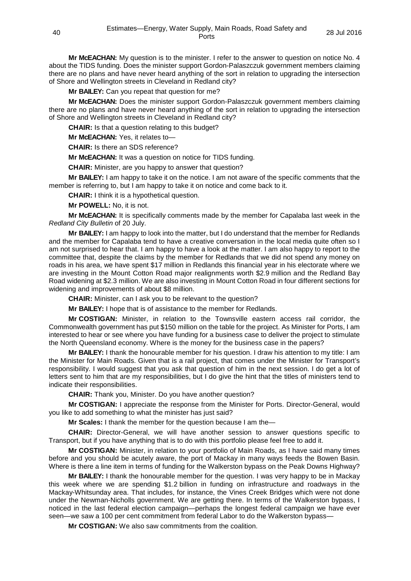**Mr McEACHAN:** My question is to the minister. I refer to the answer to question on notice No. 4 about the TIDS funding. Does the minister support Gordon-Palaszczuk government members claiming there are no plans and have never heard anything of the sort in relation to upgrading the intersection of Shore and Wellington streets in Cleveland in Redland city?

**Mr BAILEY:** Can you repeat that question for me?

**Mr McEACHAN:** Does the minister support Gordon-Palaszczuk government members claiming there are no plans and have never heard anything of the sort in relation to upgrading the intersection of Shore and Wellington streets in Cleveland in Redland city?

**CHAIR:** Is that a question relating to this budget?

**Mr McEACHAN:** Yes, it relates to—

**CHAIR:** Is there an SDS reference?

**Mr McEACHAN:** It was a question on notice for TIDS funding.

**CHAIR:** Minister, are you happy to answer that question?

**Mr BAILEY:** I am happy to take it on the notice. I am not aware of the specific comments that the member is referring to, but I am happy to take it on notice and come back to it.

**CHAIR:** I think it is a hypothetical question.

**Mr POWELL:** No, it is not.

**Mr McEACHAN:** It is specifically comments made by the member for Capalaba last week in the *Redland City Bulletin* of 20 July.

**Mr BAILEY:** I am happy to look into the matter, but I do understand that the member for Redlands and the member for Capalaba tend to have a creative conversation in the local media quite often so I am not surprised to hear that. I am happy to have a look at the matter. I am also happy to report to the committee that, despite the claims by the member for Redlands that we did not spend any money on roads in his area, we have spent \$17 million in Redlands this financial year in his electorate where we are investing in the Mount Cotton Road major realignments worth \$2.9 million and the Redland Bay Road widening at \$2.3 million. We are also investing in Mount Cotton Road in four different sections for widening and improvements of about \$8 million.

**CHAIR:** Minister, can I ask you to be relevant to the question?

**Mr BAILEY:** I hope that is of assistance to the member for Redlands.

**Mr COSTIGAN:** Minister, in relation to the Townsville eastern access rail corridor, the Commonwealth government has put \$150 million on the table for the project. As Minister for Ports, I am interested to hear or see where you have funding for a business case to deliver the project to stimulate the North Queensland economy. Where is the money for the business case in the papers?

**Mr BAILEY:** I thank the honourable member for his question. I draw his attention to my title: I am the Minister for Main Roads. Given that is a rail project, that comes under the Minister for Transport's responsibility. I would suggest that you ask that question of him in the next session. I do get a lot of letters sent to him that are my responsibilities, but I do give the hint that the titles of ministers tend to indicate their responsibilities.

**CHAIR:** Thank you, Minister. Do you have another question?

**Mr COSTIGAN:** I appreciate the response from the Minister for Ports. Director-General, would you like to add something to what the minister has just said?

**Mr Scales:** I thank the member for the question because I am the—

**CHAIR:** Director-General, we will have another session to answer questions specific to Transport, but if you have anything that is to do with this portfolio please feel free to add it.

**Mr COSTIGAN:** Minister, in relation to your portfolio of Main Roads, as I have said many times before and you should be acutely aware, the port of Mackay in many ways feeds the Bowen Basin. Where is there a line item in terms of funding for the Walkerston bypass on the Peak Downs Highway?

**Mr BAILEY:** I thank the honourable member for the question. I was very happy to be in Mackay this week where we are spending \$1.2 billion in funding on infrastructure and roadways in the Mackay-Whitsunday area. That includes, for instance, the Vines Creek Bridges which were not done under the Newman-Nicholls government. We are getting there. In terms of the Walkerston bypass, I noticed in the last federal election campaign—perhaps the longest federal campaign we have ever seen—we saw a 100 per cent commitment from federal Labor to do the Walkerston bypass—

**Mr COSTIGAN:** We also saw commitments from the coalition.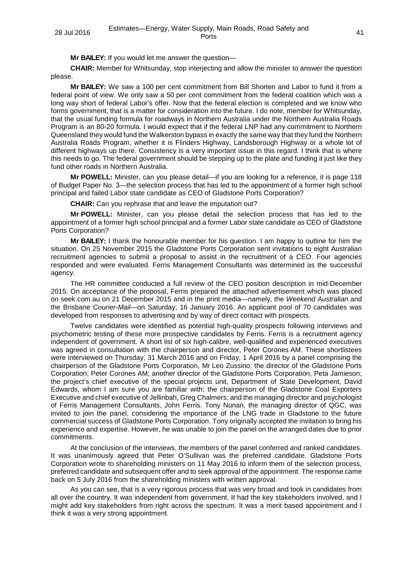**Mr BAILEY:** If you would let me answer the question—

**CHAIR:** Member for Whitsunday, stop interjecting and allow the minister to answer the question please.

**Mr BAILEY:** We saw a 100 per cent commitment from Bill Shorten and Labor to fund it from a federal point of view. We only saw a 50 per cent commitment from the federal coalition which was a long way short of federal Labor's offer. Now that the federal election is completed and we know who forms government, that is a matter for consideration into the future. I do note, member for Whitsunday, that the usual funding formula for roadways in Northern Australia under the Northern Australia Roads Program is an 80-20 formula. I would expect that if the federal LNP had any commitment to Northern Queensland they would fund the Walkerston bypass in exactly the same way that they fund the Northern Australia Roads Program, whether it is Flinders Highway, Landsborough Highway or a whole lot of different highways up there. Consistency is a very important issue in this regard. I think that is where this needs to go. The federal government should be stepping up to the plate and funding it just like they fund other roads in Northern Australia.

**Mr POWELL:** Minister, can you please detail—if you are looking for a reference, it is page 118 of Budget Paper No. 3—the selection process that has led to the appointment of a former high school principal and failed Labor state candidate as CEO of Gladstone Ports Corporation?

**CHAIR:** Can you rephrase that and leave the imputation out?

**Mr POWELL:** Minister, can you please detail the selection process that has led to the appointment of a former high school principal and a former Labor state candidate as CEO of Gladstone Ports Corporation?

**Mr BAILEY:** I thank the honourable member for his question. I am happy to outline for him the situation. On 25 November 2015 the Gladstone Ports Corporation sent invitations to eight Australian recruitment agencies to submit a proposal to assist in the recruitment of a CEO. Four agencies responded and were evaluated. Ferris Management Consultants was determined as the successful agency.

The HR committee conducted a full review of the CEO position description in mid-December 2015. On acceptance of the proposal, Ferris prepared the attached advertisement which was placed on seek.com.au on 21 December 2015 and in the print media—namely, the *Weekend Australian* and the Brisbane *Courier-Mail*—on Saturday, 16 January 2016. An applicant pool of 70 candidates was developed from responses to advertising and by way of direct contact with prospects.

Twelve candidates were identified as potential high-quality prospects following interviews and psychometric testing of these more prospective candidates by Ferris. Ferris is a recruitment agency independent of government. A short list of six high-calibre, well-qualified and experienced executives was agreed in consultation with the chairperson and director, Peter Corones AM. These shortlistees were interviewed on Thursday, 31 March 2016 and on Friday, 1 April 2016 by a panel comprising the chairperson of the Gladstone Ports Corporation, Mr Leo Zussino; the director of the Gladstone Ports Corporation, Peter Corones AM; another director of the Gladstone Ports Corporation, Peta Jamieson; the project's chief executive of the special projects unit, Department of State Development, David Edwards, whom I am sure you are familiar with; the chairperson of the Gladstone Coal Exporters Executive and chief executive of Jellinbah, Greg Chalmers; and the managing director and psychologist of Ferris Management Consultants, John Ferris. Tony Nunan, the managing director of QGC, was invited to join the panel, considering the importance of the LNG trade in Gladstone to the future commercial success of Gladstone Ports Corporation. Tony originally accepted the invitation to bring his experience and expertise. However, he was unable to join the panel on the arranged dates due to prior commitments.

At the conclusion of the interviews, the members of the panel conferred and ranked candidates. It was unanimously agreed that Peter O'Sullivan was the preferred candidate. Gladstone Ports Corporation wrote to shareholding ministers on 11 May 2016 to inform them of the selection process, preferred candidate and subsequent offer and to seek approval of the appointment. The response came back on 5 July 2016 from the shareholding ministers with written approval.

As you can see, that is a very rigorous process that was very broad and took in candidates from all over the country. It was independent from government. It had the key stakeholders involved, and I might add key stakeholders from right across the spectrum. It was a merit based appointment and I think it was a very strong appointment.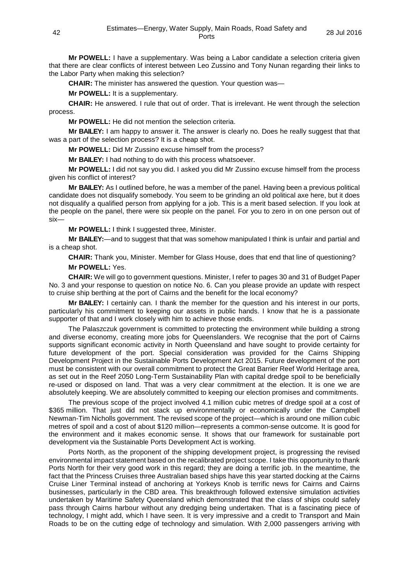**Mr POWELL:** I have a supplementary. Was being a Labor candidate a selection criteria given that there are clear conflicts of interest between Leo Zussino and Tony Nunan regarding their links to the Labor Party when making this selection?

**CHAIR:** The minister has answered the question. Your question was—

**Mr POWELL:** It is a supplementary.

**CHAIR:** He answered. I rule that out of order. That is irrelevant. He went through the selection process.

**Mr POWELL:** He did not mention the selection criteria.

**Mr BAILEY:** I am happy to answer it. The answer is clearly no. Does he really suggest that that was a part of the selection process? It is a cheap shot.

**Mr POWELL:** Did Mr Zussino excuse himself from the process?

**Mr BAILEY:** I had nothing to do with this process whatsoever.

**Mr POWELL:** I did not say you did. I asked you did Mr Zussino excuse himself from the process given his conflict of interest?

**Mr BAILEY:** As I outlined before, he was a member of the panel. Having been a previous political candidate does not disqualify somebody. You seem to be grinding an old political axe here, but it does not disqualify a qualified person from applying for a job. This is a merit based selection. If you look at the people on the panel, there were six people on the panel. For you to zero in on one person out of six—

**Mr POWELL:** I think I suggested three, Minister.

**Mr BAILEY:**—and to suggest that that was somehow manipulated I think is unfair and partial and is a cheap shot.

**CHAIR:** Thank you, Minister. Member for Glass House, does that end that line of questioning? **Mr POWELL:** Yes.

**CHAIR:** We will go to government questions. Minister, I refer to pages 30 and 31 of Budget Paper No. 3 and your response to question on notice No. 6. Can you please provide an update with respect to cruise ship berthing at the port of Cairns and the benefit for the local economy?

**Mr BAILEY:** I certainly can. I thank the member for the question and his interest in our ports, particularly his commitment to keeping our assets in public hands. I know that he is a passionate supporter of that and I work closely with him to achieve those ends.

The Palaszczuk government is committed to protecting the environment while building a strong and diverse economy, creating more jobs for Queenslanders. We recognise that the port of Cairns supports significant economic activity in North Queensland and have sought to provide certainty for future development of the port. Special consideration was provided for the Cairns Shipping Development Project in the Sustainable Ports Development Act 2015. Future development of the port must be consistent with our overall commitment to protect the Great Barrier Reef World Heritage area, as set out in the Reef 2050 Long-Term Sustainability Plan with capital dredge spoil to be beneficially re-used or disposed on land. That was a very clear commitment at the election. It is one we are absolutely keeping. We are absolutely committed to keeping our election promises and commitments.

The previous scope of the project involved 4.1 million cubic metres of dredge spoil at a cost of \$365 million. That just did not stack up environmentally or economically under the Campbell Newman-Tim Nicholls government. The revised scope of the project—which is around one million cubic metres of spoil and a cost of about \$120 million—represents a common-sense outcome. It is good for the environment and it makes economic sense. It shows that our framework for sustainable port development via the Sustainable Ports Development Act is working.

Ports North, as the proponent of the shipping development project, is progressing the revised environmental impact statement based on the recalibrated project scope. I take this opportunity to thank Ports North for their very good work in this regard; they are doing a terrific job. In the meantime, the fact that the Princess Cruises three Australian based ships have this year started docking at the Cairns Cruise Liner Terminal instead of anchoring at Yorkeys Knob is terrific news for Cairns and Cairns businesses, particularly in the CBD area. This breakthrough followed extensive simulation activities undertaken by Maritime Safety Queensland which demonstrated that the class of ships could safely pass through Cairns harbour without any dredging being undertaken. That is a fascinating piece of technology, I might add, which I have seen. It is very impressive and a credit to Transport and Main Roads to be on the cutting edge of technology and simulation. With 2,000 passengers arriving with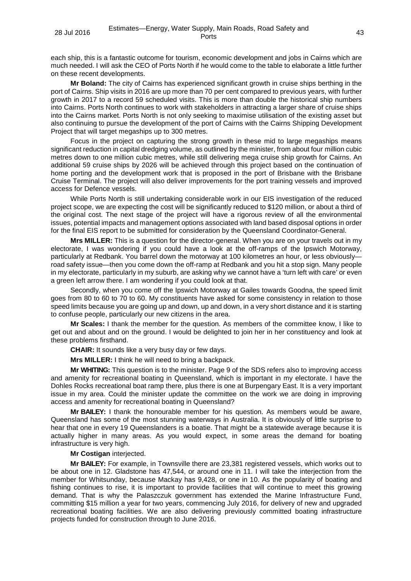each ship, this is a fantastic outcome for tourism, economic development and jobs in Cairns which are much needed. I will ask the CEO of Ports North if he would come to the table to elaborate a little further on these recent developments.

**Mr Boland:** The city of Cairns has experienced significant growth in cruise ships berthing in the port of Cairns. Ship visits in 2016 are up more than 70 per cent compared to previous years, with further growth in 2017 to a record 59 scheduled visits. This is more than double the historical ship numbers into Cairns. Ports North continues to work with stakeholders in attracting a larger share of cruise ships into the Cairns market. Ports North is not only seeking to maximise utilisation of the existing asset but also continuing to pursue the development of the port of Cairns with the Cairns Shipping Development Project that will target megaships up to 300 metres.

Focus in the project on capturing the strong growth in these mid to large megaships means significant reduction in capital dredging volume, as outlined by the minister, from about four million cubic metres down to one million cubic metres, while still delivering mega cruise ship growth for Cairns. An additional 59 cruise ships by 2026 will be achieved through this project based on the continuation of home porting and the development work that is proposed in the port of Brisbane with the Brisbane Cruise Terminal. The project will also deliver improvements for the port training vessels and improved access for Defence vessels.

While Ports North is still undertaking considerable work in our EIS investigation of the reduced project scope, we are expecting the cost will be significantly reduced to \$120 million, or about a third of the original cost. The next stage of the project will have a rigorous review of all the environmental issues, potential impacts and management options associated with land based disposal options in order for the final EIS report to be submitted for consideration by the Queensland Coordinator-General.

**Mrs MILLER:** This is a question for the director-general. When you are on your travels out in my electorate, I was wondering if you could have a look at the off-ramps of the Ipswich Motorway, particularly at Redbank. You barrel down the motorway at 100 kilometres an hour, or less obviously road safety issue—then you come down the off-ramp at Redbank and you hit a stop sign. Many people in my electorate, particularly in my suburb, are asking why we cannot have a 'turn left with care' or even a green left arrow there. I am wondering if you could look at that.

Secondly, when you come off the Ipswich Motorway at Gailes towards Goodna, the speed limit goes from 80 to 60 to 70 to 60. My constituents have asked for some consistency in relation to those speed limits because you are going up and down, up and down, in a very short distance and it is starting to confuse people, particularly our new citizens in the area.

**Mr Scales:** I thank the member for the question. As members of the committee know, I like to get out and about and on the ground. I would be delighted to join her in her constituency and look at these problems firsthand.

**CHAIR:** It sounds like a very busy day or few days.

**Mrs MILLER:** I think he will need to bring a backpack.

**Mr WHITING:** This question is to the minister. Page 9 of the SDS refers also to improving access and amenity for recreational boating in Queensland, which is important in my electorate. I have the Dohles Rocks recreational boat ramp there, plus there is one at Burpengary East. It is a very important issue in my area. Could the minister update the committee on the work we are doing in improving access and amenity for recreational boating in Queensland?

**Mr BAILEY:** I thank the honourable member for his question. As members would be aware, Queensland has some of the most stunning waterways in Australia. It is obviously of little surprise to hear that one in every 19 Queenslanders is a boatie. That might be a statewide average because it is actually higher in many areas. As you would expect, in some areas the demand for boating infrastructure is very high.

## **Mr Costigan** interjected.

**Mr BAILEY:** For example, in Townsville there are 23,381 registered vessels, which works out to be about one in 12. Gladstone has 47,544, or around one in 11. I will take the interjection from the member for Whitsunday, because Mackay has 9,428, or one in 10. As the popularity of boating and fishing continues to rise, it is important to provide facilities that will continue to meet this growing demand. That is why the Palaszczuk government has extended the Marine Infrastructure Fund, committing \$15 million a year for two years, commencing July 2016, for delivery of new and upgraded recreational boating facilities. We are also delivering previously committed boating infrastructure projects funded for construction through to June 2016.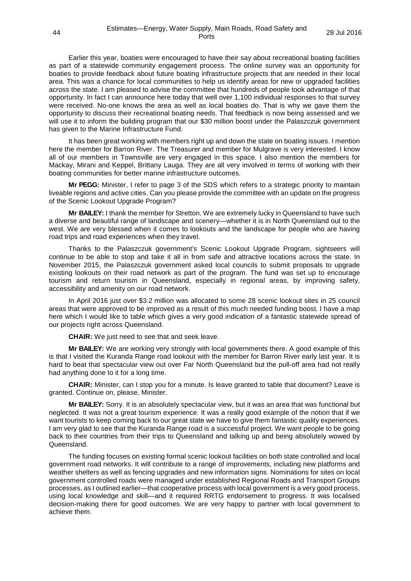Earlier this year, boaties were encouraged to have their say about recreational boating facilities as part of a statewide community engagement process. The online survey was an opportunity for boaties to provide feedback about future boating infrastructure projects that are needed in their local area. This was a chance for local communities to help us identify areas for new or upgraded facilities across the state. I am pleased to advise the committee that hundreds of people took advantage of that opportunity. In fact I can announce here today that well over 1,100 individual responses to that survey were received. No-one knows the area as well as local boaties do. That is why we gave them the opportunity to discuss their recreational boating needs. That feedback is now being assessed and we will use it to inform the building program that our \$30 million boost under the Palaszczuk government has given to the Marine Infrastructure Fund.

It has been great working with members right up and down the state on boating issues. I mention here the member for Barron River. The Treasurer and member for Mulgrave is very interested. I know all of our members in Townsville are very engaged in this space. I also mention the members for Mackay, Mirani and Keppel, Brittany Lauga. They are all very involved in terms of working with their boating communities for better marine infrastructure outcomes.

**Mr PEGG:** Minister, I refer to page 3 of the SDS which refers to a strategic priority to maintain liveable regions and active cities. Can you please provide the committee with an update on the progress of the Scenic Lookout Upgrade Program?

**Mr BAILEY:** I thank the member for Stretton. We are extremely lucky in Queensland to have such a diverse and beautiful range of landscape and scenery—whether it is in North Queensland out to the west. We are very blessed when it comes to lookouts and the landscape for people who are having road trips and road experiences when they travel.

Thanks to the Palaszczuk government's Scenic Lookout Upgrade Program, sightseers will continue to be able to stop and take it all in from safe and attractive locations across the state. In November 2015, the Palaszczuk government asked local councils to submit proposals to upgrade existing lookouts on their road network as part of the program. The fund was set up to encourage tourism and return tourism in Queensland, especially in regional areas, by improving safety, accessibility and amenity on our road network.

In April 2016 just over \$3.2 million was allocated to some 28 scenic lookout sites in 25 council areas that were approved to be improved as a result of this much needed funding boost. I have a map here which I would like to table which gives a very good indication of a fantastic statewide spread of our projects right across Queensland.

**CHAIR:** We just need to see that and seek leave.

**Mr BAILEY:** We are working very strongly with local governments there. A good example of this is that I visited the Kuranda Range road lookout with the member for Barron River early last year. It is hard to beat that spectacular view out over Far North Queensland but the pull-off area had not really had anything done to it for a long time.

**CHAIR:** Minister, can I stop you for a minute. Is leave granted to table that document? Leave is granted. Continue on, please, Minister.

**Mr BAILEY:** Sorry. It is an absolutely spectacular view, but it was an area that was functional but neglected. It was not a great tourism experience. It was a really good example of the notion that if we want tourists to keep coming back to our great state we have to give them fantastic quality experiences. I am very glad to see that the Kuranda Range road is a successful project. We want people to be going back to their countries from their trips to Queensland and talking up and being absolutely wowed by Queensland.

The funding focuses on existing formal scenic lookout facilities on both state controlled and local government road networks. It will contribute to a range of improvements, including new platforms and weather shelters as well as fencing upgrades and new information signs. Nominations for sites on local government controlled roads were managed under established Regional Roads and Transport Groups processes, as I outlined earlier—that cooperative process with local government is a very good process, using local knowledge and skill—and it required RRTG endorsement to progress. It was localised decision-making there for good outcomes. We are very happy to partner with local government to achieve them.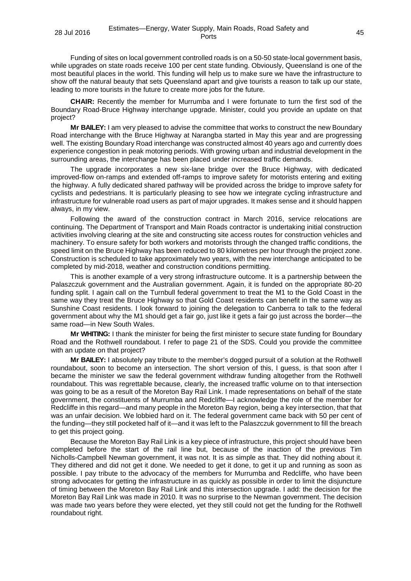Funding of sites on local government controlled roads is on a 50-50 state-local government basis, while upgrades on state roads receive 100 per cent state funding. Obviously, Queensland is one of the most beautiful places in the world. This funding will help us to make sure we have the infrastructure to show off the natural beauty that sets Queensland apart and give tourists a reason to talk up our state, leading to more tourists in the future to create more jobs for the future.

**CHAIR:** Recently the member for Murrumba and I were fortunate to turn the first sod of the Boundary Road-Bruce Highway interchange upgrade. Minister, could you provide an update on that project?

**Mr BAILEY:** I am very pleased to advise the committee that works to construct the new Boundary Road interchange with the Bruce Highway at Narangba started in May this year and are progressing well. The existing Boundary Road interchange was constructed almost 40 years ago and currently does experience congestion in peak motoring periods. With growing urban and industrial development in the surrounding areas, the interchange has been placed under increased traffic demands.

The upgrade incorporates a new six-lane bridge over the Bruce Highway, with dedicated improved-flow on-ramps and extended off-ramps to improve safety for motorists entering and exiting the highway. A fully dedicated shared pathway will be provided across the bridge to improve safety for cyclists and pedestrians. It is particularly pleasing to see how we integrate cycling infrastructure and infrastructure for vulnerable road users as part of major upgrades. It makes sense and it should happen always, in my view.

Following the award of the construction contract in March 2016, service relocations are continuing. The Department of Transport and Main Roads contractor is undertaking initial construction activities involving clearing at the site and constructing site access routes for construction vehicles and machinery. To ensure safety for both workers and motorists through the changed traffic conditions, the speed limit on the Bruce Highway has been reduced to 80 kilometres per hour through the project zone. Construction is scheduled to take approximately two years, with the new interchange anticipated to be completed by mid-2018, weather and construction conditions permitting.

This is another example of a very strong infrastructure outcome. It is a partnership between the Palaszczuk government and the Australian government. Again, it is funded on the appropriate 80-20 funding split. I again call on the Turnbull federal government to treat the M1 to the Gold Coast in the same way they treat the Bruce Highway so that Gold Coast residents can benefit in the same way as Sunshine Coast residents. I look forward to joining the delegation to Canberra to talk to the federal government about why the M1 should get a fair go, just like it gets a fair go just across the border—the same road—in New South Wales.

**Mr WHITING:** I thank the minister for being the first minister to secure state funding for Boundary Road and the Rothwell roundabout. I refer to page 21 of the SDS. Could you provide the committee with an update on that project?

**Mr BAILEY:** I absolutely pay tribute to the member's dogged pursuit of a solution at the Rothwell roundabout, soon to become an intersection. The short version of this, I guess, is that soon after I became the minister we saw the federal government withdraw funding altogether from the Rothwell roundabout. This was regrettable because, clearly, the increased traffic volume on to that intersection was going to be as a result of the Moreton Bay Rail Link. I made representations on behalf of the state government, the constituents of Murrumba and Redcliffe—I acknowledge the role of the member for Redcliffe in this regard—and many people in the Moreton Bay region, being a key intersection, that that was an unfair decision. We lobbied hard on it. The federal government came back with 50 per cent of the funding—they still pocketed half of it—and it was left to the Palaszczuk government to fill the breach to get this project going.

Because the Moreton Bay Rail Link is a key piece of infrastructure, this project should have been completed before the start of the rail line but, because of the inaction of the previous Tim Nicholls-Campbell Newman government, it was not. It is as simple as that. They did nothing about it. They dithered and did not get it done. We needed to get it done, to get it up and running as soon as possible. I pay tribute to the advocacy of the members for Murrumba and Redcliffe, who have been strong advocates for getting the infrastructure in as quickly as possible in order to limit the disjuncture of timing between the Moreton Bay Rail Link and this intersection upgrade. I add: the decision for the Moreton Bay Rail Link was made in 2010. It was no surprise to the Newman government. The decision was made two years before they were elected, yet they still could not get the funding for the Rothwell roundabout right.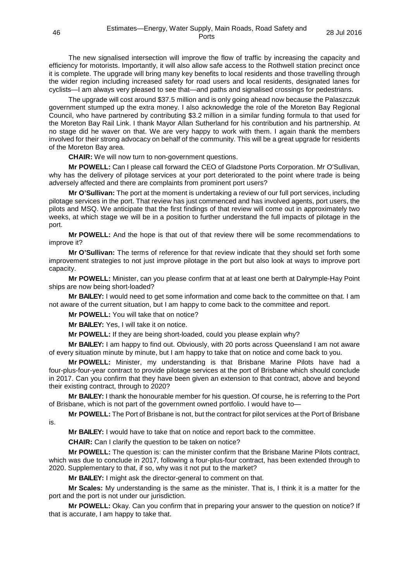The new signalised intersection will improve the flow of traffic by increasing the capacity and efficiency for motorists. Importantly, it will also allow safe access to the Rothwell station precinct once it is complete. The upgrade will bring many key benefits to local residents and those travelling through the wider region including increased safety for road users and local residents, designated lanes for cyclists—I am always very pleased to see that—and paths and signalised crossings for pedestrians.

The upgrade will cost around \$37.5 million and is only going ahead now because the Palaszczuk government stumped up the extra money. I also acknowledge the role of the Moreton Bay Regional Council, who have partnered by contributing \$3.2 million in a similar funding formula to that used for the Moreton Bay Rail Link. I thank Mayor Allan Sutherland for his contribution and his partnership. At no stage did he waver on that. We are very happy to work with them. I again thank the members involved for their strong advocacy on behalf of the community. This will be a great upgrade for residents of the Moreton Bay area.

**CHAIR:** We will now turn to non-government questions.

**Mr POWELL:** Can I please call forward the CEO of Gladstone Ports Corporation. Mr O'Sullivan, why has the delivery of pilotage services at your port deteriorated to the point where trade is being adversely affected and there are complaints from prominent port users?

**Mr O'Sullivan:** The port at the moment is undertaking a review of our full port services, including pilotage services in the port. That review has just commenced and has involved agents, port users, the pilots and MSQ. We anticipate that the first findings of that review will come out in approximately two weeks, at which stage we will be in a position to further understand the full impacts of pilotage in the port.

**Mr POWELL:** And the hope is that out of that review there will be some recommendations to improve it?

**Mr O'Sullivan:** The terms of reference for that review indicate that they should set forth some improvement strategies to not just improve pilotage in the port but also look at ways to improve port capacity.

**Mr POWELL:** Minister, can you please confirm that at at least one berth at Dalrymple-Hay Point ships are now being short-loaded?

**Mr BAILEY:** I would need to get some information and come back to the committee on that. I am not aware of the current situation, but I am happy to come back to the committee and report.

**Mr POWELL:** You will take that on notice?

**Mr BAILEY:** Yes, I will take it on notice.

**Mr POWELL:** If they are being short-loaded, could you please explain why?

**Mr BAILEY:** I am happy to find out. Obviously, with 20 ports across Queensland I am not aware of every situation minute by minute, but I am happy to take that on notice and come back to you.

**Mr POWELL:** Minister, my understanding is that Brisbane Marine Pilots have had a four-plus-four-year contract to provide pilotage services at the port of Brisbane which should conclude in 2017. Can you confirm that they have been given an extension to that contract, above and beyond their existing contract, through to 2020?

**Mr BAILEY:** I thank the honourable member for his question. Of course, he is referring to the Port of Brisbane, which is not part of the government owned portfolio. I would have to—

**Mr POWELL:** The Port of Brisbane is not, but the contract for pilot services at the Port of Brisbane is.

**Mr BAILEY:** I would have to take that on notice and report back to the committee.

**CHAIR:** Can I clarify the question to be taken on notice?

**Mr POWELL:** The question is: can the minister confirm that the Brisbane Marine Pilots contract, which was due to conclude in 2017, following a four-plus-four contract, has been extended through to 2020. Supplementary to that, if so, why was it not put to the market?

**Mr BAILEY:** I might ask the director-general to comment on that.

**Mr Scales:** My understanding is the same as the minister. That is, I think it is a matter for the port and the port is not under our jurisdiction.

**Mr POWELL:** Okay. Can you confirm that in preparing your answer to the question on notice? If that is accurate, I am happy to take that.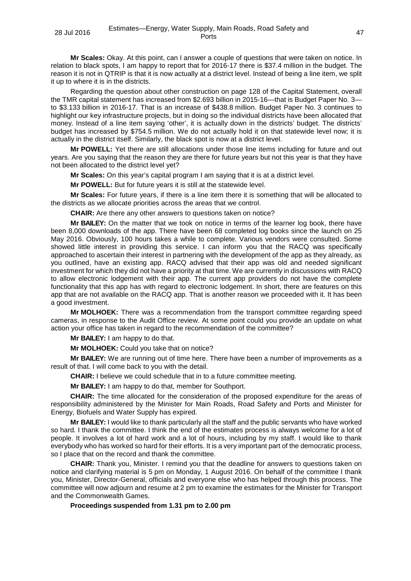**Mr Scales:** Okay. At this point, can I answer a couple of questions that were taken on notice. In relation to black spots, I am happy to report that for 2016-17 there is \$37.4 million in the budget. The reason it is not in QTRIP is that it is now actually at a district level. Instead of being a line item, we split it up to where it is in the districts.

Regarding the question about other construction on page 128 of the Capital Statement, overall the TMR capital statement has increased from \$2.693 billion in 2015-16—that is Budget Paper No. 3 to \$3.133 billion in 2016-17. That is an increase of \$438.8 million. Budget Paper No. 3 continues to highlight our key infrastructure projects, but in doing so the individual districts have been allocated that money. Instead of a line item saying 'other', it is actually down in the districts' budget. The districts' budget has increased by \$754.5 million. We do not actually hold it on that statewide level now; it is actually in the district itself. Similarly, the black spot is now at a district level.

**Mr POWELL:** Yet there are still allocations under those line items including for future and out years. Are you saying that the reason they are there for future years but not this year is that they have not been allocated to the district level yet?

**Mr Scales:** On this year's capital program I am saying that it is at a district level.

**Mr POWELL:** But for future years it is still at the statewide level.

**Mr Scales:** For future years, if there is a line item there it is something that will be allocated to the districts as we allocate priorities across the areas that we control.

**CHAIR:** Are there any other answers to questions taken on notice?

**Mr BAILEY:** On the matter that we took on notice in terms of the learner log book, there have been 8,000 downloads of the app. There have been 68 completed log books since the launch on 25 May 2016. Obviously, 100 hours takes a while to complete. Various vendors were consulted. Some showed little interest in providing this service. I can inform you that the RACQ was specifically approached to ascertain their interest in partnering with the development of the app as they already, as you outlined, have an existing app. RACQ advised that their app was old and needed significant investment for which they did not have a priority at that time. We are currently in discussions with RACQ to allow electronic lodgement with their app. The current app providers do not have the complete functionality that this app has with regard to electronic lodgement. In short, there are features on this app that are not available on the RACQ app. That is another reason we proceeded with it. It has been a good investment.

**Mr MOLHOEK:** There was a recommendation from the transport committee regarding speed cameras, in response to the Audit Office review. At some point could you provide an update on what action your office has taken in regard to the recommendation of the committee?

**Mr BAILEY:** I am happy to do that.

**Mr MOLHOEK:** Could you take that on notice?

**Mr BAILEY:** We are running out of time here. There have been a number of improvements as a result of that. I will come back to you with the detail.

**CHAIR:** I believe we could schedule that in to a future committee meeting.

**Mr BAILEY:** I am happy to do that, member for Southport.

**CHAIR:** The time allocated for the consideration of the proposed expenditure for the areas of responsibility administered by the Minister for Main Roads, Road Safety and Ports and Minister for Energy, Biofuels and Water Supply has expired.

**Mr BAILEY:** I would like to thank particularly all the staff and the public servants who have worked so hard. I thank the committee. I think the end of the estimates process is always welcome for a lot of people. It involves a lot of hard work and a lot of hours, including by my staff. I would like to thank everybody who has worked so hard for their efforts. It is a very important part of the democratic process, so I place that on the record and thank the committee.

**CHAIR:** Thank you, Minister. I remind you that the deadline for answers to questions taken on notice and clarifying material is 5 pm on Monday, 1 August 2016. On behalf of the committee I thank you, Minister, Director-General, officials and everyone else who has helped through this process. The committee will now adjourn and resume at 2 pm to examine the estimates for the Minister for Transport and the Commonwealth Games.

### **Proceedings suspended from 1.31 pm to 2.00 pm**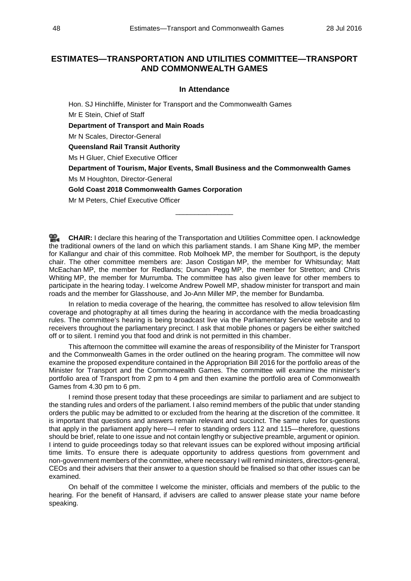# **ESTIMATES—TRANSPORTATION AND UTILITIES COMMITTEE—TRANSPORT AND COMMONWEALTH GAMES**

# **In Attendance**

Hon. SJ Hinchliffe, Minister for Transport and the Commonwealth Games Mr E Stein, Chief of Staff **Department of Transport and Main Roads** Mr N Scales, Director-General **Queensland Rail Transit Authority** Ms H Gluer, Chief Executive Officer **Department of Tourism, Major Events, Small Business and the Commonwealth Games** Ms M Houghton, Director-General **Gold Coast 2018 Commonwealth Games Corporation** Mr M Peters, Chief Executive Officer

**[CHAIR:](http://www.parliament.qld.gov.au/docs/find.aspx?id=0Mba20160728_140031)** I declare this hearing of the Transportation and Utilities Committee open. I acknowledge the traditional owners of the land on which this parliament stands. I am Shane King MP, the member for Kallangur and chair of this committee. Rob Molhoek MP, the member for Southport, is the deputy chair. The other committee members are: Jason Costigan MP, the member for Whitsunday; Matt McEachan MP, the member for Redlands; Duncan Pegg MP, the member for Stretton; and Chris Whiting MP, the member for Murrumba. The committee has also given leave for other members to participate in the hearing today. I welcome Andrew Powell MP, shadow minister for transport and main roads and the member for Glasshouse, and Jo-Ann Miller MP, the member for Bundamba.

\_\_\_\_\_\_\_\_\_\_\_\_\_\_\_

In relation to media coverage of the hearing, the committee has resolved to allow television film coverage and photography at all times during the hearing in accordance with the media broadcasting rules. The committee's hearing is being broadcast live via the Parliamentary Service website and to receivers throughout the parliamentary precinct. I ask that mobile phones or pagers be either switched off or to silent. I remind you that food and drink is not permitted in this chamber.

This afternoon the committee will examine the areas of responsibility of the Minister for Transport and the Commonwealth Games in the order outlined on the hearing program. The committee will now examine the proposed expenditure contained in the Appropriation Bill 2016 for the portfolio areas of the Minister for Transport and the Commonwealth Games. The committee will examine the minister's portfolio area of Transport from 2 pm to 4 pm and then examine the portfolio area of Commonwealth Games from 4.30 pm to 6 pm.

I remind those present today that these proceedings are similar to parliament and are subject to the standing rules and orders of the parliament. I also remind members of the public that under standing orders the public may be admitted to or excluded from the hearing at the discretion of the committee. It is important that questions and answers remain relevant and succinct. The same rules for questions that apply in the parliament apply here—I refer to standing orders 112 and 115—therefore, questions should be brief, relate to one issue and not contain lengthy or subjective preamble, argument or opinion. I intend to guide proceedings today so that relevant issues can be explored without imposing artificial time limits. To ensure there is adequate opportunity to address questions from government and non-government members of the committee, where necessary I will remind ministers, directors-general, CEOs and their advisers that their answer to a question should be finalised so that other issues can be examined.

On behalf of the committee I welcome the minister, officials and members of the public to the hearing. For the benefit of Hansard, if advisers are called to answer please state your name before speaking.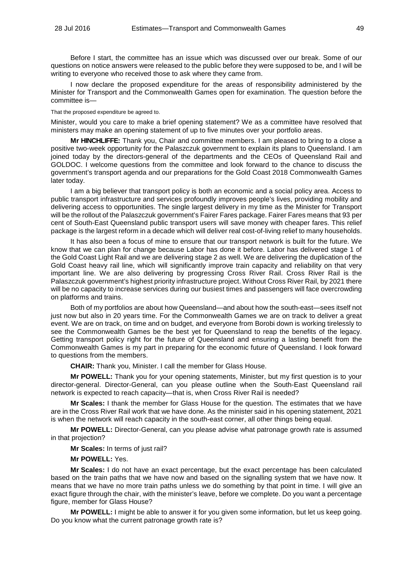Before I start, the committee has an issue which was discussed over our break. Some of our questions on notice answers were released to the public before they were supposed to be, and I will be writing to everyone who received those to ask where they came from.

I now declare the proposed expenditure for the areas of responsibility administered by the Minister for Transport and the Commonwealth Games open for examination. The question before the committee is—

#### That the proposed expenditure be agreed to.

Minister, would you care to make a brief opening statement? We as a committee have resolved that ministers may make an opening statement of up to five minutes over your portfolio areas.

**Mr HINCHLIFFE:** Thank you, Chair and committee members. I am pleased to bring to a close a positive two-week opportunity for the Palaszczuk government to explain its plans to Queensland. I am joined today by the directors-general of the departments and the CEOs of Queensland Rail and GOLDOC. I welcome questions from the committee and look forward to the chance to discuss the government's transport agenda and our preparations for the Gold Coast 2018 Commonwealth Games later today.

I am a big believer that transport policy is both an economic and a social policy area. Access to public transport infrastructure and services profoundly improves people's lives, providing mobility and delivering access to opportunities. The single largest delivery in my time as the Minister for Transport will be the rollout of the Palaszczuk government's Fairer Fares package. Fairer Fares means that 93 per cent of South-East Queensland public transport users will save money with cheaper fares. This relief package is the largest reform in a decade which will deliver real cost-of-living relief to many households.

It has also been a focus of mine to ensure that our transport network is built for the future. We know that we can plan for change because Labor has done it before. Labor has delivered stage 1 of the Gold Coast Light Rail and we are delivering stage 2 as well. We are delivering the duplication of the Gold Coast heavy rail line, which will significantly improve train capacity and reliability on that very important line. We are also delivering by progressing Cross River Rail. Cross River Rail is the Palaszczuk government's highest priority infrastructure project. Without Cross River Rail, by 2021 there will be no capacity to increase services during our busiest times and passengers will face overcrowding on platforms and trains.

Both of my portfolios are about how Queensland—and about how the south-east—sees itself not just now but also in 20 years time. For the Commonwealth Games we are on track to deliver a great event. We are on track, on time and on budget, and everyone from Borobi down is working tirelessly to see the Commonwealth Games be the best yet for Queensland to reap the benefits of the legacy. Getting transport policy right for the future of Queensland and ensuring a lasting benefit from the Commonwealth Games is my part in preparing for the economic future of Queensland. I look forward to questions from the members.

**CHAIR:** Thank you, Minister. I call the member for Glass House.

**Mr POWELL:** Thank you for your opening statements, Minister, but my first question is to your director-general. Director-General, can you please outline when the South-East Queensland rail network is expected to reach capacity—that is, when Cross River Rail is needed?

**Mr Scales:** I thank the member for Glass House for the question. The estimates that we have are in the Cross River Rail work that we have done. As the minister said in his opening statement, 2021 is when the network will reach capacity in the south-east corner, all other things being equal.

**Mr POWELL:** Director-General, can you please advise what patronage growth rate is assumed in that projection?

**Mr Scales:** In terms of just rail?

**Mr POWELL:** Yes.

**Mr Scales:** I do not have an exact percentage, but the exact percentage has been calculated based on the train paths that we have now and based on the signalling system that we have now. It means that we have no more train paths unless we do something by that point in time. I will give an exact figure through the chair, with the minister's leave, before we complete. Do you want a percentage figure, member for Glass House?

**Mr POWELL:** I might be able to answer it for you given some information, but let us keep going. Do you know what the current patronage growth rate is?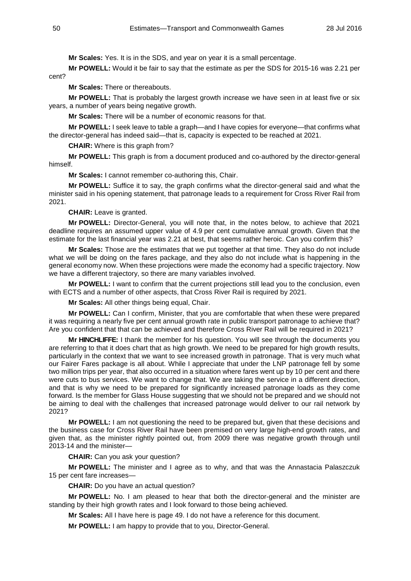**Mr Scales:** Yes. It is in the SDS, and year on year it is a small percentage.

**Mr POWELL:** Would it be fair to say that the estimate as per the SDS for 2015-16 was 2.21 per cent?

**Mr Scales:** There or thereabouts.

**Mr POWELL:** That is probably the largest growth increase we have seen in at least five or six years, a number of years being negative growth.

**Mr Scales:** There will be a number of economic reasons for that.

**Mr POWELL:** I seek leave to table a graph—and I have copies for everyone—that confirms what the director-general has indeed said—that is, capacity is expected to be reached at 2021.

**CHAIR:** Where is this graph from?

**Mr POWELL:** This graph is from a document produced and co-authored by the director-general himself.

**Mr Scales:** I cannot remember co-authoring this, Chair.

**Mr POWELL:** Suffice it to say, the graph confirms what the director-general said and what the minister said in his opening statement, that patronage leads to a requirement for Cross River Rail from 2021.

**CHAIR:** Leave is granted.

**Mr POWELL:** Director-General, you will note that, in the notes below, to achieve that 2021 deadline requires an assumed upper value of 4.9 per cent cumulative annual growth. Given that the estimate for the last financial year was 2.21 at best, that seems rather heroic. Can you confirm this?

**Mr Scales:** Those are the estimates that we put together at that time. They also do not include what we will be doing on the fares package, and they also do not include what is happening in the general economy now. When these projections were made the economy had a specific trajectory. Now we have a different trajectory, so there are many variables involved.

**Mr POWELL:** I want to confirm that the current projections still lead you to the conclusion, even with ECTS and a number of other aspects, that Cross River Rail is required by 2021.

**Mr Scales:** All other things being equal, Chair.

**Mr POWELL:** Can I confirm, Minister, that you are comfortable that when these were prepared it was requiring a nearly five per cent annual growth rate in public transport patronage to achieve that? Are you confident that that can be achieved and therefore Cross River Rail will be required in 2021?

**Mr HINCHLIFFE:** I thank the member for his question. You will see through the documents you are referring to that it does chart that as high growth. We need to be prepared for high growth results, particularly in the context that we want to see increased growth in patronage. That is very much what our Fairer Fares package is all about. While I appreciate that under the LNP patronage fell by some two million trips per year, that also occurred in a situation where fares went up by 10 per cent and there were cuts to bus services. We want to change that. We are taking the service in a different direction, and that is why we need to be prepared for significantly increased patronage loads as they come forward. Is the member for Glass House suggesting that we should not be prepared and we should not be aiming to deal with the challenges that increased patronage would deliver to our rail network by 2021?

**Mr POWELL:** I am not questioning the need to be prepared but, given that these decisions and the business case for Cross River Rail have been premised on very large high-end growth rates, and given that, as the minister rightly pointed out, from 2009 there was negative growth through until 2013-14 and the minister—

**CHAIR:** Can you ask your question?

**Mr POWELL:** The minister and I agree as to why, and that was the Annastacia Palaszczuk 15 per cent fare increases—

**CHAIR:** Do you have an actual question?

**Mr POWELL:** No. I am pleased to hear that both the director-general and the minister are standing by their high growth rates and I look forward to those being achieved.

**Mr Scales:** All I have here is page 49. I do not have a reference for this document.

**Mr POWELL:** I am happy to provide that to you, Director-General.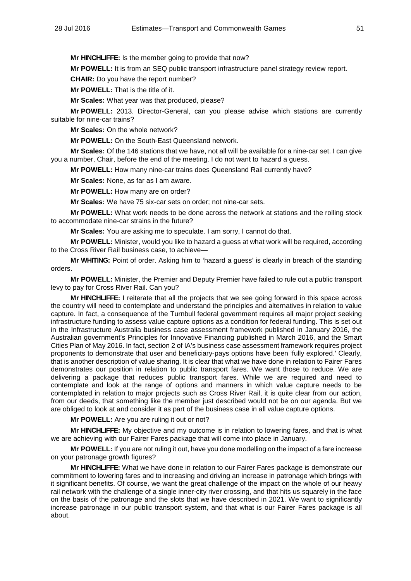**Mr HINCHLIFFE:** Is the member going to provide that now?

**Mr POWELL:** It is from an SEQ public transport infrastructure panel strategy review report.

**CHAIR:** Do you have the report number?

**Mr POWELL:** That is the title of it.

**Mr Scales:** What year was that produced, please?

**Mr POWELL:** 2013. Director-General, can you please advise which stations are currently suitable for nine-car trains?

**Mr Scales:** On the whole network?

**Mr POWELL:** On the South-East Queensland network.

**Mr Scales:** Of the 146 stations that we have, not all will be available for a nine-car set. I can give you a number, Chair, before the end of the meeting. I do not want to hazard a guess.

**Mr POWELL:** How many nine-car trains does Queensland Rail currently have?

**Mr Scales:** None, as far as I am aware.

**Mr POWELL:** How many are on order?

**Mr Scales:** We have 75 six-car sets on order; not nine-car sets.

**Mr POWELL:** What work needs to be done across the network at stations and the rolling stock to accommodate nine-car strains in the future?

**Mr Scales:** You are asking me to speculate. I am sorry, I cannot do that.

**Mr POWELL:** Minister, would you like to hazard a guess at what work will be required, according to the Cross River Rail business case, to achieve—

**Mr WHITING:** Point of order. Asking him to 'hazard a guess' is clearly in breach of the standing orders.

**Mr POWELL:** Minister, the Premier and Deputy Premier have failed to rule out a public transport levy to pay for Cross River Rail. Can you?

**Mr HINCHLIFFE:** I reiterate that all the projects that we see going forward in this space across the country will need to contemplate and understand the principles and alternatives in relation to value capture. In fact, a consequence of the Turnbull federal government requires all major project seeking infrastructure funding to assess value capture options as a condition for federal funding. This is set out in the Infrastructure Australia business case assessment framework published in January 2016, the Australian government's Principles for Innovative Financing published in March 2016, and the Smart Cities Plan of May 2016. In fact, section 2 of IA's business case assessment framework requires project proponents to demonstrate that user and beneficiary-pays options have been 'fully explored.' Clearly, that is another description of value sharing. It is clear that what we have done in relation to Fairer Fares demonstrates our position in relation to public transport fares. We want those to reduce. We are delivering a package that reduces public transport fares. While we are required and need to contemplate and look at the range of options and manners in which value capture needs to be contemplated in relation to major projects such as Cross River Rail, it is quite clear from our action, from our deeds, that something like the member just described would not be on our agenda. But we are obliged to look at and consider it as part of the business case in all value capture options.

**Mr POWELL:** Are you are ruling it out or not?

**Mr HINCHLIFFE:** My objective and my outcome is in relation to lowering fares, and that is what we are achieving with our Fairer Fares package that will come into place in January.

**Mr POWELL:** If you are not ruling it out, have you done modelling on the impact of a fare increase on your patronage growth figures?

**Mr HINCHLIFFE:** What we have done in relation to our Fairer Fares package is demonstrate our commitment to lowering fares and to increasing and driving an increase in patronage which brings with it significant benefits. Of course, we want the great challenge of the impact on the whole of our heavy rail network with the challenge of a single inner-city river crossing, and that hits us squarely in the face on the basis of the patronage and the slots that we have described in 2021. We want to significantly increase patronage in our public transport system, and that what is our Fairer Fares package is all about.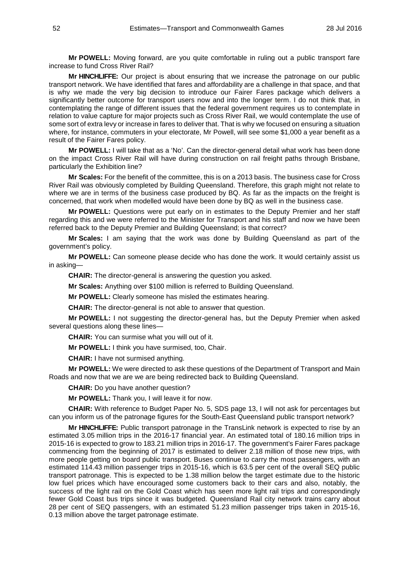**Mr POWELL:** Moving forward, are you quite comfortable in ruling out a public transport fare increase to fund Cross River Rail?

**Mr HINCHLIFFE:** Our project is about ensuring that we increase the patronage on our public transport network. We have identified that fares and affordability are a challenge in that space, and that is why we made the very big decision to introduce our Fairer Fares package which delivers a significantly better outcome for transport users now and into the longer term. I do not think that, in contemplating the range of different issues that the federal government requires us to contemplate in relation to value capture for major projects such as Cross River Rail, we would contemplate the use of some sort of extra levy or increase in fares to deliver that. That is why we focused on ensuring a situation where, for instance, commuters in your electorate, Mr Powell, will see some \$1,000 a year benefit as a result of the Fairer Fares policy.

**Mr POWELL:** I will take that as a 'No'. Can the director-general detail what work has been done on the impact Cross River Rail will have during construction on rail freight paths through Brisbane, particularly the Exhibition line?

**Mr Scales:** For the benefit of the committee, this is on a 2013 basis. The business case for Cross River Rail was obviously completed by Building Queensland. Therefore, this graph might not relate to where we are in terms of the business case produced by BQ. As far as the impacts on the freight is concerned, that work when modelled would have been done by BQ as well in the business case.

**Mr POWELL:** Questions were put early on in estimates to the Deputy Premier and her staff regarding this and we were referred to the Minister for Transport and his staff and now we have been referred back to the Deputy Premier and Building Queensland; is that correct?

**Mr Scales:** I am saying that the work was done by Building Queensland as part of the government's policy.

**Mr POWELL:** Can someone please decide who has done the work. It would certainly assist us in asking—

**CHAIR:** The director-general is answering the question you asked.

**Mr Scales:** Anything over \$100 million is referred to Building Queensland.

**Mr POWELL:** Clearly someone has misled the estimates hearing.

**CHAIR:** The director-general is not able to answer that question.

**Mr POWELL:** I not suggesting the director-general has, but the Deputy Premier when asked several questions along these lines-

**CHAIR:** You can surmise what you will out of it.

**Mr POWELL:** I think you have surmised, too, Chair.

**CHAIR:** I have not surmised anything.

**Mr POWELL:** We were directed to ask these questions of the Department of Transport and Main Roads and now that we are we are being redirected back to Building Queensland.

**CHAIR:** Do you have another question?

**Mr POWELL:** Thank you, I will leave it for now.

**CHAIR:** With reference to Budget Paper No. 5, SDS page 13, I will not ask for percentages but can you inform us of the patronage figures for the South-East Queensland public transport network?

**Mr HINCHLIFFE:** Public transport patronage in the TransLink network is expected to rise by an estimated 3.05 million trips in the 2016-17 financial year. An estimated total of 180.16 million trips in 2015-16 is expected to grow to 183.21 million trips in 2016-17. The government's Fairer Fares package commencing from the beginning of 2017 is estimated to deliver 2.18 million of those new trips, with more people getting on board public transport. Buses continue to carry the most passengers, with an estimated 114.43 million passenger trips in 2015-16, which is 63.5 per cent of the overall SEQ public transport patronage. This is expected to be 1.38 million below the target estimate due to the historic low fuel prices which have encouraged some customers back to their cars and also, notably, the success of the light rail on the Gold Coast which has seen more light rail trips and correspondingly fewer Gold Coast bus trips since it was budgeted. Queensland Rail city network trains carry about 28 per cent of SEQ passengers, with an estimated 51.23 million passenger trips taken in 2015-16, 0.13 million above the target patronage estimate.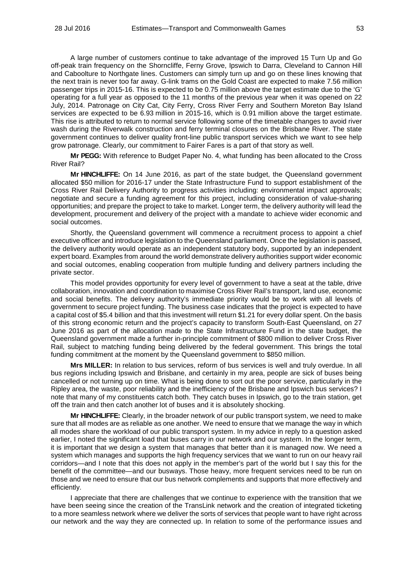A large number of customers continue to take advantage of the improved 15 Turn Up and Go off-peak train frequency on the Shorncliffe, Ferny Grove, Ipswich to Darra, Cleveland to Cannon Hill and Caboolture to Northgate lines. Customers can simply turn up and go on these lines knowing that the next train is never too far away. G-link trams on the Gold Coast are expected to make 7.56 million passenger trips in 2015-16. This is expected to be 0.75 million above the target estimate due to the 'G' operating for a full year as opposed to the 11 months of the previous year when it was opened on 22 July, 2014. Patronage on City Cat, City Ferry, Cross River Ferry and Southern Moreton Bay Island services are expected to be 6.93 million in 2015-16, which is 0.91 million above the target estimate. This rise is attributed to return to normal service following some of the timetable changes to avoid river wash during the Riverwalk construction and ferry terminal closures on the Brisbane River. The state government continues to deliver quality front-line public transport services which we want to see help grow patronage. Clearly, our commitment to Fairer Fares is a part of that story as well.

**Mr PEGG:** With reference to Budget Paper No. 4, what funding has been allocated to the Cross River Rail?

**Mr HINCHLIFFE:** On 14 June 2016, as part of the state budget, the Queensland government allocated \$50 million for 2016-17 under the State Infrastructure Fund to support establishment of the Cross River Rail Delivery Authority to progress activities including: environmental impact approvals; negotiate and secure a funding agreement for this project, including consideration of value-sharing opportunities; and prepare the project to take to market. Longer term, the delivery authority will lead the development, procurement and delivery of the project with a mandate to achieve wider economic and social outcomes.

Shortly, the Queensland government will commence a recruitment process to appoint a chief executive officer and introduce legislation to the Queensland parliament. Once the legislation is passed, the delivery authority would operate as an independent statutory body, supported by an independent expert board. Examples from around the world demonstrate delivery authorities support wider economic and social outcomes, enabling cooperation from multiple funding and delivery partners including the private sector.

This model provides opportunity for every level of government to have a seat at the table, drive collaboration, innovation and coordination to maximise Cross River Rail's transport, land use, economic and social benefits. The delivery authority's immediate priority would be to work with all levels of government to secure project funding. The business case indicates that the project is expected to have a capital cost of \$5.4 billion and that this investment will return \$1.21 for every dollar spent. On the basis of this strong economic return and the project's capacity to transform South-East Queensland, on 27 June 2016 as part of the allocation made to the State Infrastructure Fund in the state budget, the Queensland government made a further in-principle commitment of \$800 million to deliver Cross River Rail, subject to matching funding being delivered by the federal government. This brings the total funding commitment at the moment by the Queensland government to \$850 million.

**Mrs MILLER:** In relation to bus services, reform of bus services is well and truly overdue. In all bus regions including Ipswich and Brisbane, and certainly in my area, people are sick of buses being cancelled or not turning up on time. What is being done to sort out the poor service, particularly in the Ripley area, the waste, poor reliability and the inefficiency of the Brisbane and Ipswich bus services? I note that many of my constituents catch both. They catch buses in Ipswich, go to the train station, get off the train and then catch another lot of buses and it is absolutely shocking.

**Mr HINCHLIFFE:** Clearly, in the broader network of our public transport system, we need to make sure that all modes are as reliable as one another. We need to ensure that we manage the way in which all modes share the workload of our public transport system. In my advice in reply to a question asked earlier, I noted the significant load that buses carry in our network and our system. In the longer term, it is important that we design a system that manages that better than it is managed now. We need a system which manages and supports the high frequency services that we want to run on our heavy rail corridors—and I note that this does not apply in the member's part of the world but I say this for the benefit of the committee—and our busways. Those heavy, more frequent services need to be run on those and we need to ensure that our bus network complements and supports that more effectively and efficiently.

I appreciate that there are challenges that we continue to experience with the transition that we have been seeing since the creation of the TransLink network and the creation of integrated ticketing to a more seamless network where we deliver the sorts of services that people want to have right across our network and the way they are connected up. In relation to some of the performance issues and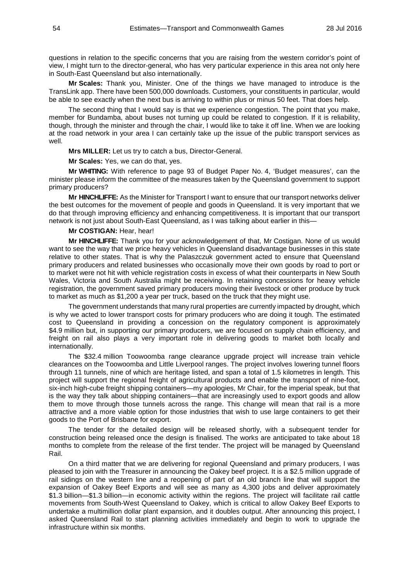questions in relation to the specific concerns that you are raising from the western corridor's point of view, I might turn to the director-general, who has very particular experience in this area not only here in South-East Queensland but also internationally.

**Mr Scales:** Thank you, Minister. One of the things we have managed to introduce is the TransLink app. There have been 500,000 downloads. Customers, your constituents in particular, would be able to see exactly when the next bus is arriving to within plus or minus 50 feet. That does help.

The second thing that I would say is that we experience congestion. The point that you make, member for Bundamba, about buses not turning up could be related to congestion. If it is reliability, though, through the minister and through the chair, I would like to take it off line. When we are looking at the road network in your area I can certainly take up the issue of the public transport services as well.

**Mrs MILLER:** Let us try to catch a bus, Director-General.

**Mr Scales:** Yes, we can do that, yes.

**Mr WHITING:** With reference to page 93 of Budget Paper No. 4, 'Budget measures', can the minister please inform the committee of the measures taken by the Queensland government to support primary producers?

**Mr HINCHLIFFE:** As the Minister for Transport I want to ensure that our transport networks deliver the best outcomes for the movement of people and goods in Queensland. It is very important that we do that through improving efficiency and enhancing competitiveness. It is important that our transport network is not just about South-East Queensland, as I was talking about earlier in this—

#### **Mr COSTIGAN:** Hear, hear!

**Mr HINCHLIFFE:** Thank you for your acknowledgement of that, Mr Costigan. None of us would want to see the way that we price heavy vehicles in Queensland disadvantage businesses in this state relative to other states. That is why the Palaszczuk government acted to ensure that Queensland primary producers and related businesses who occasionally move their own goods by road to port or to market were not hit with vehicle registration costs in excess of what their counterparts in New South Wales, Victoria and South Australia might be receiving. In retaining concessions for heavy vehicle registration, the government saved primary producers moving their livestock or other produce by truck to market as much as \$1,200 a year per truck, based on the truck that they might use.

The government understands that many rural properties are currently impacted by drought, which is why we acted to lower transport costs for primary producers who are doing it tough. The estimated cost to Queensland in providing a concession on the regulatory component is approximately \$4.9 million but, in supporting our primary producers, we are focused on supply chain efficiency, and freight on rail also plays a very important role in delivering goods to market both locally and internationally.

The \$32.4 million Toowoomba range clearance upgrade project will increase train vehicle clearances on the Toowoomba and Little Liverpool ranges. The project involves lowering tunnel floors through 11 tunnels, nine of which are heritage listed, and span a total of 1.5 kilometres in length. This project will support the regional freight of agricultural products and enable the transport of nine-foot, six-inch high-cube freight shipping containers—my apologies, Mr Chair, for the imperial speak, but that is the way they talk about shipping containers—that are increasingly used to export goods and allow them to move through those tunnels across the range. This change will mean that rail is a more attractive and a more viable option for those industries that wish to use large containers to get their goods to the Port of Brisbane for export.

The tender for the detailed design will be released shortly, with a subsequent tender for construction being released once the design is finalised. The works are anticipated to take about 18 months to complete from the release of the first tender. The project will be managed by Queensland Rail.

On a third matter that we are delivering for regional Queensland and primary producers, I was pleased to join with the Treasurer in announcing the Oakey beef project. It is a \$2.5 million upgrade of rail sidings on the western line and a reopening of part of an old branch line that will support the expansion of Oakey Beef Exports and will see as many as 4,300 jobs and deliver approximately \$1.3 billion—\$1.3 billion—in economic activity within the regions. The project will facilitate rail cattle movements from South-West Queensland to Oakey, which is critical to allow Oakey Beef Exports to undertake a multimillion dollar plant expansion, and it doubles output. After announcing this project, I asked Queensland Rail to start planning activities immediately and begin to work to upgrade the infrastructure within six months.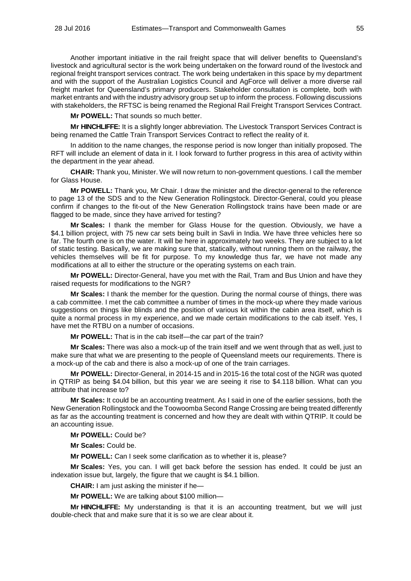Another important initiative in the rail freight space that will deliver benefits to Queensland's livestock and agricultural sector is the work being undertaken on the forward round of the livestock and regional freight transport services contract. The work being undertaken in this space by my department and with the support of the Australian Logistics Council and AgForce will deliver a more diverse rail freight market for Queensland's primary producers. Stakeholder consultation is complete, both with market entrants and with the industry advisory group set up to inform the process. Following discussions with stakeholders, the RFTSC is being renamed the Regional Rail Freight Transport Services Contract.

**Mr POWELL:** That sounds so much better.

**Mr HINCHLIFFE:** It is a slightly longer abbreviation. The Livestock Transport Services Contract is being renamed the Cattle Train Transport Services Contract to reflect the reality of it.

In addition to the name changes, the response period is now longer than initially proposed. The RFT will include an element of data in it. I look forward to further progress in this area of activity within the department in the year ahead.

**CHAIR:** Thank you, Minister. We will now return to non-government questions. I call the member for Glass House.

**Mr POWELL:** Thank you, Mr Chair. I draw the minister and the director-general to the reference to page 13 of the SDS and to the New Generation Rollingstock. Director-General, could you please confirm if changes to the fit-out of the New Generation Rollingstock trains have been made or are flagged to be made, since they have arrived for testing?

**Mr Scales:** I thank the member for Glass House for the question. Obviously, we have a \$4.1 billion project, with 75 new car sets being built in Savli in India. We have three vehicles here so far. The fourth one is on the water. It will be here in approximately two weeks. They are subject to a lot of static testing. Basically, we are making sure that, statically, without running them on the railway, the vehicles themselves will be fit for purpose. To my knowledge thus far, we have not made any modifications at all to either the structure or the operating systems on each train.

**Mr POWELL:** Director-General, have you met with the Rail, Tram and Bus Union and have they raised requests for modifications to the NGR?

**Mr Scales:** I thank the member for the question. During the normal course of things, there was a cab committee. I met the cab committee a number of times in the mock-up where they made various suggestions on things like blinds and the position of various kit within the cabin area itself, which is quite a normal process in my experience, and we made certain modifications to the cab itself. Yes, I have met the RTBU on a number of occasions.

**Mr POWELL:** That is in the cab itself—the car part of the train?

**Mr Scales:** There was also a mock-up of the train itself and we went through that as well, just to make sure that what we are presenting to the people of Queensland meets our requirements. There is a mock-up of the cab and there is also a mock-up of one of the train carriages.

**Mr POWELL:** Director-General, in 2014-15 and in 2015-16 the total cost of the NGR was quoted in QTRIP as being \$4.04 billion, but this year we are seeing it rise to \$4.118 billion. What can you attribute that increase to?

**Mr Scales:** It could be an accounting treatment. As I said in one of the earlier sessions, both the New Generation Rollingstock and the Toowoomba Second Range Crossing are being treated differently as far as the accounting treatment is concerned and how they are dealt with within QTRIP. It could be an accounting issue.

**Mr POWELL:** Could be?

**Mr Scales:** Could be.

**Mr POWELL:** Can I seek some clarification as to whether it is, please?

**Mr Scales:** Yes, you can. I will get back before the session has ended. It could be just an indexation issue but, largely, the figure that we caught is \$4.1 billion.

**CHAIR:** I am just asking the minister if he—

**Mr POWELL:** We are talking about \$100 million—

**Mr HINCHLIFFE:** My understanding is that it is an accounting treatment, but we will just double-check that and make sure that it is so we are clear about it.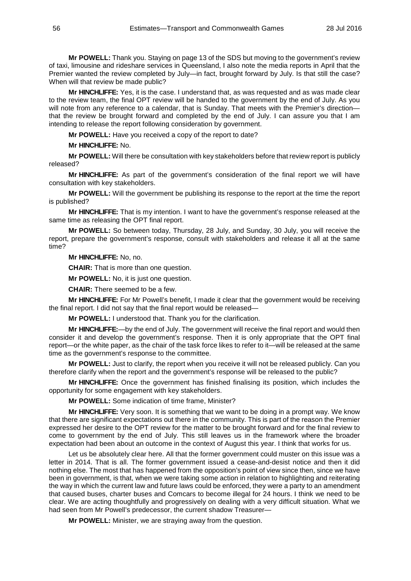**Mr POWELL:** Thank you. Staying on page 13 of the SDS but moving to the government's review of taxi, limousine and rideshare services in Queensland, I also note the media reports in April that the Premier wanted the review completed by July—in fact, brought forward by July. Is that still the case? When will that review be made public?

**Mr HINCHLIFFE:** Yes, it is the case. I understand that, as was requested and as was made clear to the review team, the final OPT review will be handed to the government by the end of July. As you will note from any reference to a calendar, that is Sunday. That meets with the Premier's directionthat the review be brought forward and completed by the end of July. I can assure you that I am intending to release the report following consideration by government.

**Mr POWELL:** Have you received a copy of the report to date?

**Mr HINCHLIFFE:** No.

**Mr POWELL:** Will there be consultation with key stakeholders before that review report is publicly released?

**Mr HINCHLIFFE:** As part of the government's consideration of the final report we will have consultation with key stakeholders.

**Mr POWELL:** Will the government be publishing its response to the report at the time the report is published?

**Mr HINCHLIFFE:** That is my intention. I want to have the government's response released at the same time as releasing the OPT final report.

**Mr POWELL:** So between today, Thursday, 28 July, and Sunday, 30 July, you will receive the report, prepare the government's response, consult with stakeholders and release it all at the same time?

**Mr HINCHLIFFE:** No, no.

**CHAIR:** That is more than one question.

**Mr POWELL:** No, it is just one question.

**CHAIR:** There seemed to be a few.

**Mr HINCHLIFFE:** For Mr Powell's benefit, I made it clear that the government would be receiving the final report. I did not say that the final report would be released—

**Mr POWELL:** I understood that. Thank you for the clarification.

**Mr HINCHLIFFE:**—by the end of July. The government will receive the final report and would then consider it and develop the government's response. Then it is only appropriate that the OPT final report—or the white paper, as the chair of the task force likes to refer to it—will be released at the same time as the government's response to the committee.

**Mr POWELL:** Just to clarify, the report when you receive it will not be released publicly. Can you therefore clarify when the report and the government's response will be released to the public?

**Mr HINCHLIFFE:** Once the government has finished finalising its position, which includes the opportunity for some engagement with key stakeholders.

**Mr POWELL:** Some indication of time frame, Minister?

**Mr HINCHLIFFE:** Very soon. It is something that we want to be doing in a prompt way. We know that there are significant expectations out there in the community. This is part of the reason the Premier expressed her desire to the OPT review for the matter to be brought forward and for the final review to come to government by the end of July. This still leaves us in the framework where the broader expectation had been about an outcome in the context of August this year. I think that works for us.

Let us be absolutely clear here. All that the former government could muster on this issue was a letter in 2014. That is all. The former government issued a cease-and-desist notice and then it did nothing else. The most that has happened from the opposition's point of view since then, since we have been in government, is that, when we were taking some action in relation to highlighting and reiterating the way in which the current law and future laws could be enforced, they were a party to an amendment that caused buses, charter buses and Comcars to become illegal for 24 hours. I think we need to be clear. We are acting thoughtfully and progressively on dealing with a very difficult situation. What we had seen from Mr Powell's predecessor, the current shadow Treasurer-

**Mr POWELL:** Minister, we are straying away from the question.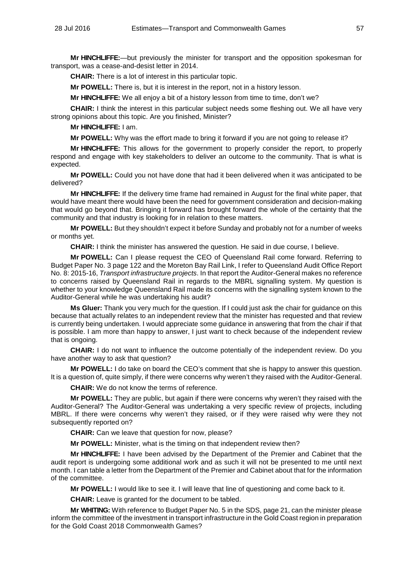**Mr HINCHLIFFE:**—but previously the minister for transport and the opposition spokesman for transport, was a cease-and-desist letter in 2014.

**CHAIR:** There is a lot of interest in this particular topic.

**Mr POWELL:** There is, but it is interest in the report, not in a history lesson.

**Mr HINCHLIFFE:** We all enjoy a bit of a history lesson from time to time, don't we?

**CHAIR:** I think the interest in this particular subject needs some fleshing out. We all have very strong opinions about this topic. Are you finished, Minister?

**Mr HINCHLIFFE:** I am.

**Mr POWELL:** Why was the effort made to bring it forward if you are not going to release it?

**Mr HINCHLIFFE:** This allows for the government to properly consider the report, to properly respond and engage with key stakeholders to deliver an outcome to the community. That is what is expected.

**Mr POWELL:** Could you not have done that had it been delivered when it was anticipated to be delivered?

**Mr HINCHLIFFE:** If the delivery time frame had remained in August for the final white paper, that would have meant there would have been the need for government consideration and decision-making that would go beyond that. Bringing it forward has brought forward the whole of the certainty that the community and that industry is looking for in relation to these matters.

**Mr POWELL:** But they shouldn't expect it before Sunday and probably not for a number of weeks or months yet.

**CHAIR:** I think the minister has answered the question. He said in due course, I believe.

**Mr POWELL:** Can I please request the CEO of Queensland Rail come forward. Referring to Budget Paper No. 3 page 122 and the Moreton Bay Rail Link, I refer to Queensland Audit Office Report No. 8: 2015-16, *Transport infrastructure projects*. In that report the Auditor-General makes no reference to concerns raised by Queensland Rail in regards to the MBRL signalling system. My question is whether to your knowledge Queensland Rail made its concerns with the signalling system known to the Auditor-General while he was undertaking his audit?

**Ms Gluer:** Thank you very much for the question. If I could just ask the chair for guidance on this because that actually relates to an independent review that the minister has requested and that review is currently being undertaken. I would appreciate some guidance in answering that from the chair if that is possible. I am more than happy to answer, I just want to check because of the independent review that is ongoing.

**CHAIR:** I do not want to influence the outcome potentially of the independent review. Do you have another way to ask that question?

**Mr POWELL:** I do take on board the CEO's comment that she is happy to answer this question. It is a question of, quite simply, if there were concerns why weren't they raised with the Auditor-General.

**CHAIR:** We do not know the terms of reference.

**Mr POWELL:** They are public, but again if there were concerns why weren't they raised with the Auditor-General? The Auditor-General was undertaking a very specific review of projects, including MBRL. If there were concerns why weren't they raised, or if they were raised why were they not subsequently reported on?

**CHAIR:** Can we leave that question for now, please?

**Mr POWELL:** Minister, what is the timing on that independent review then?

**Mr HINCHLIFFE:** I have been advised by the Department of the Premier and Cabinet that the audit report is undergoing some additional work and as such it will not be presented to me until next month. I can table a letter from the Department of the Premier and Cabinet about that for the information of the committee.

**Mr POWELL:** I would like to see it. I will leave that line of questioning and come back to it.

**CHAIR:** Leave is granted for the document to be tabled.

**Mr WHITING:** With reference to Budget Paper No. 5 in the SDS, page 21, can the minister please inform the committee of the investment in transport infrastructure in the Gold Coast region in preparation for the Gold Coast 2018 Commonwealth Games?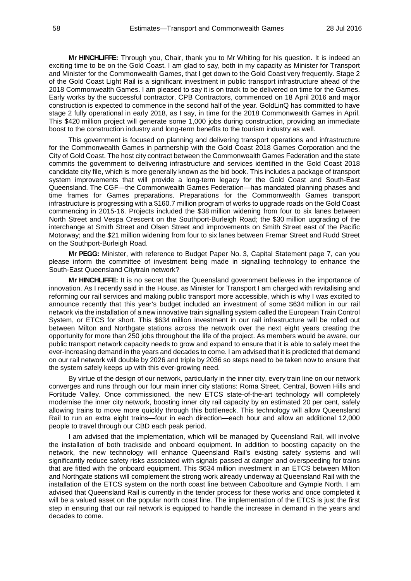**Mr HINCHLIFFE:** Through you, Chair, thank you to Mr Whiting for his question. It is indeed an exciting time to be on the Gold Coast. I am glad to say, both in my capacity as Minister for Transport and Minister for the Commonwealth Games, that I get down to the Gold Coast very frequently. Stage 2 of the Gold Coast Light Rail is a significant investment in public transport infrastructure ahead of the 2018 Commonwealth Games. I am pleased to say it is on track to be delivered on time for the Games. Early works by the successful contractor, CPB Contractors, commenced on 18 April 2016 and major construction is expected to commence in the second half of the year. GoldLinQ has committed to have stage 2 fully operational in early 2018, as I say, in time for the 2018 Commonwealth Games in April. This \$420 million project will generate some 1,000 jobs during construction, providing an immediate boost to the construction industry and long-term benefits to the tourism industry as well.

This government is focused on planning and delivering transport operations and infrastructure for the Commonwealth Games in partnership with the Gold Coast 2018 Games Corporation and the City of Gold Coast. The host city contract between the Commonwealth Games Federation and the state commits the government to delivering infrastructure and services identified in the Gold Coast 2018 candidate city file, which is more generally known as the bid book. This includes a package of transport system improvements that will provide a long-term legacy for the Gold Coast and South-East Queensland. The CGF—the Commonwealth Games Federation—has mandated planning phases and time frames for Games preparations. Preparations for the Commonwealth Games transport infrastructure is progressing with a \$160.7 million program of works to upgrade roads on the Gold Coast commencing in 2015-16. Projects included the \$38 million widening from four to six lanes between North Street and Vespa Crescent on the Southport-Burleigh Road; the \$30 million upgrading of the interchange at Smith Street and Olsen Street and improvements on Smith Street east of the Pacific Motorway; and the \$21 million widening from four to six lanes between Fremar Street and Rudd Street on the Southport-Burleigh Road.

**Mr PEGG:** Minister, with reference to Budget Paper No. 3, Capital Statement page 7, can you please inform the committee of investment being made in signalling technology to enhance the South-East Queensland Citytrain network?

**Mr HINCHLIFFE:** It is no secret that the Queensland government believes in the importance of innovation. As I recently said in the House, as Minister for Transport I am charged with revitalising and reforming our rail services and making public transport more accessible, which is why I was excited to announce recently that this year's budget included an investment of some \$634 million in our rail network via the installation of a new innovative train signalling system called the European Train Control System, or ETCS for short. This \$634 million investment in our rail infrastructure will be rolled out between Milton and Northgate stations across the network over the next eight years creating the opportunity for more than 250 jobs throughout the life of the project. As members would be aware, our public transport network capacity needs to grow and expand to ensure that it is able to safely meet the ever-increasing demand in the years and decades to come. I am advised that it is predicted that demand on our rail network will double by 2026 and triple by 2036 so steps need to be taken now to ensure that the system safely keeps up with this ever-growing need.

By virtue of the design of our network, particularly in the inner city, every train line on our network converges and runs through our four main inner city stations: Roma Street, Central, Bowen Hills and Fortitude Valley. Once commissioned, the new ETCS state-of-the-art technology will completely modernise the inner city network, boosting inner city rail capacity by an estimated 20 per cent, safely allowing trains to move more quickly through this bottleneck. This technology will allow Queensland Rail to run an extra eight trains—four in each direction—each hour and allow an additional 12,000 people to travel through our CBD each peak period.

I am advised that the implementation, which will be managed by Queensland Rail, will involve the installation of both trackside and onboard equipment. In addition to boosting capacity on the network, the new technology will enhance Queensland Rail's existing safety systems and will significantly reduce safety risks associated with signals passed at danger and overspeeding for trains that are fitted with the onboard equipment. This \$634 million investment in an ETCS between Milton and Northgate stations will complement the strong work already underway at Queensland Rail with the installation of the ETCS system on the north coast line between Caboolture and Gympie North. I am advised that Queensland Rail is currently in the tender process for these works and once completed it will be a valued asset on the popular north coast line. The implementation of the ETCS is just the first step in ensuring that our rail network is equipped to handle the increase in demand in the years and decades to come.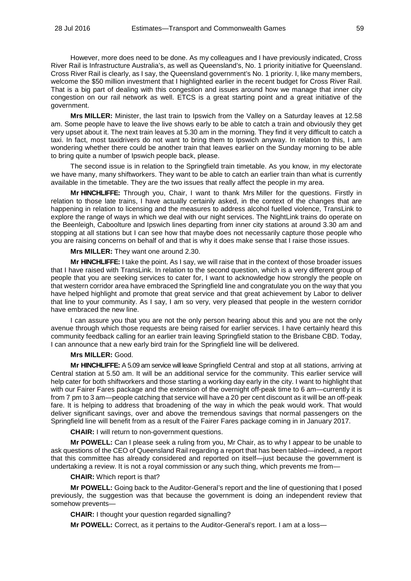However, more does need to be done. As my colleagues and I have previously indicated, Cross River Rail is Infrastructure Australia's, as well as Queensland's, No. 1 priority initiative for Queensland. Cross River Rail is clearly, as I say, the Queensland government's No. 1 priority. I, like many members, welcome the \$50 million investment that I highlighted earlier in the recent budget for Cross River Rail. That is a big part of dealing with this congestion and issues around how we manage that inner city congestion on our rail network as well. ETCS is a great starting point and a great initiative of the government.

**Mrs MILLER:** Minister, the last train to Ipswich from the Valley on a Saturday leaves at 12.58 am. Some people have to leave the live shows early to be able to catch a train and obviously they get very upset about it. The next train leaves at 5.30 am in the morning. They find it very difficult to catch a taxi. In fact, most taxidrivers do not want to bring them to Ipswich anyway. In relation to this, I am wondering whether there could be another train that leaves earlier on the Sunday morning to be able to bring quite a number of Ipswich people back, please.

The second issue is in relation to the Springfield train timetable. As you know, in my electorate we have many, many shiftworkers. They want to be able to catch an earlier train than what is currently available in the timetable. They are the two issues that really affect the people in my area.

**Mr HINCHLIFFE:** Through you, Chair, I want to thank Mrs Miller for the questions. Firstly in relation to those late trains, I have actually certainly asked, in the context of the changes that are happening in relation to licensing and the measures to address alcohol fuelled violence, TransLink to explore the range of ways in which we deal with our night services. The NightLink trains do operate on the Beenleigh, Caboolture and Ipswich lines departing from inner city stations at around 3.30 am and stopping at all stations but I can see how that maybe does not necessarily capture those people who you are raising concerns on behalf of and that is why it does make sense that I raise those issues.

#### **Mrs MILLER:** They want one around 2.30.

**Mr HINCHLIFFE:** I take the point. As I say, we will raise that in the context of those broader issues that I have raised with TransLink. In relation to the second question, which is a very different group of people that you are seeking services to cater for, I want to acknowledge how strongly the people on that western corridor area have embraced the Springfield line and congratulate you on the way that you have helped highlight and promote that great service and that great achievement by Labor to deliver that line to your community. As I say, I am so very, very pleased that people in the western corridor have embraced the new line.

I can assure you that you are not the only person hearing about this and you are not the only avenue through which those requests are being raised for earlier services. I have certainly heard this community feedback calling for an earlier train leaving Springfield station to the Brisbane CBD. Today, I can announce that a new early bird train for the Springfield line will be delivered.

#### **Mrs MILLER:** Good.

**Mr HINCHLIFFE:** A 5.09 am service will leave Springfield Central and stop at all stations, arriving at Central station at 5.50 am. It will be an additional service for the community. This earlier service will help cater for both shiftworkers and those starting a working day early in the city. I want to highlight that with our Fairer Fares package and the extension of the overnight off-peak time to 6 am—currently it is from 7 pm to 3 am—people catching that service will have a 20 per cent discount as it will be an off-peak fare. It is helping to address that broadening of the way in which the peak would work. That would deliver significant savings, over and above the tremendous savings that normal passengers on the Springfield line will benefit from as a result of the Fairer Fares package coming in in January 2017.

**CHAIR:** I will return to non-government questions.

**Mr POWELL:** Can I please seek a ruling from you, Mr Chair, as to why I appear to be unable to ask questions of the CEO of Queensland Rail regarding a report that has been tabled—indeed, a report that this committee has already considered and reported on itself—just because the government is undertaking a review. It is not a royal commission or any such thing, which prevents me from—

#### **CHAIR:** Which report is that?

**Mr POWELL:** Going back to the Auditor-General's report and the line of questioning that I posed previously, the suggestion was that because the government is doing an independent review that somehow prevents—

**CHAIR:** I thought your question regarded signalling?

**Mr POWELL:** Correct, as it pertains to the Auditor-General's report. I am at a loss—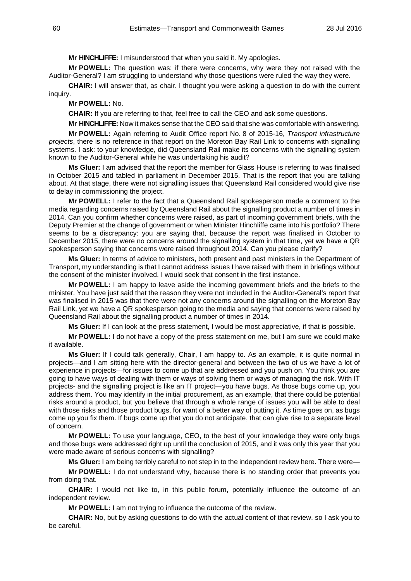**Mr HINCHLIFFE:** I misunderstood that when you said it. My apologies.

**Mr POWELL:** The question was: if there were concerns, why were they not raised with the Auditor-General? I am struggling to understand why those questions were ruled the way they were.

**CHAIR:** I will answer that, as chair. I thought you were asking a question to do with the current inquiry.

**Mr POWELL:** No.

**CHAIR:** If you are referring to that, feel free to call the CEO and ask some questions.

**Mr HINCHLIFFE:** Now it makes sense that the CEO said that she was comfortable with answering.

**Mr POWELL:** Again referring to Audit Office report No. 8 of 2015-16, *Transport infrastructure projects*, there is no reference in that report on the Moreton Bay Rail Link to concerns with signalling systems. I ask: to your knowledge, did Queensland Rail make its concerns with the signalling system known to the Auditor-General while he was undertaking his audit?

**Ms Gluer:** I am advised that the report the member for Glass House is referring to was finalised in October 2015 and tabled in parliament in December 2015. That is the report that you are talking about. At that stage, there were not signalling issues that Queensland Rail considered would give rise to delay in commissioning the project.

**Mr POWELL:** I refer to the fact that a Queensland Rail spokesperson made a comment to the media regarding concerns raised by Queensland Rail about the signalling product a number of times in 2014. Can you confirm whether concerns were raised, as part of incoming government briefs, with the Deputy Premier at the change of government or when Minister Hinchliffe came into his portfolio? There seems to be a discrepancy: you are saying that, because the report was finalised in October to December 2015, there were no concerns around the signalling system in that time, yet we have a QR spokesperson saying that concerns were raised throughout 2014. Can you please clarify?

**Ms Gluer:** In terms of advice to ministers, both present and past ministers in the Department of Transport, my understanding is that I cannot address issues I have raised with them in briefings without the consent of the minister involved. I would seek that consent in the first instance.

**Mr POWELL:** I am happy to leave aside the incoming government briefs and the briefs to the minister. You have just said that the reason they were not included in the Auditor-General's report that was finalised in 2015 was that there were not any concerns around the signalling on the Moreton Bay Rail Link, yet we have a QR spokesperson going to the media and saying that concerns were raised by Queensland Rail about the signalling product a number of times in 2014.

**Ms Gluer:** If I can look at the press statement, I would be most appreciative, if that is possible.

**Mr POWELL:** I do not have a copy of the press statement on me, but I am sure we could make it available.

**Ms Gluer:** If I could talk generally, Chair, I am happy to. As an example, it is quite normal in projects—and I am sitting here with the director-general and between the two of us we have a lot of experience in projects—for issues to come up that are addressed and you push on. You think you are going to have ways of dealing with them or ways of solving them or ways of managing the risk. With IT projects- and the signalling project is like an IT project—you have bugs. As those bugs come up, you address them. You may identify in the initial procurement, as an example, that there could be potential risks around a product, but you believe that through a whole range of issues you will be able to deal with those risks and those product bugs, for want of a better way of putting it. As time goes on, as bugs come up you fix them. If bugs come up that you do not anticipate, that can give rise to a separate level of concern.

**Mr POWELL:** To use your language, CEO, to the best of your knowledge they were only bugs and those bugs were addressed right up until the conclusion of 2015, and it was only this year that you were made aware of serious concerns with signalling?

**Ms Gluer:** I am being terribly careful to not step in to the independent review here. There were—

**Mr POWELL:** I do not understand why, because there is no standing order that prevents you from doing that.

**CHAIR:** I would not like to, in this public forum, potentially influence the outcome of an independent review.

**Mr POWELL:** I am not trying to influence the outcome of the review.

**CHAIR:** No, but by asking questions to do with the actual content of that review, so I ask you to be careful.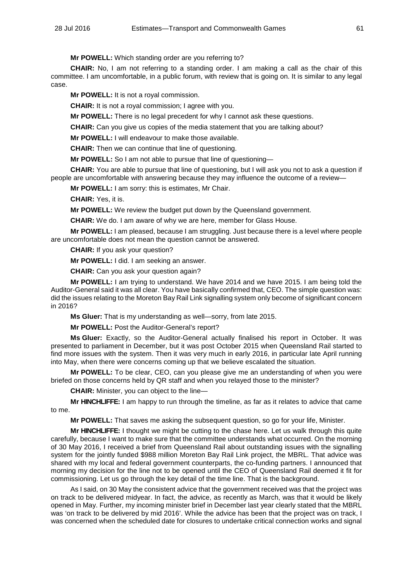**Mr POWELL:** Which standing order are you referring to?

**CHAIR:** No, I am not referring to a standing order. I am making a call as the chair of this committee. I am uncomfortable, in a public forum, with review that is going on. It is similar to any legal case.

**Mr POWELL:** It is not a royal commission.

**CHAIR:** It is not a royal commission; I agree with you.

**Mr POWELL:** There is no legal precedent for why I cannot ask these questions.

**CHAIR:** Can you give us copies of the media statement that you are talking about?

**Mr POWELL:** I will endeavour to make those available.

**CHAIR:** Then we can continue that line of questioning.

**Mr POWELL:** So I am not able to pursue that line of questioning—

**CHAIR:** You are able to pursue that line of questioning, but I will ask you not to ask a question if people are uncomfortable with answering because they may influence the outcome of a review—

**Mr POWELL:** I am sorry: this is estimates, Mr Chair.

**CHAIR:** Yes, it is.

**Mr POWELL:** We review the budget put down by the Queensland government.

**CHAIR:** We do. I am aware of why we are here, member for Glass House.

**Mr POWELL:** I am pleased, because I am struggling. Just because there is a level where people are uncomfortable does not mean the question cannot be answered.

**CHAIR:** If you ask your question?

**Mr POWELL:** I did. I am seeking an answer.

**CHAIR:** Can you ask your question again?

**Mr POWELL:** I am trying to understand. We have 2014 and we have 2015. I am being told the Auditor-General said it was all clear. You have basically confirmed that, CEO. The simple question was: did the issues relating to the Moreton Bay Rail Link signalling system only become of significant concern in 2016?

**Ms Gluer:** That is my understanding as well—sorry, from late 2015.

**Mr POWELL:** Post the Auditor-General's report?

**Ms Gluer:** Exactly, so the Auditor-General actually finalised his report in October. It was presented to parliament in December, but it was post October 2015 when Queensland Rail started to find more issues with the system. Then it was very much in early 2016, in particular late April running into May, when there were concerns coming up that we believe escalated the situation.

**Mr POWELL:** To be clear, CEO, can you please give me an understanding of when you were briefed on those concerns held by QR staff and when you relayed those to the minister?

**CHAIR:** Minister, you can object to the line—

**Mr HINCHLIFFE:** I am happy to run through the timeline, as far as it relates to advice that came to me.

**Mr POWELL:** That saves me asking the subsequent question, so go for your life, Minister.

**Mr HINCHLIFFE:** I thought we might be cutting to the chase here. Let us walk through this quite carefully, because I want to make sure that the committee understands what occurred. On the morning of 30 May 2016, I received a brief from Queensland Rail about outstanding issues with the signalling system for the jointly funded \$988 million Moreton Bay Rail Link project, the MBRL. That advice was shared with my local and federal government counterparts, the co-funding partners. I announced that morning my decision for the line not to be opened until the CEO of Queensland Rail deemed it fit for commissioning. Let us go through the key detail of the time line. That is the background.

As I said, on 30 May the consistent advice that the government received was that the project was on track to be delivered midyear. In fact, the advice, as recently as March, was that it would be likely opened in May. Further, my incoming minister brief in December last year clearly stated that the MBRL was 'on track to be delivered by mid 2016'. While the advice has been that the project was on track, I was concerned when the scheduled date for closures to undertake critical connection works and signal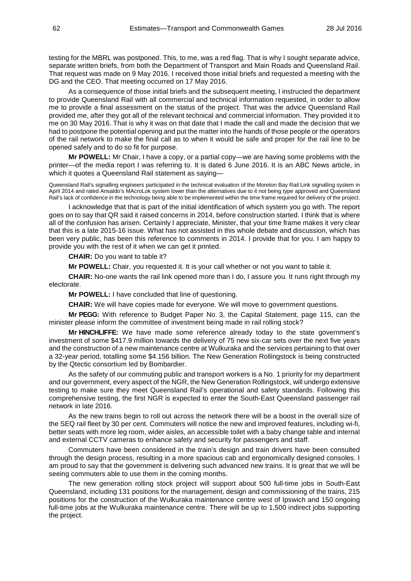testing for the MBRL was postponed. This, to me, was a red flag. That is why I sought separate advice, separate written briefs, from both the Department of Transport and Main Roads and Queensland Rail. That request was made on 9 May 2016. I received those initial briefs and requested a meeting with the DG and the CEO. That meeting occurred on 17 May 2016.

As a consequence of those initial briefs and the subsequent meeting, I instructed the department to provide Queensland Rail with all commercial and technical information requested, in order to allow me to provide a final assessment on the status of the project. That was the advice Queensland Rail provided me, after they got all of the relevant technical and commercial information. They provided it to me on 30 May 2016. That is why it was on that date that I made the call and made the decision that we had to postpone the potential opening and put the matter into the hands of those people or the operators of the rail network to make the final call as to when it would be safe and proper for the rail line to be opened safely and to do so fit for purpose.

**Mr POWELL:** Mr Chair, I have a copy, or a partial copy—we are having some problems with the printer—of the media report I was referring to. It is dated 6 June 2016. It is an ABC News article, in which it quotes a Queensland Rail statement as saying—

Queensland Rail's signalling engineers participated in the technical evaluation of the Moreton Bay Rail Link signalling system in April 2014 and rated Ansaldo's MAcroLok system lower than the alternatives due to it not being type approved and Queensland Rail's lack of confidence in the technology being able to be implemented within the time frame required for delivery of the project.

I acknowledge that that is part of the initial identification of which system you go with. The report goes on to say that QR said it raised concerns in 2014, before construction started. I think that is where all of the confusion has arisen. Certainly I appreciate, Minister, that your time frame makes it very clear that this is a late 2015-16 issue. What has not assisted in this whole debate and discussion, which has been very public, has been this reference to comments in 2014. I provide that for you. I am happy to provide you with the rest of it when we can get it printed.

**CHAIR:** Do you want to table it?

**Mr POWELL:** Chair, you requested it. It is your call whether or not you want to table it.

**CHAIR:** No-one wants the rail link opened more than I do, I assure you. It runs right through my electorate.

**Mr POWELL:** I have concluded that line of questioning.

**CHAIR:** We will have copies made for everyone. We will move to government questions.

**Mr PEGG:** With reference to Budget Paper No. 3, the Capital Statement, page 115, can the minister please inform the committee of investment being made in rail rolling stock?

**Mr HINCHLIFFE:** We have made some reference already today to the state government's investment of some \$417.9 million towards the delivery of 75 new six-car sets over the next five years and the construction of a new maintenance centre at Wulkuraka and the services pertaining to that over a 32-year period, totalling some \$4.156 billion. The New Generation Rollingstock is being constructed by the Qtectic consortium led by Bombardier.

As the safety of our commuting public and transport workers is a No. 1 priority for my department and our government, every aspect of the NGR, the New Generation Rollingstock, will undergo extensive testing to make sure they meet Queensland Rail's operational and safety standards. Following this comprehensive testing, the first NGR is expected to enter the South-East Queensland passenger rail network in late 2016.

As the new trains begin to roll out across the network there will be a boost in the overall size of the SEQ rail fleet by 30 per cent. Commuters will notice the new and improved features, including wi-fi, better seats with more leg room, wider aisles, an accessible toilet with a baby change table and internal and external CCTV cameras to enhance safety and security for passengers and staff.

Commuters have been considered in the train's design and train drivers have been consulted through the design process, resulting in a more spacious cab and ergonomically designed consoles. I am proud to say that the government is delivering such advanced new trains. It is great that we will be seeing commuters able to use them in the coming months.

The new generation rolling stock project will support about 500 full-time jobs in South-East Queensland, including 131 positions for the management, design and commissioning of the trains, 215 positions for the construction of the Wulkuraka maintenance centre west of Ipswich and 150 ongoing full-time jobs at the Wulkuraka maintenance centre. There will be up to 1,500 indirect jobs supporting the project.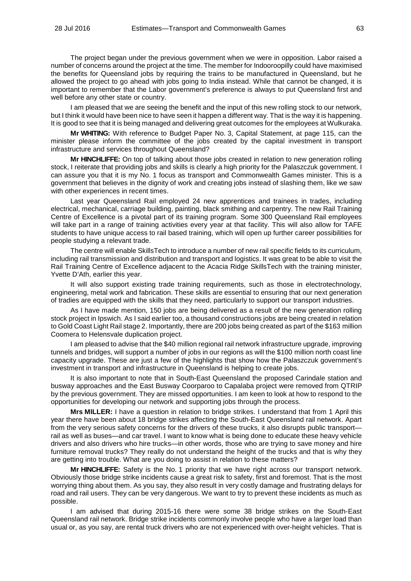The project began under the previous government when we were in opposition. Labor raised a number of concerns around the project at the time. The member for Indooroopilly could have maximised the benefits for Queensland jobs by requiring the trains to be manufactured in Queensland, but he allowed the project to go ahead with jobs going to India instead. While that cannot be changed, it is important to remember that the Labor government's preference is always to put Queensland first and well before any other state or country.

I am pleased that we are seeing the benefit and the input of this new rolling stock to our network, but I think it would have been nice to have seen it happen a different way. That is the way it is happening. It is good to see that it is being managed and delivering great outcomes for the employees at Wulkuraka.

**Mr WHITING:** With reference to Budget Paper No. 3, Capital Statement, at page 115, can the minister please inform the committee of the jobs created by the capital investment in transport infrastructure and services throughout Queensland?

**Mr HINCHLIFFE:** On top of talking about those jobs created in relation to new generation rolling stock, I reiterate that providing jobs and skills is clearly a high priority for the Palaszczuk government. I can assure you that it is my No. 1 focus as transport and Commonwealth Games minister. This is a government that believes in the dignity of work and creating jobs instead of slashing them, like we saw with other experiences in recent times.

Last year Queensland Rail employed 24 new apprentices and trainees in trades, including electrical, mechanical, carriage building, painting, black smithing and carpentry. The new Rail Training Centre of Excellence is a pivotal part of its training program. Some 300 Queensland Rail employees will take part in a range of training activities every year at that facility. This will also allow for TAFE students to have unique access to rail based training, which will open up further career possibilities for people studying a relevant trade.

The centre will enable SkillsTech to introduce a number of new rail specific fields to its curriculum, including rail transmission and distribution and transport and logistics. It was great to be able to visit the Rail Training Centre of Excellence adjacent to the Acacia Ridge SkillsTech with the training minister, Yvette D'Ath, earlier this year.

It will also support existing trade training requirements, such as those in electrotechnology, engineering, metal work and fabrication. These skills are essential to ensuring that our next generation of tradies are equipped with the skills that they need, particularly to support our transport industries.

As I have made mention, 150 jobs are being delivered as a result of the new generation rolling stock project in Ipswich. As I said earlier too, a thousand constructions jobs are being created in relation to Gold Coast Light Rail stage 2. Importantly, there are 200 jobs being created as part of the \$163 million Coomera to Helensvale duplication project.

I am pleased to advise that the \$40 million regional rail network infrastructure upgrade, improving tunnels and bridges, will support a number of jobs in our regions as will the \$100 million north coast line capacity upgrade. These are just a few of the highlights that show how the Palaszczuk government's investment in transport and infrastructure in Queensland is helping to create jobs.

It is also important to note that in South-East Queensland the proposed Carindale station and busway approaches and the East Busway Coorparoo to Capalaba project were removed from QTRIP by the previous government. They are missed opportunities. I am keen to look at how to respond to the opportunities for developing our network and supporting jobs through the process.

**Mrs MILLER:** I have a question in relation to bridge strikes. I understand that from 1 April this year there have been about 18 bridge strikes affecting the South-East Queensland rail network. Apart from the very serious safety concerns for the drivers of these trucks, it also disrupts public transport rail as well as buses—and car travel. I want to know what is being done to educate these heavy vehicle drivers and also drivers who hire trucks—in other words, those who are trying to save money and hire furniture removal trucks? They really do not understand the height of the trucks and that is why they are getting into trouble. What are you doing to assist in relation to these matters?

**Mr HINCHLIFFE:** Safety is the No. 1 priority that we have right across our transport network. Obviously those bridge strike incidents cause a great risk to safety, first and foremost. That is the most worrying thing about them. As you say, they also result in very costly damage and frustrating delays for road and rail users. They can be very dangerous. We want to try to prevent these incidents as much as possible.

I am advised that during 2015-16 there were some 38 bridge strikes on the South-East Queensland rail network. Bridge strike incidents commonly involve people who have a larger load than usual or, as you say, are rental truck drivers who are not experienced with over-height vehicles. That is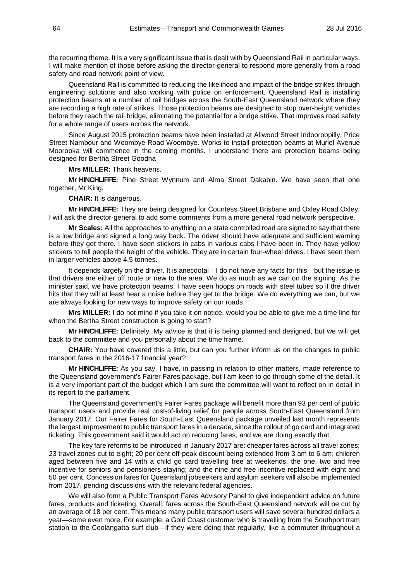the recurring theme. It is a very significant issue that is dealt with by Queensland Rail in particular ways. I will make mention of those before asking the director-general to respond more generally from a road safety and road network point of view.

Queensland Rail is committed to reducing the likelihood and impact of the bridge strikes through engineering solutions and also working with police on enforcement. Queensland Rail is installing protection beams at a number of rail bridges across the South-East Queensland network where they are recording a high rate of strikes. Those protection beams are designed to stop over-height vehicles before they reach the rail bridge, eliminating the potential for a bridge strike. That improves road safety for a whole range of users across the network.

Since August 2015 protection beams have been installed at Allwood Street Indooroopilly, Price Street Nambour and Woombye Road Woombye. Works to install protection beams at Muriel Avenue Moorooka will commence in the coming months. I understand there are protection beams being designed for Bertha Street Goodna—

**Mrs MILLER:** Thank heavens.

**Mr HINCHLIFFE:** Pine Street Wynnum and Alma Street Dakabin. We have seen that one together, Mr King.

**CHAIR:** It is dangerous.

**Mr HINCHLIFFE:** They are being designed for Countess Street Brisbane and Oxley Road Oxley. I will ask the director-general to add some comments from a more general road network perspective.

**Mr Scales:** All the approaches to anything on a state controlled road are signed to say that there is a low bridge and signed a long way back. The driver should have adequate and sufficient warning before they get there. I have seen stickers in cabs in various cabs I have been in. They have yellow stickers to tell people the height of the vehicle. They are in certain four-wheel drives. I have seen them in larger vehicles above 4.5 tonnes.

It depends largely on the driver. It is anecdotal—I do not have any facts for this—but the issue is that drivers are either off route or new to the area. We do as much as we can on the signing. As the minister said, we have protection beams. I have seen hoops on roads with steel tubes so if the driver hits that they will at least hear a noise before they get to the bridge. We do everything we can, but we are always looking for new ways to improve safety on our roads.

**Mrs MILLER:** I do not mind if you take it on notice, would you be able to give me a time line for when the Bertha Street construction is going to start?

**Mr HINCHLIFFE:** Definitely. My advice is that it is being planned and designed, but we will get back to the committee and you personally about the time frame.

**CHAIR:** You have covered this a little, but can you further inform us on the changes to public transport fares in the 2016-17 financial year?

**Mr HINCHLIFFE:** As you say, I have, in passing in relation to other matters, made reference to the Queensland government's Fairer Fares package, but I am keen to go through some of the detail. It is a very important part of the budget which I am sure the committee will want to reflect on in detail in its report to the parliament.

The Queensland government's Fairer Fares package will benefit more than 93 per cent of public transport users and provide real cost-of-living relief for people across South-East Queensland from January 2017. Our Fairer Fares for South-East Queensland package unveiled last month represents the largest improvement to public transport fares in a decade, since the rollout of go card and integrated ticketing. This government said it would act on reducing fares, and we are doing exactly that.

The key fare reforms to be introduced in January 2017 are: cheaper fares across all travel zones; 23 travel zones cut to eight; 20 per cent off-peak discount being extended from 3 am to 6 am; children aged between five and 14 with a child go card travelling free at weekends; the one, two and free incentive for seniors and pensioners staying; and the nine and free incentive replaced with eight and 50 per cent. Concession fares for Queensland jobseekers and asylum seekers will also be implemented from 2017, pending discussions with the relevant federal agencies.

We will also form a Public Transport Fares Advisory Panel to give independent advice on future fares, products and ticketing. Overall, fares across the South-East Queensland network will be cut by an average of 18 per cent. This means many public transport users will save several hundred dollars a year—some even more. For example, a Gold Coast customer who is travelling from the Southport tram station to the Coolangatta surf club-if they were doing that regularly, like a commuter throughout a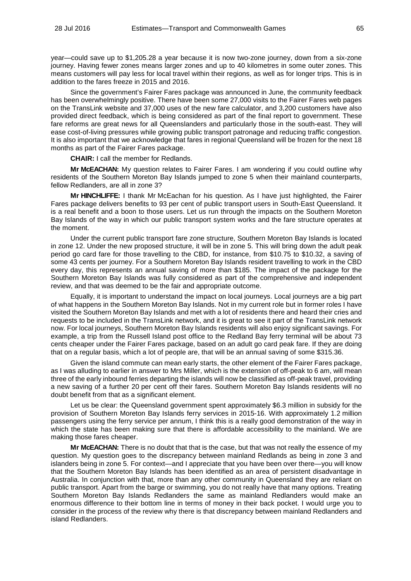year—could save up to \$1,205.28 a year because it is now two-zone journey, down from a six-zone journey. Having fewer zones means larger zones and up to 40 kilometres in some outer zones. This means customers will pay less for local travel within their regions, as well as for longer trips. This is in addition to the fares freeze in 2015 and 2016.

Since the government's Fairer Fares package was announced in June, the community feedback has been overwhelmingly positive. There have been some 27,000 visits to the Fairer Fares web pages on the TransLink website and 37,000 uses of the new fare calculator, and 3,200 customers have also provided direct feedback, which is being considered as part of the final report to government. These fare reforms are great news for all Queenslanders and particularly those in the south-east. They will ease cost-of-living pressures while growing public transport patronage and reducing traffic congestion. It is also important that we acknowledge that fares in regional Queensland will be frozen for the next 18 months as part of the Fairer Fares package.

**CHAIR:** I call the member for Redlands.

**Mr McEACHAN:** My question relates to Fairer Fares. I am wondering if you could outline why residents of the Southern Moreton Bay Islands jumped to zone 5 when their mainland counterparts, fellow Redlanders, are all in zone 3?

**Mr HINCHLIFFE:** I thank Mr McEachan for his question. As I have just highlighted, the Fairer Fares package delivers benefits to 93 per cent of public transport users in South-East Queensland. It is a real benefit and a boon to those users. Let us run through the impacts on the Southern Moreton Bay Islands of the way in which our public transport system works and the fare structure operates at the moment.

Under the current public transport fare zone structure, Southern Moreton Bay Islands is located in zone 12. Under the new proposed structure, it will be in zone 5. This will bring down the adult peak period go card fare for those travelling to the CBD, for instance, from \$10.75 to \$10.32, a saving of some 43 cents per journey. For a Southern Moreton Bay Islands resident travelling to work in the CBD every day, this represents an annual saving of more than \$185. The impact of the package for the Southern Moreton Bay Islands was fully considered as part of the comprehensive and independent review, and that was deemed to be the fair and appropriate outcome.

Equally, it is important to understand the impact on local journeys. Local journeys are a big part of what happens in the Southern Moreton Bay Islands. Not in my current role but in former roles I have visited the Southern Moreton Bay Islands and met with a lot of residents there and heard their cries and requests to be included in the TransLink network, and it is great to see it part of the TransLink network now. For local journeys, Southern Moreton Bay Islands residents will also enjoy significant savings. For example, a trip from the Russell Island post office to the Redland Bay ferry terminal will be about 73 cents cheaper under the Fairer Fares package, based on an adult go card peak fare. If they are doing that on a regular basis, which a lot of people are, that will be an annual saving of some \$315.36.

Given the island commute can mean early starts, the other element of the Fairer Fares package, as I was alluding to earlier in answer to Mrs Miller, which is the extension of off-peak to 6 am, will mean three of the early inbound ferries departing the islands will now be classified as off-peak travel, providing a new saving of a further 20 per cent off their fares. Southern Moreton Bay Islands residents will no doubt benefit from that as a significant element.

Let us be clear: the Queensland government spent approximately \$6.3 million in subsidy for the provision of Southern Moreton Bay Islands ferry services in 2015-16. With approximately 1.2 million passengers using the ferry service per annum, I think this is a really good demonstration of the way in which the state has been making sure that there is affordable accessibility to the mainland. We are making those fares cheaper.

**Mr McEACHAN:** There is no doubt that that is the case, but that was not really the essence of my question. My question goes to the discrepancy between mainland Redlands as being in zone 3 and islanders being in zone 5. For context—and I appreciate that you have been over there—you will know that the Southern Moreton Bay Islands has been identified as an area of persistent disadvantage in Australia. In conjunction with that, more than any other community in Queensland they are reliant on public transport. Apart from the barge or swimming, you do not really have that many options. Treating Southern Moreton Bay Islands Redlanders the same as mainland Redlanders would make an enormous difference to their bottom line in terms of money in their back pocket. I would urge you to consider in the process of the review why there is that discrepancy between mainland Redlanders and island Redlanders.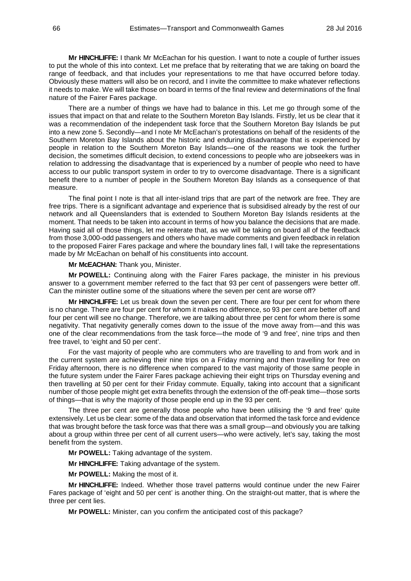**Mr HINCHLIFFE:** I thank Mr McEachan for his question. I want to note a couple of further issues to put the whole of this into context. Let me preface that by reiterating that we are taking on board the range of feedback, and that includes your representations to me that have occurred before today. Obviously these matters will also be on record, and I invite the committee to make whatever reflections it needs to make. We will take those on board in terms of the final review and determinations of the final nature of the Fairer Fares package.

There are a number of things we have had to balance in this. Let me go through some of the issues that impact on that and relate to the Southern Moreton Bay Islands. Firstly, let us be clear that it was a recommendation of the independent task force that the Southern Moreton Bay Islands be put into a new zone 5. Secondly—and I note Mr McEachan's protestations on behalf of the residents of the Southern Moreton Bay Islands about the historic and enduring disadvantage that is experienced by people in relation to the Southern Moreton Bay Islands—one of the reasons we took the further decision, the sometimes difficult decision, to extend concessions to people who are jobseekers was in relation to addressing the disadvantage that is experienced by a number of people who need to have access to our public transport system in order to try to overcome disadvantage. There is a significant benefit there to a number of people in the Southern Moreton Bay Islands as a consequence of that measure.

The final point I note is that all inter-island trips that are part of the network are free. They are free trips. There is a significant advantage and experience that is subsidised already by the rest of our network and all Queenslanders that is extended to Southern Moreton Bay Islands residents at the moment. That needs to be taken into account in terms of how you balance the decisions that are made. Having said all of those things, let me reiterate that, as we will be taking on board all of the feedback from those 3,000-odd passengers and others who have made comments and given feedback in relation to the proposed Fairer Fares package and where the boundary lines fall, I will take the representations made by Mr McEachan on behalf of his constituents into account.

**Mr McEACHAN:** Thank you, Minister.

**Mr POWELL:** Continuing along with the Fairer Fares package, the minister in his previous answer to a government member referred to the fact that 93 per cent of passengers were better off. Can the minister outline some of the situations where the seven per cent are worse off?

**Mr HINCHLIFFE:** Let us break down the seven per cent. There are four per cent for whom there is no change. There are four per cent for whom it makes no difference, so 93 per cent are better off and four per cent will see no change. Therefore, we are talking about three per cent for whom there is some negativity. That negativity generally comes down to the issue of the move away from—and this was one of the clear recommendations from the task force—the mode of '9 and free', nine trips and then free travel, to 'eight and 50 per cent'.

For the vast majority of people who are commuters who are travelling to and from work and in the current system are achieving their nine trips on a Friday morning and then travelling for free on Friday afternoon, there is no difference when compared to the vast majority of those same people in the future system under the Fairer Fares package achieving their eight trips on Thursday evening and then travelling at 50 per cent for their Friday commute. Equally, taking into account that a significant number of those people might get extra benefits through the extension of the off-peak time—those sorts of things—that is why the majority of those people end up in the 93 per cent.

The three per cent are generally those people who have been utilising the '9 and free' quite extensively. Let us be clear: some of the data and observation that informed the task force and evidence that was brought before the task force was that there was a small group—and obviously you are talking about a group within three per cent of all current users—who were actively, let's say, taking the most benefit from the system.

**Mr POWELL:** Taking advantage of the system.

**Mr HINCHLIFFE:** Taking advantage of the system.

**Mr POWELL:** Making the most of it.

**Mr HINCHLIFFE:** Indeed. Whether those travel patterns would continue under the new Fairer Fares package of 'eight and 50 per cent' is another thing. On the straight-out matter, that is where the three per cent lies.

**Mr POWELL:** Minister, can you confirm the anticipated cost of this package?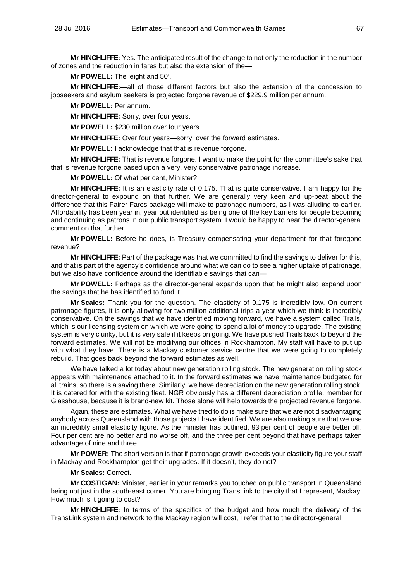**Mr HINCHLIFFE:** Yes. The anticipated result of the change to not only the reduction in the number of zones and the reduction in fares but also the extension of the—

**Mr POWELL:** The 'eight and 50'.

**Mr HINCHLIFFE:**—all of those different factors but also the extension of the concession to jobseekers and asylum seekers is projected forgone revenue of \$229.9 million per annum.

**Mr POWELL:** Per annum.

**Mr HINCHLIFFE:** Sorry, over four years.

**Mr POWELL:** \$230 million over four years.

**Mr HINCHLIFFE:** Over four years—sorry, over the forward estimates.

**Mr POWELL:** I acknowledge that that is revenue forgone.

**Mr HINCHLIFFE:** That is revenue forgone. I want to make the point for the committee's sake that that is revenue forgone based upon a very, very conservative patronage increase.

**Mr POWELL:** Of what per cent, Minister?

**Mr HINCHLIFFE:** It is an elasticity rate of 0.175. That is quite conservative. I am happy for the director-general to expound on that further. We are generally very keen and up-beat about the difference that this Fairer Fares package will make to patronage numbers, as I was alluding to earlier. Affordability has been year in, year out identified as being one of the key barriers for people becoming and continuing as patrons in our public transport system. I would be happy to hear the director-general comment on that further.

**Mr POWELL:** Before he does, is Treasury compensating your department for that foregone revenue?

**Mr HINCHLIFFE:** Part of the package was that we committed to find the savings to deliver for this, and that is part of the agency's confidence around what we can do to see a higher uptake of patronage, but we also have confidence around the identifiable savings that can—

**Mr POWELL:** Perhaps as the director-general expands upon that he might also expand upon the savings that he has identified to fund it.

**Mr Scales:** Thank you for the question. The elasticity of 0.175 is incredibly low. On current patronage figures, it is only allowing for two million additional trips a year which we think is incredibly conservative. On the savings that we have identified moving forward, we have a system called Trails, which is our licensing system on which we were going to spend a lot of money to upgrade. The existing system is very clunky, but it is very safe if it keeps on going. We have pushed Trails back to beyond the forward estimates. We will not be modifying our offices in Rockhampton. My staff will have to put up with what they have. There is a Mackay customer service centre that we were going to completely rebuild. That goes back beyond the forward estimates as well.

We have talked a lot today about new generation rolling stock. The new generation rolling stock appears with maintenance attached to it. In the forward estimates we have maintenance budgeted for all trains, so there is a saving there. Similarly, we have depreciation on the new generation rolling stock. It is catered for with the existing fleet. NGR obviously has a different depreciation profile, member for Glasshouse, because it is brand-new kit. Those alone will help towards the projected revenue forgone.

Again, these are estimates. What we have tried to do is make sure that we are not disadvantaging anybody across Queensland with those projects I have identified. We are also making sure that we use an incredibly small elasticity figure. As the minister has outlined, 93 per cent of people are better off. Four per cent are no better and no worse off, and the three per cent beyond that have perhaps taken advantage of nine and three.

**Mr POWER:** The short version is that if patronage growth exceeds your elasticity figure your staff in Mackay and Rockhampton get their upgrades. If it doesn't, they do not?

# **Mr Scales:** Correct.

**Mr COSTIGAN:** Minister, earlier in your remarks you touched on public transport in Queensland being not just in the south-east corner. You are bringing TransLink to the city that I represent, Mackay. How much is it going to cost?

**Mr HINCHLIFFE:** In terms of the specifics of the budget and how much the delivery of the TransLink system and network to the Mackay region will cost, I refer that to the director-general.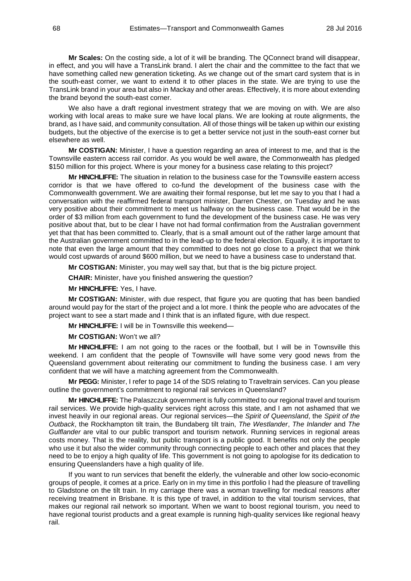**Mr Scales:** On the costing side, a lot of it will be branding. The QConnect brand will disappear, in effect, and you will have a TransLink brand. I alert the chair and the committee to the fact that we have something called new generation ticketing. As we change out of the smart card system that is in the south-east corner, we want to extend it to other places in the state. We are trying to use the TransLink brand in your area but also in Mackay and other areas. Effectively, it is more about extending the brand beyond the south-east corner.

We also have a draft regional investment strategy that we are moving on with. We are also working with local areas to make sure we have local plans. We are looking at route alignments, the brand, as I have said, and community consultation. All of those things will be taken up within our existing budgets, but the objective of the exercise is to get a better service not just in the south-east corner but elsewhere as well.

**Mr COSTIGAN:** Minister, I have a question regarding an area of interest to me, and that is the Townsville eastern access rail corridor. As you would be well aware, the Commonwealth has pledged \$150 million for this project. Where is your money for a business case relating to this project?

**Mr HINCHLIFFE:** The situation in relation to the business case for the Townsville eastern access corridor is that we have offered to co-fund the development of the business case with the Commonwealth government. We are awaiting their formal response, but let me say to you that I had a conversation with the reaffirmed federal transport minister, Darren Chester, on Tuesday and he was very positive about their commitment to meet us halfway on the business case. That would be in the order of \$3 million from each government to fund the development of the business case. He was very positive about that, but to be clear I have not had formal confirmation from the Australian government yet that that has been committed to. Clearly, that is a small amount out of the rather large amount that the Australian government committed to in the lead-up to the federal election. Equally, it is important to note that even the large amount that they committed to does not go close to a project that we think would cost upwards of around \$600 million, but we need to have a business case to understand that.

**Mr COSTIGAN:** Minister, you may well say that, but that is the big picture project.

**CHAIR:** Minister, have you finished answering the question?

**Mr HINCHLIFFE:** Yes, I have.

**Mr COSTIGAN:** Minister, with due respect, that figure you are quoting that has been bandied around would pay for the start of the project and a lot more. I think the people who are advocates of the project want to see a start made and I think that is an inflated figure, with due respect.

**Mr HINCHLIFFE:** I will be in Townsville this weekend—

**Mr COSTIGAN:** Won't we all?

**Mr HINCHLIFFE:** I am not going to the races or the football, but I will be in Townsville this weekend. I am confident that the people of Townsville will have some very good news from the Queensland government about reiterating our commitment to funding the business case. I am very confident that we will have a matching agreement from the Commonwealth.

**Mr PEGG:** Minister, I refer to page 14 of the SDS relating to Traveltrain services. Can you please outline the government's commitment to regional rail services in Queensland?

**Mr HINCHLIFFE:** The Palaszczuk government is fully committed to our regional travel and tourism rail services. We provide high-quality services right across this state, and I am not ashamed that we invest heavily in our regional areas. Our regional services—the *Spirit of Queensland*, the *Spirit of the Outback*, the Rockhampton tilt train, the Bundaberg tilt train, *The Westlander*, *The Inlander* and *The Gulflander* are vital to our public transport and tourism network. Running services in regional areas costs money. That is the reality, but public transport is a public good. It benefits not only the people who use it but also the wider community through connecting people to each other and places that they need to be to enjoy a high quality of life. This government is not going to apologise for its dedication to ensuring Queenslanders have a high quality of life.

If you want to run services that benefit the elderly, the vulnerable and other low socio-economic groups of people, it comes at a price. Early on in my time in this portfolio I had the pleasure of travelling to Gladstone on the tilt train. In my carriage there was a woman travelling for medical reasons after receiving treatment in Brisbane. It is this type of travel, in addition to the vital tourism services, that makes our regional rail network so important. When we want to boost regional tourism, you need to have regional tourist products and a great example is running high-quality services like regional heavy rail.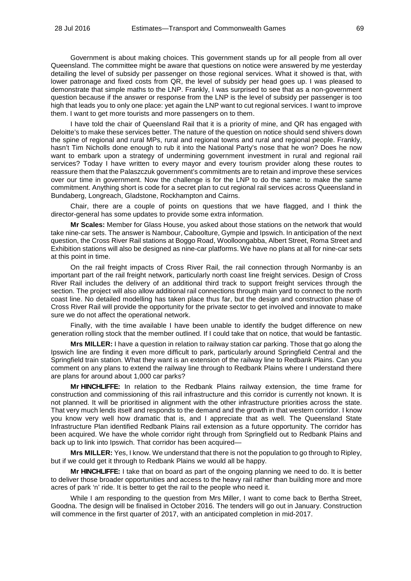Government is about making choices. This government stands up for all people from all over Queensland. The committee might be aware that questions on notice were answered by me yesterday detailing the level of subsidy per passenger on those regional services. What it showed is that, with lower patronage and fixed costs from QR, the level of subsidy per head goes up. I was pleased to demonstrate that simple maths to the LNP. Frankly, I was surprised to see that as a non-government question because if the answer or response from the LNP is the level of subsidy per passenger is too high that leads you to only one place: yet again the LNP want to cut regional services. I want to improve them. I want to get more tourists and more passengers on to them.

I have told the chair of Queensland Rail that it is a priority of mine, and QR has engaged with Deloitte's to make these services better. The nature of the question on notice should send shivers down the spine of regional and rural MPs, rural and regional towns and rural and regional people. Frankly, hasn't Tim Nicholls done enough to rub it into the National Party's nose that he won? Does he now want to embark upon a strategy of undermining government investment in rural and regional rail services? Today I have written to every mayor and every tourism provider along these routes to reassure them that the Palaszczuk government's commitments are to retain and improve these services over our time in government. Now the challenge is for the LNP to do the same: to make the same commitment. Anything short is code for a secret plan to cut regional rail services across Queensland in Bundaberg, Longreach, Gladstone, Rockhampton and Cairns.

Chair, there are a couple of points on questions that we have flagged, and I think the director-general has some updates to provide some extra information.

**Mr Scales:** Member for Glass House, you asked about those stations on the network that would take nine-car sets. The answer is Nambour, Caboolture, Gympie and Ipswich. In anticipation of the next question, the Cross River Rail stations at Boggo Road, Woolloongabba, Albert Street, Roma Street and Exhibition stations will also be designed as nine-car platforms. We have no plans at all for nine-car sets at this point in time.

On the rail freight impacts of Cross River Rail, the rail connection through Normanby is an important part of the rail freight network, particularly north coast line freight services. Design of Cross River Rail includes the delivery of an additional third track to support freight services through the section. The project will also allow additional rail connections through main yard to connect to the north coast line. No detailed modelling has taken place thus far, but the design and construction phase of Cross River Rail will provide the opportunity for the private sector to get involved and innovate to make sure we do not affect the operational network.

Finally, with the time available I have been unable to identify the budget difference on new generation rolling stock that the member outlined. If I could take that on notice, that would be fantastic.

**Mrs MILLER:** I have a question in relation to railway station car parking. Those that go along the Ipswich line are finding it even more difficult to park, particularly around Springfield Central and the Springfield train station. What they want is an extension of the railway line to Redbank Plains. Can you comment on any plans to extend the railway line through to Redbank Plains where I understand there are plans for around about 1,000 car parks?

**Mr HINCHLIFFE:** In relation to the Redbank Plains railway extension, the time frame for construction and commissioning of this rail infrastructure and this corridor is currently not known. It is not planned. It will be prioritised in alignment with the other infrastructure priorities across the state. That very much lends itself and responds to the demand and the growth in that western corridor. I know you know very well how dramatic that is, and I appreciate that as well. The Queensland State Infrastructure Plan identified Redbank Plains rail extension as a future opportunity. The corridor has been acquired. We have the whole corridor right through from Springfield out to Redbank Plains and back up to link into Ipswich. That corridor has been acquired—

**Mrs MILLER:** Yes, I know. We understand that there is not the population to go through to Ripley, but if we could get it through to Redbank Plains we would all be happy.

**Mr HINCHLIFFE:** I take that on board as part of the ongoing planning we need to do. It is better to deliver those broader opportunities and access to the heavy rail rather than building more and more acres of park 'n' ride. It is better to get the rail to the people who need it.

While I am responding to the question from Mrs Miller, I want to come back to Bertha Street, Goodna. The design will be finalised in October 2016. The tenders will go out in January. Construction will commence in the first quarter of 2017, with an anticipated completion in mid-2017.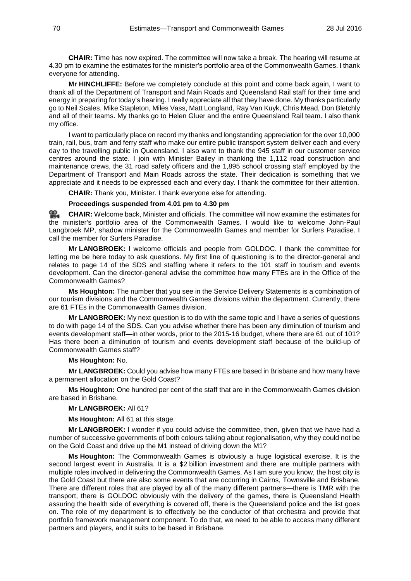**CHAIR:** Time has now expired. The committee will now take a break. The hearing will resume at 4.30 pm to examine the estimates for the minister's portfolio area of the Commonwealth Games. I thank everyone for attending.

**Mr HINCHLIFFE:** Before we completely conclude at this point and come back again, I want to thank all of the Department of Transport and Main Roads and Queensland Rail staff for their time and energy in preparing for today's hearing. I really appreciate all that they have done. My thanks particularly go to Neil Scales, Mike Stapleton, Miles Vass, Matt Longland, Ray Van Kuyk, Chris Mead, Don Bletchly and all of their teams. My thanks go to Helen Gluer and the entire Queensland Rail team. I also thank my office.

I want to particularly place on record my thanks and longstanding appreciation for the over 10,000 train, rail, bus, tram and ferry staff who make our entire public transport system deliver each and every day to the travelling public in Queensland. I also want to thank the 945 staff in our customer service centres around the state. I join with Minister Bailey in thanking the 1,112 road construction and maintenance crews, the 31 road safety officers and the 1,895 school crossing staff employed by the Department of Transport and Main Roads across the state. Their dedication is something that we appreciate and it needs to be expressed each and every day. I thank the committee for their attention.

**CHAIR:** Thank you, Minister. I thank everyone else for attending.

### **Proceedings suspended from 4.01 pm to 4.30 pm**

<u>ഇ.</u> **[CHAIR:](http://www.parliament.qld.gov.au/docs/find.aspx?id=0Mba20160728_163010)** Welcome back, Minister and officials. The committee will now examine the estimates for the minister's portfolio area of the Commonwealth Games. I would like to welcome John-Paul Langbroek MP, shadow minister for the Commonwealth Games and member for Surfers Paradise. I call the member for Surfers Paradise.

**Mr LANGBROEK:** I welcome officials and people from GOLDOC. I thank the committee for letting me be here today to ask questions. My first line of questioning is to the director-general and relates to page 14 of the SDS and staffing where it refers to the 101 staff in tourism and events development. Can the director-general advise the committee how many FTEs are in the Office of the Commonwealth Games?

**Ms Houghton:** The number that you see in the Service Delivery Statements is a combination of our tourism divisions and the Commonwealth Games divisions within the department. Currently, there are 61 FTEs in the Commonwealth Games division.

**Mr LANGBROEK:** My next question is to do with the same topic and I have a series of questions to do with page 14 of the SDS. Can you advise whether there has been any diminution of tourism and events development staff—in other words, prior to the 2015-16 budget, where there are 61 out of 101? Has there been a diminution of tourism and events development staff because of the build-up of Commonwealth Games staff?

## **Ms Houghton:** No.

**Mr LANGBROEK:** Could you advise how many FTEs are based in Brisbane and how many have a permanent allocation on the Gold Coast?

**Ms Houghton:** One hundred per cent of the staff that are in the Commonwealth Games division are based in Brisbane.

**Mr LANGBROEK:** All 61?

**Ms Houghton:** All 61 at this stage.

**Mr LANGBROEK:** I wonder if you could advise the committee, then, given that we have had a number of successive governments of both colours talking about regionalisation, why they could not be on the Gold Coast and drive up the M1 instead of driving down the M1?

**Ms Houghton:** The Commonwealth Games is obviously a huge logistical exercise. It is the second largest event in Australia. It is a \$2 billion investment and there are multiple partners with multiple roles involved in delivering the Commonwealth Games. As I am sure you know, the host city is the Gold Coast but there are also some events that are occurring in Cairns, Townsville and Brisbane. There are different roles that are played by all of the many different partners—there is TMR with the transport, there is GOLDOC obviously with the delivery of the games, there is Queensland Health assuring the health side of everything is covered off, there is the Queensland police and the list goes on. The role of my department is to effectively be the conductor of that orchestra and provide that portfolio framework management component. To do that, we need to be able to access many different partners and players, and it suits to be based in Brisbane.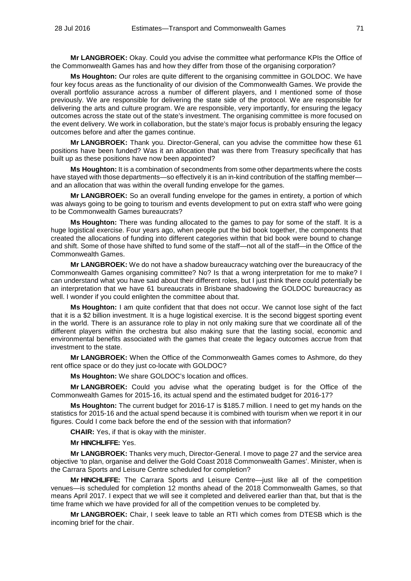**Mr LANGBROEK:** Okay. Could you advise the committee what performance KPIs the Office of the Commonwealth Games has and how they differ from those of the organising corporation?

**Ms Houghton:** Our roles are quite different to the organising committee in GOLDOC. We have four key focus areas as the functionality of our division of the Commonwealth Games. We provide the overall portfolio assurance across a number of different players, and I mentioned some of those previously. We are responsible for delivering the state side of the protocol. We are responsible for delivering the arts and culture program. We are responsible, very importantly, for ensuring the legacy outcomes across the state out of the state's investment. The organising committee is more focused on the event delivery. We work in collaboration, but the state's major focus is probably ensuring the legacy outcomes before and after the games continue.

**Mr LANGBROEK:** Thank you. Director-General, can you advise the committee how these 61 positions have been funded? Was it an allocation that was there from Treasury specifically that has built up as these positions have now been appointed?

**Ms Houghton:** It is a combination of secondments from some other departments where the costs have stayed with those departments—so effectively it is an in-kind contribution of the staffing member and an allocation that was within the overall funding envelope for the games.

**Mr LANGBROEK:** So an overall funding envelope for the games in entirety, a portion of which was always going to be going to tourism and events development to put on extra staff who were going to be Commonwealth Games bureaucrats?

**Ms Houghton:** There was funding allocated to the games to pay for some of the staff. It is a huge logistical exercise. Four years ago, when people put the bid book together, the components that created the allocations of funding into different categories within that bid book were bound to change and shift. Some of those have shifted to fund some of the staff—not all of the staff—in the Office of the Commonwealth Games.

**Mr LANGBROEK:** We do not have a shadow bureaucracy watching over the bureaucracy of the Commonwealth Games organising committee? No? Is that a wrong interpretation for me to make? I can understand what you have said about their different roles, but I just think there could potentially be an interpretation that we have 61 bureaucrats in Brisbane shadowing the GOLDOC bureaucracy as well. I wonder if you could enlighten the committee about that.

**Ms Houghton:** I am quite confident that that does not occur. We cannot lose sight of the fact that it is a \$2 billion investment. It is a huge logistical exercise. It is the second biggest sporting event in the world. There is an assurance role to play in not only making sure that we coordinate all of the different players within the orchestra but also making sure that the lasting social, economic and environmental benefits associated with the games that create the legacy outcomes accrue from that investment to the state.

**Mr LANGBROEK:** When the Office of the Commonwealth Games comes to Ashmore, do they rent office space or do they just co-locate with GOLDOC?

**Ms Houghton:** We share GOLDOC's location and offices.

**Mr LANGBROEK:** Could you advise what the operating budget is for the Office of the Commonwealth Games for 2015-16, its actual spend and the estimated budget for 2016-17?

**Ms Houghton:** The current budget for 2016-17 is \$185.7 million. I need to get my hands on the statistics for 2015-16 and the actual spend because it is combined with tourism when we report it in our figures. Could I come back before the end of the session with that information?

**CHAIR:** Yes, if that is okay with the minister.

## **Mr HINCHLIFFE:** Yes.

**Mr LANGBROEK:** Thanks very much, Director-General. I move to page 27 and the service area objective 'to plan, organise and deliver the Gold Coast 2018 Commonwealth Games'. Minister, when is the Carrara Sports and Leisure Centre scheduled for completion?

**Mr HINCHLIFFE:** The Carrara Sports and Leisure Centre—just like all of the competition venues—is scheduled for completion 12 months ahead of the 2018 Commonwealth Games, so that means April 2017. I expect that we will see it completed and delivered earlier than that, but that is the time frame which we have provided for all of the competition venues to be completed by.

**Mr LANGBROEK:** Chair, I seek leave to table an RTI which comes from DTESB which is the incoming brief for the chair.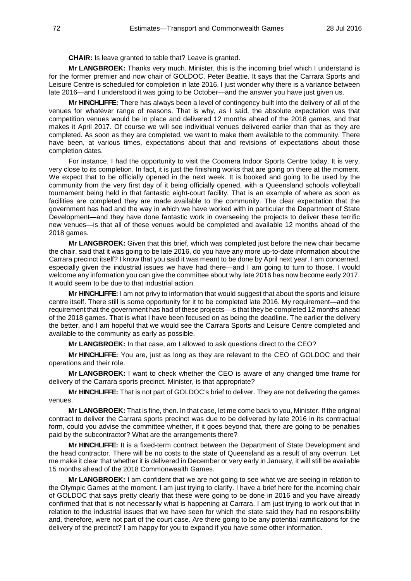**CHAIR:** Is leave granted to table that? Leave is granted.

**Mr LANGBROEK:** Thanks very much. Minister, this is the incoming brief which I understand is for the former premier and now chair of GOLDOC, Peter Beattie. It says that the Carrara Sports and Leisure Centre is scheduled for completion in late 2016. I just wonder why there is a variance between late 2016—and I understood it was going to be October—and the answer you have just given us.

**Mr HINCHLIFFE:** There has always been a level of contingency built into the delivery of all of the venues for whatever range of reasons. That is why, as I said, the absolute expectation was that competition venues would be in place and delivered 12 months ahead of the 2018 games, and that makes it April 2017. Of course we will see individual venues delivered earlier than that as they are completed. As soon as they are completed, we want to make them available to the community. There have been, at various times, expectations about that and revisions of expectations about those completion dates.

For instance, I had the opportunity to visit the Coomera Indoor Sports Centre today. It is very, very close to its completion. In fact, it is just the finishing works that are going on there at the moment. We expect that to be officially opened in the next week. It is booked and going to be used by the community from the very first day of it being officially opened, with a Queensland schools volleyball tournament being held in that fantastic eight-court facility. That is an example of where as soon as facilities are completed they are made available to the community. The clear expectation that the government has had and the way in which we have worked with in particular the Department of State Development—and they have done fantastic work in overseeing the projects to deliver these terrific new venues—is that all of these venues would be completed and available 12 months ahead of the 2018 games.

**Mr LANGBROEK:** Given that this brief, which was completed just before the new chair became the chair, said that it was going to be late 2016, do you have any more up-to-date information about the Carrara precinct itself? I know that you said it was meant to be done by April next year. I am concerned, especially given the industrial issues we have had there—and I am going to turn to those. I would welcome any information you can give the committee about why late 2016 has now become early 2017. It would seem to be due to that industrial action.

**Mr HINCHLIFFE:** I am not privy to information that would suggest that about the sports and leisure centre itself. There still is some opportunity for it to be completed late 2016. My requirement—and the requirement that the government has had of these projects—is that they be completed 12 months ahead of the 2018 games. That is what I have been focused on as being the deadline. The earlier the delivery the better, and I am hopeful that we would see the Carrara Sports and Leisure Centre completed and available to the community as early as possible.

**Mr LANGBROEK:** In that case, am I allowed to ask questions direct to the CEO?

**Mr HINCHLIFFE:** You are, just as long as they are relevant to the CEO of GOLDOC and their operations and their role.

**Mr LANGBROEK:** I want to check whether the CEO is aware of any changed time frame for delivery of the Carrara sports precinct. Minister, is that appropriate?

**Mr HINCHLIFFE:** That is not part of GOLDOC's brief to deliver. They are not delivering the games venues.

**Mr LANGBROEK:** That is fine, then. In that case, let me come back to you, Minister. If the original contract to deliver the Carrara sports precinct was due to be delivered by late 2016 in its contractual form, could you advise the committee whether, if it goes beyond that, there are going to be penalties paid by the subcontractor? What are the arrangements there?

**Mr HINCHLIFFE:** It is a fixed-term contract between the Department of State Development and the head contractor. There will be no costs to the state of Queensland as a result of any overrun. Let me make it clear that whether it is delivered in December or very early in January, it will still be available 15 months ahead of the 2018 Commonwealth Games.

**Mr LANGBROEK:** I am confident that we are not going to see what we are seeing in relation to the Olympic Games at the moment. I am just trying to clarify. I have a brief here for the incoming chair of GOLDOC that says pretty clearly that these were going to be done in 2016 and you have already confirmed that that is not necessarily what is happening at Carrara. I am just trying to work out that in relation to the industrial issues that we have seen for which the state said they had no responsibility and, therefore, were not part of the court case. Are there going to be any potential ramifications for the delivery of the precinct? I am happy for you to expand if you have some other information.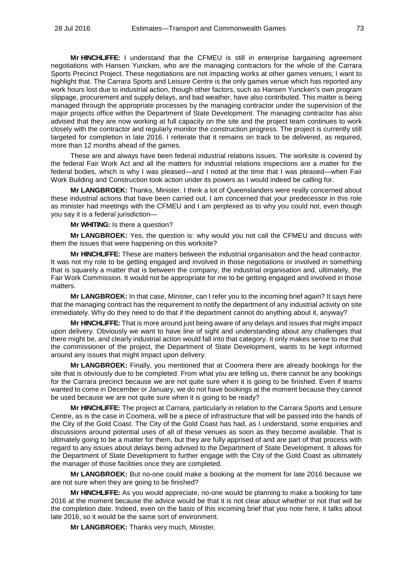**Mr HINCHLIFFE:** I understand that the CFMEU is still in enterprise bargaining agreement negotiations with Hansen Yuncken, who are the managing contractors for the whole of the Carrara Sports Precinct Project. These negotiations are not impacting works at other games venues; I want to highlight that. The Carrara Sports and Leisure Centre is the only games venue which has reported any work hours lost due to industrial action, though other factors, such as Hansen Yuncken's own program slippage, procurement and supply delays, and bad weather, have also contributed. This matter is being managed through the appropriate processes by the managing contractor under the supervision of the major projects office within the Department of State Development. The managing contractor has also advised that they are now working at full capacity on the site and the project team continues to work closely with the contractor and regularly monitor the construction progress. The project is currently still targeted for completion in late 2016. I reiterate that it remains on track to be delivered, as required, more than 12 months ahead of the games.

These are and always have been federal industrial relations issues. The worksite is covered by the federal Fair Work Act and all the matters for industrial relations inspections are a matter for the federal bodies, which is why I was pleased—and I noted at the time that I was pleased—when Fair Work Building and Construction took action under its powers as I would indeed be calling for.

**Mr LANGBROEK:** Thanks, Minister. I think a lot of Queenslanders were really concerned about these industrial actions that have been carried out. I am concerned that your predecessor in this role as minister had meetings with the CFMEU and I am perplexed as to why you could not, even though you say it is a federal jurisdiction—

**Mr WHITING:** Is there a question?

**Mr LANGBROEK:** Yes, the question is: why would you not call the CFMEU and discuss with them the issues that were happening on this worksite?

**Mr HINCHLIFFE:** These are matters between the industrial organisation and the head contractor. It was not my role to be getting engaged and involved in those negotiations or involved in something that is squarely a matter that is between the company, the industrial organisation and, ultimately, the Fair Work Commission. It would not be appropriate for me to be getting engaged and involved in those matters.

**Mr LANGBROEK:** In that case, Minister, can I refer you to the incoming brief again? It says here that the managing contract has the requirement to notify the department of any industrial activity on site immediately. Why do they need to do that if the department cannot do anything about it, anyway?

**Mr HINCHLIFFE:** That is more around just being aware of any delays and issues that might impact upon delivery. Obviously we want to have line of sight and understanding about any challenges that there might be, and clearly industrial action would fall into that category. It only makes sense to me that the commissioner of the project, the Department of State Development, wants to be kept informed around any issues that might impact upon delivery.

**Mr LANGBROEK:** Finally, you mentioned that at Coomera there are already bookings for the site that is obviously due to be completed. From what you are telling us, there cannot be any bookings for the Carrara precinct because we are not quite sure when it is going to be finished. Even if teams wanted to come in December or January, we do not have bookings at the moment because they cannot be used because we are not quite sure when it is going to be ready?

**Mr HINCHLIFFE:** The project at Carrara, particularly in relation to the Carrara Sports and Leisure Centre, as is the case in Coomera, will be a piece of infrastructure that will be passed into the hands of the City of the Gold Coast. The City of the Gold Coast has had, as I understand, some enquiries and discussions around potential uses of all of these venues as soon as they become available. That is ultimately going to be a matter for them, but they are fully apprised of and are part of that process with regard to any issues about delays being advised to the Department of State Development. It allows for the Department of State Development to further engage with the City of the Gold Coast as ultimately the manager of those facilities once they are completed.

**Mr LANGBROEK:** But no-one could make a booking at the moment for late 2016 because we are not sure when they are going to be finished?

**Mr HINCHLIFFE:** As you would appreciate, no-one would be planning to make a booking for late 2016 at the moment because the advice would be that it is not clear about whether or not that will be the completion date. Indeed, even on the basis of this incoming brief that you note here, it talks about late 2016, so it would be the same sort of environment.

**Mr LANGBROEK:** Thanks very much, Minister.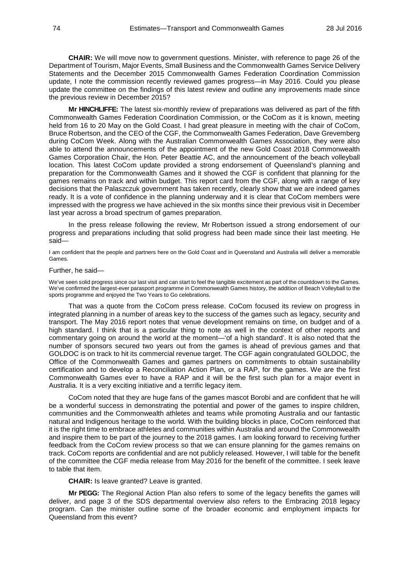**CHAIR:** We will move now to government questions. Minister, with reference to page 26 of the Department of Tourism, Major Events, Small Business and the Commonwealth Games Service Delivery Statements and the December 2015 Commonwealth Games Federation Coordination Commission update, I note the commission recently reviewed games progress—in May 2016. Could you please update the committee on the findings of this latest review and outline any improvements made since the previous review in December 2015?

**Mr HINCHLIFFE:** The latest six-monthly review of preparations was delivered as part of the fifth Commonwealth Games Federation Coordination Commission, or the CoCom as it is known, meeting held from 16 to 20 May on the Gold Coast. I had great pleasure in meeting with the chair of CoCom, Bruce Robertson, and the CEO of the CGF, the Commonwealth Games Federation, Dave Grevemberg during CoCom Week. Along with the Australian Commonwealth Games Association, they were also able to attend the announcements of the appointment of the new Gold Coast 2018 Commonwealth Games Corporation Chair, the Hon. Peter Beattie AC, and the announcement of the beach volleyball location. This latest CoCom update provided a strong endorsement of Queensland's planning and preparation for the Commonwealth Games and it showed the CGF is confident that planning for the games remains on track and within budget. This report card from the CGF, along with a range of key decisions that the Palaszczuk government has taken recently, clearly show that we are indeed games ready. It is a vote of confidence in the planning underway and it is clear that CoCom members were impressed with the progress we have achieved in the six months since their previous visit in December last year across a broad spectrum of games preparation.

In the press release following the review, Mr Robertson issued a strong endorsement of our progress and preparations including that solid progress had been made since their last meeting. He said—

I am confident that the people and partners here on the Gold Coast and in Queensland and Australia will deliver a memorable Games.

### Further, he said—

We've seen solid progress since our last visit and can start to feel the tangible excitement as part of the countdown to the Games. We've confirmed the largest-ever parasport programme in Commonwealth Games history, the addition of Beach Volleyball to the sports programme and enjoyed the Two Years to Go celebrations.

That was a quote from the CoCom press release. CoCom focused its review on progress in integrated planning in a number of areas key to the success of the games such as legacy, security and transport. The May 2016 report notes that venue development remains on time, on budget and of a high standard. I think that is a particular thing to note as well in the context of other reports and commentary going on around the world at the moment—'of a high standard'. It is also noted that the number of sponsors secured two years out from the games is ahead of previous games and that GOLDOC is on track to hit its commercial revenue target. The CGF again congratulated GOLDOC, the Office of the Commonwealth Games and games partners on commitments to obtain sustainability certification and to develop a Reconciliation Action Plan, or a RAP, for the games. We are the first Commonwealth Games ever to have a RAP and it will be the first such plan for a major event in Australia. It is a very exciting initiative and a terrific legacy item.

CoCom noted that they are huge fans of the games mascot Borobi and are confident that he will be a wonderful success in demonstrating the potential and power of the games to inspire children, communities and the Commonwealth athletes and teams while promoting Australia and our fantastic natural and Indigenous heritage to the world. With the building blocks in place, CoCom reinforced that it is the right time to embrace athletes and communities within Australia and around the Commonwealth and inspire them to be part of the journey to the 2018 games. I am looking forward to receiving further feedback from the CoCom review process so that we can ensure planning for the games remains on track. CoCom reports are confidential and are not publicly released. However, I will table for the benefit of the committee the CGF media release from May 2016 for the benefit of the committee. I seek leave to table that item.

## **CHAIR:** Is leave granted? Leave is granted.

**Mr PEGG:** The Regional Action Plan also refers to some of the legacy benefits the games will deliver, and page 3 of the SDS departmental overview also refers to the Embracing 2018 legacy program. Can the minister outline some of the broader economic and employment impacts for Queensland from this event?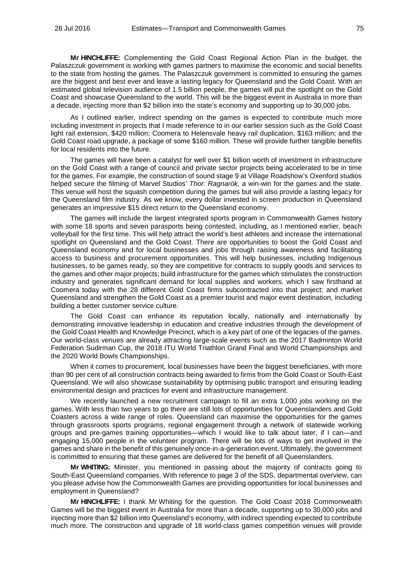**Mr HINCHLIFFE:** Complementing the Gold Coast Regional Action Plan in the budget, the Palaszczuk government is working with games partners to maximise the economic and social benefits to the state from hosting the games. The Palaszczuk government is committed to ensuring the games are the biggest and best ever and leave a lasting legacy for Queensland and the Gold Coast. With an estimated global television audience of 1.5 billion people, the games will put the spotlight on the Gold Coast and showcase Queensland to the world. This will be the biggest event in Australia in more than a decade, injecting more than \$2 billion into the state's economy and supporting up to 30,000 jobs.

As I outlined earlier, indirect spending on the games is expected to contribute much more including investment in projects that I made reference to in our earlier session such as the Gold Coast light rail extension, \$420 million; Coomera to Helensvale heavy rail duplication, \$163 million; and the Gold Coast road upgrade, a package of some \$160 million. These will provide further tangible benefits for local residents into the future.

The games will have been a catalyst for well over \$1 billion worth of investment in infrastructure on the Gold Coast with a range of council and private sector projects being accelerated to be in time for the games. For example, the construction of sound stage 9 at Village Roadshow's Oxenford studios helped secure the filming of Marvel Studios' *Thor: Ragnarök,* a win-win for the games and the state. This venue will host the squash competition during the games but will also provide a lasting legacy for the Queensland film industry. As we know, every dollar invested in screen production in Queensland generates an impressive \$15 direct return to the Queensland economy.

The games will include the largest integrated sports program in Commonwealth Games history with some 18 sports and seven parasports being contested, including, as I mentioned earlier, beach volleyball for the first time. This will help attract the world's best athletes and increase the international spotlight on Queensland and the Gold Coast. There are opportunities to boost the Gold Coast and Queensland economy and for local businesses and jobs through raising awareness and facilitating access to business and procurement opportunities. This will help businesses, including Indigenous businesses, to be games ready, so they are competitive for contracts to supply goods and services to the games and other major projects; build infrastructure for the games which stimulates the construction industry and generates significant demand for local supplies and workers, which I saw firsthand at Coomera today with the 28 different Gold Coast firms subcontracted into that project; and market Queensland and strengthen the Gold Coast as a premier tourist and major event destination, including building a better customer service culture.

The Gold Coast can enhance its reputation locally, nationally and internationally by demonstrating innovative leadership in education and creative industries through the development of the Gold Coast Health and Knowledge Precinct, which is a key part of one of the legacies of the games. Our world-class venues are already attracting large-scale events such as the 2017 Badminton World Federation Sudirman Cup, the 2018 ITU World Triathlon Grand Final and World Championships and the 2020 World Bowls Championships.

When it comes to procurement, local businesses have been the biggest beneficiaries, with more than 90 per cent of all construction contracts being awarded to firms from the Gold Coast or South-East Queensland. We will also showcase sustainability by optimising public transport and ensuring leading environmental design and practices for event and infrastructure management.

We recently launched a new recruitment campaign to fill an extra 1,000 jobs working on the games. With less than two years to go there are still lots of opportunities for Queenslanders and Gold Coasters across a wide range of roles. Queensland can maximise the opportunities for the games through grassroots sports programs, regional engagement through a network of statewide working groups and pre-games training opportunities—which I would like to talk about later, if I can—and engaging 15,000 people in the volunteer program. There will be lots of ways to get involved in the games and share in the benefit of this genuinely once-in-a-generation event. Ultimately, the government is committed to ensuring that these games are delivered for the benefit of all Queenslanders.

**Mr WHITING:** Minister, you mentioned in passing about the majority of contracts going to South-East Queensland companies. With reference to page 3 of the SDS, departmental overview, can you please advise how the Commonwealth Games are providing opportunities for local businesses and employment in Queensland?

**Mr HINCHLIFFE:** I thank Mr Whiting for the question. The Gold Coast 2018 Commonwealth Games will be the biggest event in Australia for more than a decade, supporting up to 30,000 jobs and injecting more than \$2 billion into Queensland's economy, with indirect spending expected to contribute much more. The construction and upgrade of 18 world-class games competition venues will provide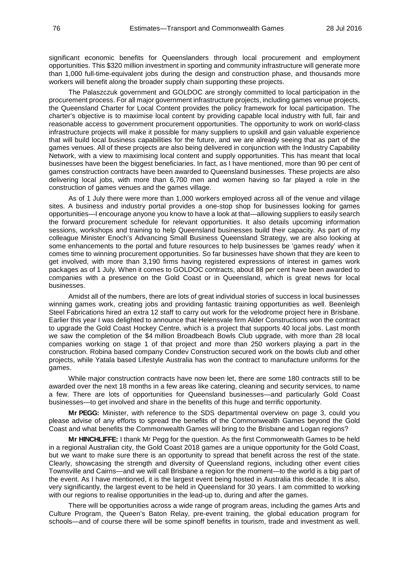significant economic benefits for Queenslanders through local procurement and employment opportunities. This \$320 million investment in sporting and community infrastructure will generate more than 1,000 full-time-equivalent jobs during the design and construction phase, and thousands more workers will benefit along the broader supply chain supporting these projects.

The Palaszczuk government and GOLDOC are strongly committed to local participation in the procurement process. For all major government infrastructure projects, including games venue projects, the Queensland Charter for Local Content provides the policy framework for local participation. The charter's objective is to maximise local content by providing capable local industry with full, fair and reasonable access to government procurement opportunities. The opportunity to work on world-class infrastructure projects will make it possible for many suppliers to upskill and gain valuable experience that will build local business capabilities for the future, and we are already seeing that as part of the games venues. All of these projects are also being delivered in conjunction with the Industry Capability Network, with a view to maximising local content and supply opportunities. This has meant that local businesses have been the biggest beneficiaries. In fact, as I have mentioned, more than 90 per cent of games construction contracts have been awarded to Queensland businesses. These projects are also delivering local jobs, with more than 6,700 men and women having so far played a role in the construction of games venues and the games village.

As of 1 July there were more than 1,000 workers employed across all of the venue and village sites. A business and industry portal provides a one-stop shop for businesses looking for games opportunities—I encourage anyone you know to have a look at that—allowing suppliers to easily search the forward procurement schedule for relevant opportunities. It also details upcoming information sessions, workshops and training to help Queensland businesses build their capacity. As part of my colleague Minister Enoch's Advancing Small Business Queensland Strategy, we are also looking at some enhancements to the portal and future resources to help businesses be 'games ready' when it comes time to winning procurement opportunities. So far businesses have shown that they are keen to get involved, with more than 3,190 firms having registered expressions of interest in games work packages as of 1 July. When it comes to GOLDOC contracts, about 88 per cent have been awarded to companies with a presence on the Gold Coast or in Queensland, which is great news for local businesses.

Amidst all of the numbers, there are lots of great individual stories of success in local businesses winning games work, creating jobs and providing fantastic training opportunities as well. Beenleigh Steel Fabrications hired an extra 12 staff to carry out work for the velodrome project here in Brisbane. Earlier this year I was delighted to announce that Helensvale firm Alder Constructions won the contract to upgrade the Gold Coast Hockey Centre, which is a project that supports 40 local jobs. Last month we saw the completion of the \$4 million Broadbeach Bowls Club upgrade, with more than 28 local companies working on stage 1 of that project and more than 250 workers playing a part in the construction. Robina based company Condev Construction secured work on the bowls club and other projects, while Yatala based Lifestyle Australia has won the contract to manufacture uniforms for the games.

While major construction contracts have now been let, there are some 180 contracts still to be awarded over the next 18 months in a few areas like catering, cleaning and security services, to name a few. There are lots of opportunities for Queensland businesses—and particularly Gold Coast businesses—to get involved and share in the benefits of this huge and terrific opportunity.

**Mr PEGG:** Minister, with reference to the SDS departmental overview on page 3, could you please advise of any efforts to spread the benefits of the Commonwealth Games beyond the Gold Coast and what benefits the Commonwealth Games will bring to the Brisbane and Logan regions?

**Mr HINCHLIFFE:** I thank Mr Pegg for the question. As the first Commonwealth Games to be held in a regional Australian city, the Gold Coast 2018 games are a unique opportunity for the Gold Coast, but we want to make sure there is an opportunity to spread that benefit across the rest of the state. Clearly, showcasing the strength and diversity of Queensland regions, including other event cities Townsville and Cairns—and we will call Brisbane a region for the moment—to the world is a big part of the event. As I have mentioned, it is the largest event being hosted in Australia this decade. It is also, very significantly, the largest event to be held in Queensland for 30 years. I am committed to working with our regions to realise opportunities in the lead-up to, during and after the games.

There will be opportunities across a wide range of program areas, including the games Arts and Culture Program, the Queen's Baton Relay, pre-event training, the global education program for schools—and of course there will be some spinoff benefits in tourism, trade and investment as well.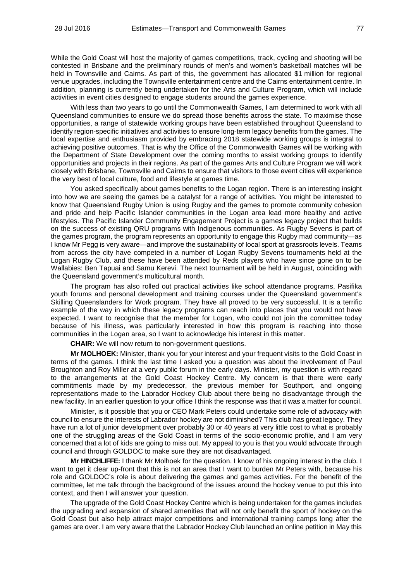While the Gold Coast will host the majority of games competitions, track, cycling and shooting will be contested in Brisbane and the preliminary rounds of men's and women's basketball matches will be held in Townsville and Cairns. As part of this, the government has allocated \$1 million for regional venue upgrades, including the Townsville entertainment centre and the Cairns entertainment centre. In addition, planning is currently being undertaken for the Arts and Culture Program, which will include activities in event cities designed to engage students around the games experience.

With less than two years to go until the Commonwealth Games, I am determined to work with all Queensland communities to ensure we do spread those benefits across the state. To maximise those opportunities, a range of statewide working groups have been established throughout Queensland to identify region-specific initiatives and activities to ensure long-term legacy benefits from the games. The local expertise and enthusiasm provided by embracing 2018 statewide working groups is integral to achieving positive outcomes. That is why the Office of the Commonwealth Games will be working with the Department of State Development over the coming months to assist working groups to identify opportunities and projects in their regions. As part of the games Arts and Culture Program we will work closely with Brisbane, Townsville and Cairns to ensure that visitors to those event cities will experience the very best of local culture, food and lifestyle at games time.

You asked specifically about games benefits to the Logan region. There is an interesting insight into how we are seeing the games be a catalyst for a range of activities. You might be interested to know that Queensland Rugby Union is using Rugby and the games to promote community cohesion and pride and help Pacific Islander communities in the Logan area lead more healthy and active lifestyles. The Pacific Islander Community Engagement Project is a games legacy project that builds on the success of existing QRU programs with Indigenous communities. As Rugby Sevens is part of the games program, the program represents an opportunity to engage this Rugby mad community—as I know Mr Pegg is very aware—and improve the sustainability of local sport at grassroots levels. Teams from across the city have competed in a number of Logan Rugby Sevens tournaments held at the Logan Rugby Club, and these have been attended by Reds players who have since gone on to be Wallabies: Ben Tapuai and Samu Kerevi. The next tournament will be held in August, coinciding with the Queensland government's multicultural month.

The program has also rolled out practical activities like school attendance programs, Pasifika youth forums and personal development and training courses under the Queensland government's Skilling Queenslanders for Work program. They have all proved to be very successful. It is a terrific example of the way in which these legacy programs can reach into places that you would not have expected. I want to recognise that the member for Logan, who could not join the committee today because of his illness, was particularly interested in how this program is reaching into those communities in the Logan area, so I want to acknowledge his interest in this matter.

**CHAIR:** We will now return to non-government questions.

**Mr MOLHOEK:** Minister, thank you for your interest and your frequent visits to the Gold Coast in terms of the games. I think the last time I asked you a question was about the involvement of Paul Broughton and Roy Miller at a very public forum in the early days. Minister, my question is with regard to the arrangements at the Gold Coast Hockey Centre. My concern is that there were early commitments made by my predecessor, the previous member for Southport, and ongoing representations made to the Labrador Hockey Club about there being no disadvantage through the new facility. In an earlier question to your office I think the response was that it was a matter for council.

Minister, is it possible that you or CEO Mark Peters could undertake some role of advocacy with council to ensure the interests of Labrador hockey are not diminished? This club has great legacy. They have run a lot of junior development over probably 30 or 40 years at very little cost to what is probably one of the struggling areas of the Gold Coast in terms of the socio-economic profile, and I am very concerned that a lot of kids are going to miss out. My appeal to you is that you would advocate through council and through GOLDOC to make sure they are not disadvantaged.

**Mr HINCHLIFFE:** I thank Mr Molhoek for the question. I know of his ongoing interest in the club. I want to get it clear up-front that this is not an area that I want to burden Mr Peters with, because his role and GOLDOC's role is about delivering the games and games activities. For the benefit of the committee, let me talk through the background of the issues around the hockey venue to put this into context, and then I will answer your question.

The upgrade of the Gold Coast Hockey Centre which is being undertaken for the games includes the upgrading and expansion of shared amenities that will not only benefit the sport of hockey on the Gold Coast but also help attract major competitions and international training camps long after the games are over. I am very aware that the Labrador Hockey Club launched an online petition in May this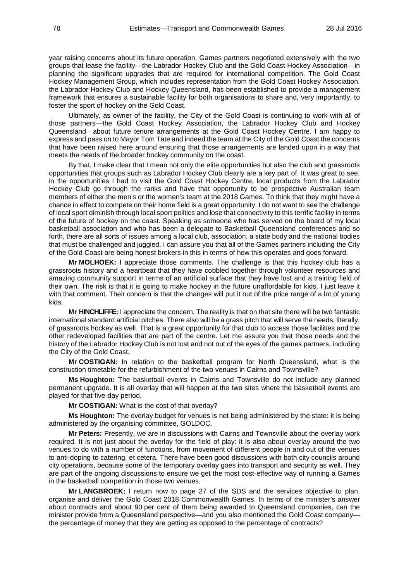year raising concerns about its future operation. Games partners negotiated extensively with the two groups that lease the facility—the Labrador Hockey Club and the Gold Coast Hockey Association—in planning the significant upgrades that are required for international competition. The Gold Coast Hockey Management Group, which includes representation from the Gold Coast Hockey Association, the Labrador Hockey Club and Hockey Queensland, has been established to provide a management framework that ensures a sustainable facility for both organisations to share and, very importantly, to foster the sport of hockey on the Gold Coast.

Ultimately, as owner of the facility, the City of the Gold Coast is continuing to work with all of those partners—the Gold Coast Hockey Association, the Labrador Hockey Club and Hockey Queensland—about future tenure arrangements at the Gold Coast Hockey Centre. I am happy to express and pass on to Mayor Tom Tate and indeed the team at the City of the Gold Coast the concerns that have been raised here around ensuring that those arrangements are landed upon in a way that meets the needs of the broader hockey community on the coast.

By that, I make clear that I mean not only the elite opportunities but also the club and grassroots opportunities that groups such as Labrador Hockey Club clearly are a key part of. It was great to see, in the opportunities I had to visit the Gold Coast Hockey Centre, local products from the Labrador Hockey Club go through the ranks and have that opportunity to be prospective Australian team members of either the men's or the women's team at the 2018 Games. To think that they might have a chance in effect to compete on their home field is a great opportunity. I do not want to see the challenge of local sport diminish through local sport politics and lose that connectivity to this terrific facility in terms of the future of hockey on the coast. Speaking as someone who has served on the board of my local basketball association and who has been a delegate to Basketball Queensland conferences and so forth, there are all sorts of issues among a local club, association, a state body and the national bodies that must be challenged and juggled. I can assure you that all of the Games partners including the City of the Gold Coast are being honest brokers in this in terms of how this operates and goes forward.

**Mr MOLHOEK:** I appreciate those comments. The challenge is that this hockey club has a grassroots history and a heartbeat that they have cobbled together through volunteer resources and amazing community support in terms of an artificial surface that they have lost and a training field of their own. The risk is that it is going to make hockey in the future unaffordable for kids. I just leave it with that comment. Their concern is that the changes will put it out of the price range of a lot of young kids.

**Mr HINCHLIFFE:** I appreciate the concern. The reality is that on that site there will be two fantastic international standard artificial pitches. There also will be a grass pitch that will serve the needs, literally, of grassroots hockey as well. That is a great opportunity for that club to access those facilities and the other redeveloped facilities that are part of the centre. Let me assure you that those needs and the history of the Labrador Hockey Club is not lost and not out of the eyes of the games partners, including the City of the Gold Coast.

**Mr COSTIGAN:** In relation to the basketball program for North Queensland, what is the construction timetable for the refurbishment of the two venues in Cairns and Townsville?

**Ms Houghton:** The basketball events in Cairns and Townsville do not include any planned permanent upgrade. It is all overlay that will happen at the two sites where the basketball events are played for that five-day period.

**Mr COSTIGAN:** What is the cost of that overlay?

**Ms Houghton:** The overlay budget for venues is not being administered by the state: it is being administered by the organising committee, GOLDOC.

**Mr Peters:** Presently, we are in discussions with Cairns and Townsville about the overlay work required. It is not just about the overlay for the field of play: it is also about overlay around the two venues to do with a number of functions, from movement of different people in and out of the venues to anti-doping to catering, et cetera. There have been good discussions with both city councils around city operations, because some of the temporary overlay goes into transport and security as well. They are part of the ongoing discussions to ensure we get the most cost-effective way of running a Games in the basketball competition in those two venues.

**Mr LANGBROEK:** I return now to page 27 of the SDS and the services objective to plan, organise and deliver the Gold Coast 2018 Commonwealth Games. In terms of the minister's answer about contracts and about 90 per cent of them being awarded to Queensland companies, can the minister provide from a Queensland perspective—and you also mentioned the Gold Coast company the percentage of money that they are getting as opposed to the percentage of contracts?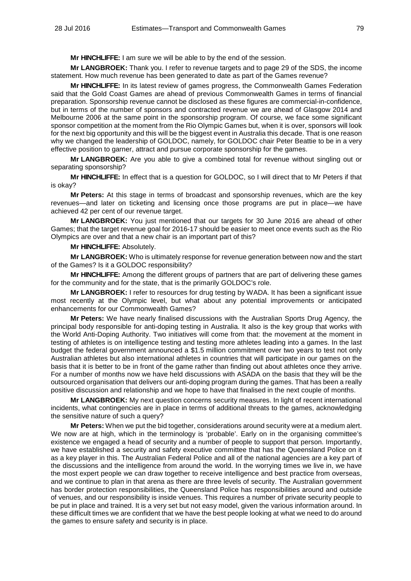**Mr HINCHLIFFE:** I am sure we will be able to by the end of the session.

**Mr LANGBROEK:** Thank you. I refer to revenue targets and to page 29 of the SDS, the income statement. How much revenue has been generated to date as part of the Games revenue?

**Mr HINCHLIFFE:** In its latest review of games progress, the Commonwealth Games Federation said that the Gold Coast Games are ahead of previous Commonwealth Games in terms of financial preparation. Sponsorship revenue cannot be disclosed as these figures are commercial-in-confidence, but in terms of the number of sponsors and contracted revenue we are ahead of Glasgow 2014 and Melbourne 2006 at the same point in the sponsorship program. Of course, we face some significant sponsor competition at the moment from the Rio Olympic Games but, when it is over, sponsors will look for the next big opportunity and this will be the biggest event in Australia this decade. That is one reason why we changed the leadership of GOLDOC, namely, for GOLDOC chair Peter Beattie to be in a very effective position to garner, attract and pursue corporate sponsorship for the games.

**Mr LANGBROEK:** Are you able to give a combined total for revenue without singling out or separating sponsorship?

**Mr HINCHLIFFE:** In effect that is a question for GOLDOC, so I will direct that to Mr Peters if that is okay?

**Mr Peters:** At this stage in terms of broadcast and sponsorship revenues, which are the key revenues—and later on ticketing and licensing once those programs are put in place—we have achieved 42 per cent of our revenue target.

**Mr LANGBROEK:** You just mentioned that our targets for 30 June 2016 are ahead of other Games; that the target revenue goal for 2016-17 should be easier to meet once events such as the Rio Olympics are over and that a new chair is an important part of this?

**Mr HINCHLIFFE:** Absolutely.

**Mr LANGBROEK:** Who is ultimately response for revenue generation between now and the start of the Games? Is it a GOLDOC responsibility?

**Mr HINCHLIFFE:** Among the different groups of partners that are part of delivering these games for the community and for the state, that is the primarily GOLDOC's role.

**Mr LANGBROEK:** I refer to resources for drug testing by WADA. It has been a significant issue most recently at the Olympic level, but what about any potential improvements or anticipated enhancements for our Commonwealth Games?

**Mr Peters:** We have nearly finalised discussions with the Australian Sports Drug Agency, the principal body responsible for anti-doping testing in Australia. It also is the key group that works with the World Anti-Doping Authority. Two initiatives will come from that: the movement at the moment in testing of athletes is on intelligence testing and testing more athletes leading into a games. In the last budget the federal government announced a \$1.5 million commitment over two years to test not only Australian athletes but also international athletes in countries that will participate in our games on the basis that it is better to be in front of the game rather than finding out about athletes once they arrive. For a number of months now we have held discussions with ASADA on the basis that they will be the outsourced organisation that delivers our anti-doping program during the games. That has been a really positive discussion and relationship and we hope to have that finalised in the next couple of months.

**Mr LANGBROEK:** My next question concerns security measures. In light of recent international incidents, what contingencies are in place in terms of additional threats to the games, acknowledging the sensitive nature of such a query?

**Mr Peters:** When we put the bid together, considerations around security were at a medium alert. We now are at high, which in the terminology is 'probable'. Early on in the organising committee's existence we engaged a head of security and a number of people to support that person. Importantly, we have established a security and safety executive committee that has the Queensland Police on it as a key player in this. The Australian Federal Police and all of the national agencies are a key part of the discussions and the intelligence from around the world. In the worrying times we live in, we have the most expert people we can draw together to receive intelligence and best practice from overseas, and we continue to plan in that arena as there are three levels of security. The Australian government has border protection responsibilities, the Queensland Police has responsibilities around and outside of venues, and our responsibility is inside venues. This requires a number of private security people to be put in place and trained. It is a very set but not easy model, given the various information around. In these difficult times we are confident that we have the best people looking at what we need to do around the games to ensure safety and security is in place.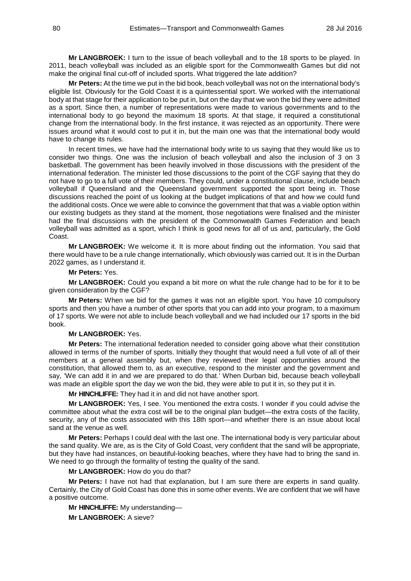**Mr LANGBROEK:** I turn to the issue of beach volleyball and to the 18 sports to be played. In 2011, beach volleyball was included as an eligible sport for the Commonwealth Games but did not make the original final cut-off of included sports. What triggered the late addition?

**Mr Peters:** At the time we put in the bid book, beach volleyball was not on the international body's eligible list. Obviously for the Gold Coast it is a quintessential sport. We worked with the international body at that stage for their application to be put in, but on the day that we won the bid they were admitted as a sport. Since then, a number of representations were made to various governments and to the international body to go beyond the maximum 18 sports. At that stage, it required a constitutional change from the international body. In the first instance, it was rejected as an opportunity. There were issues around what it would cost to put it in, but the main one was that the international body would have to change its rules.

In recent times, we have had the international body write to us saying that they would like us to consider two things. One was the inclusion of beach volleyball and also the inclusion of 3 on 3 basketball. The government has been heavily involved in those discussions with the president of the international federation. The minister led those discussions to the point of the CGF saying that they do not have to go to a full vote of their members. They could, under a constitutional clause, include beach volleyball if Queensland and the Queensland government supported the sport being in. Those discussions reached the point of us looking at the budget implications of that and how we could fund the additional costs. Once we were able to convince the government that that was a viable option within our existing budgets as they stand at the moment, those negotiations were finalised and the minister had the final discussions with the president of the Commonwealth Games Federation and beach volleyball was admitted as a sport, which I think is good news for all of us and, particularly, the Gold Coast.

**Mr LANGBROEK:** We welcome it. It is more about finding out the information. You said that there would have to be a rule change internationally, which obviously was carried out. It is in the Durban 2022 games, as I understand it.

## **Mr Peters:** Yes.

**Mr LANGBROEK:** Could you expand a bit more on what the rule change had to be for it to be given consideration by the CGF?

**Mr Peters:** When we bid for the games it was not an eligible sport. You have 10 compulsory sports and then you have a number of other sports that you can add into your program, to a maximum of 17 sports. We were not able to include beach volleyball and we had included our 17 sports in the bid book.

## **Mr LANGBROEK:** Yes.

**Mr Peters:** The international federation needed to consider going above what their constitution allowed in terms of the number of sports. Initially they thought that would need a full vote of all of their members at a general assembly but, when they reviewed their legal opportunities around the constitution, that allowed them to, as an executive, respond to the minister and the government and say, 'We can add it in and we are prepared to do that.' When Durban bid, because beach volleyball was made an eligible sport the day we won the bid, they were able to put it in, so they put it in.

**Mr HINCHLIFFE:** They had it in and did not have another sport.

**Mr LANGBROEK:** Yes, I see. You mentioned the extra costs. I wonder if you could advise the committee about what the extra cost will be to the original plan budget—the extra costs of the facility, security, any of the costs associated with this 18th sport—and whether there is an issue about local sand at the venue as well.

**Mr Peters:** Perhaps I could deal with the last one. The international body is very particular about the sand quality. We are, as is the City of Gold Coast, very confident that the sand will be appropriate, but they have had instances, on beautiful-looking beaches, where they have had to bring the sand in. We need to go through the formality of testing the quality of the sand.

**Mr LANGBROEK:** How do you do that?

**Mr Peters:** I have not had that explanation, but I am sure there are experts in sand quality. Certainly, the City of Gold Coast has done this in some other events. We are confident that we will have a positive outcome.

**Mr HINCHLIFFE:** My understanding—

**Mr LANGBROEK:** A sieve?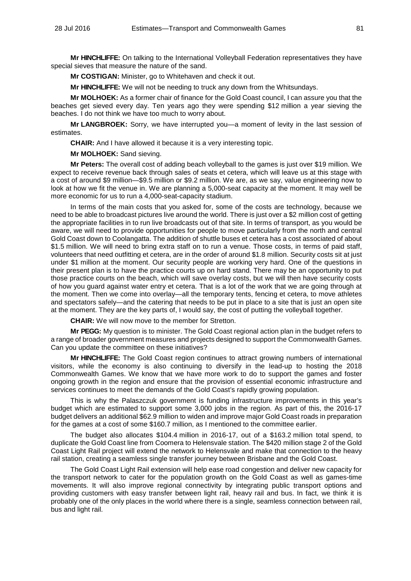**Mr HINCHLIFFE:** On talking to the International Volleyball Federation representatives they have special sieves that measure the nature of the sand.

**Mr COSTIGAN:** Minister, go to Whitehaven and check it out.

**Mr HINCHLIFFE:** We will not be needing to truck any down from the Whitsundays.

**Mr MOLHOEK:** As a former chair of finance for the Gold Coast council, I can assure you that the beaches get sieved every day. Ten years ago they were spending \$12 million a year sieving the beaches. I do not think we have too much to worry about.

**Mr LANGBROEK:** Sorry, we have interrupted you—a moment of levity in the last session of estimates.

**CHAIR:** And I have allowed it because it is a very interesting topic.

**Mr MOLHOEK:** Sand sieving.

**Mr Peters:** The overall cost of adding beach volleyball to the games is just over \$19 million. We expect to receive revenue back through sales of seats et cetera, which will leave us at this stage with a cost of around \$9 million—\$9.5 million or \$9.2 million. We are, as we say, value engineering now to look at how we fit the venue in. We are planning a 5,000-seat capacity at the moment. It may well be more economic for us to run a 4,000-seat-capacity stadium.

In terms of the main costs that you asked for, some of the costs are technology, because we need to be able to broadcast pictures live around the world. There is just over a \$2 million cost of getting the appropriate facilities in to run live broadcasts out of that site. In terms of transport, as you would be aware, we will need to provide opportunities for people to move particularly from the north and central Gold Coast down to Coolangatta. The addition of shuttle buses et cetera has a cost associated of about \$1.5 million. We will need to bring extra staff on to run a venue. Those costs, in terms of paid staff, volunteers that need outfitting et cetera, are in the order of around \$1.8 million. Security costs sit at just under \$1 million at the moment. Our security people are working very hard. One of the questions in their present plan is to have the practice courts up on hard stand. There may be an opportunity to put those practice courts on the beach, which will save overlay costs, but we will then have security costs of how you guard against water entry et cetera. That is a lot of the work that we are going through at the moment. Then we come into overlay—all the temporary tents, fencing et cetera, to move athletes and spectators safely—and the catering that needs to be put in place to a site that is just an open site at the moment. They are the key parts of, I would say, the cost of putting the volleyball together.

**CHAIR:** We will now move to the member for Stretton.

**Mr PEGG:** My question is to minister. The Gold Coast regional action plan in the budget refers to a range of broader government measures and projects designed to support the Commonwealth Games. Can you update the committee on these initiatives?

**Mr HINCHLIFFE:** The Gold Coast region continues to attract growing numbers of international visitors, while the economy is also continuing to diversify in the lead-up to hosting the 2018 Commonwealth Games. We know that we have more work to do to support the games and foster ongoing growth in the region and ensure that the provision of essential economic infrastructure and services continues to meet the demands of the Gold Coast's rapidly growing population.

This is why the Palaszczuk government is funding infrastructure improvements in this year's budget which are estimated to support some 3,000 jobs in the region. As part of this, the 2016-17 budget delivers an additional \$62.9 million to widen and improve major Gold Coast roads in preparation for the games at a cost of some \$160.7 million, as I mentioned to the committee earlier.

The budget also allocates \$104.4 million in 2016-17, out of a \$163.2 million total spend, to duplicate the Gold Coast line from Coomera to Helensvale station. The \$420 million stage 2 of the Gold Coast Light Rail project will extend the network to Helensvale and make that connection to the heavy rail station, creating a seamless single transfer journey between Brisbane and the Gold Coast.

The Gold Coast Light Rail extension will help ease road congestion and deliver new capacity for the transport network to cater for the population growth on the Gold Coast as well as games-time movements. It will also improve regional connectivity by integrating public transport options and providing customers with easy transfer between light rail, heavy rail and bus. In fact, we think it is probably one of the only places in the world where there is a single, seamless connection between rail, bus and light rail.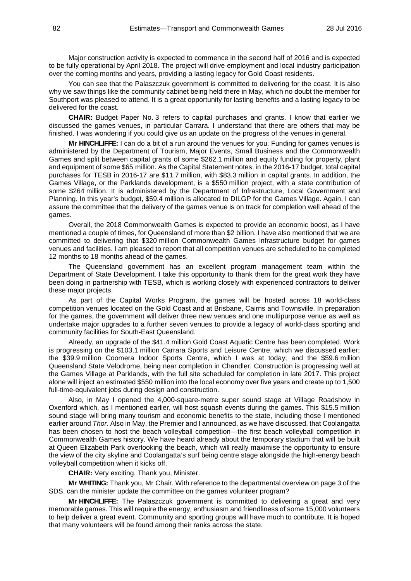Major construction activity is expected to commence in the second half of 2016 and is expected to be fully operational by April 2018. The project will drive employment and local industry participation over the coming months and years, providing a lasting legacy for Gold Coast residents.

You can see that the Palaszczuk government is committed to delivering for the coast. It is also why we saw things like the community cabinet being held there in May, which no doubt the member for Southport was pleased to attend. It is a great opportunity for lasting benefits and a lasting legacy to be delivered for the coast.

**CHAIR:** Budget Paper No. 3 refers to capital purchases and grants. I know that earlier we discussed the games venues, in particular Carrara. I understand that there are others that may be finished. I was wondering if you could give us an update on the progress of the venues in general.

**Mr HINCHLIFFE:** I can do a bit of a run around the venues for you. Funding for games venues is administered by the Department of Tourism, Major Events, Small Business and the Commonwealth Games and split between capital grants of some \$262.1 million and equity funding for property, plant and equipment of some \$65 million. As the Capital Statement notes, in the 2016-17 budget, total capital purchases for TESB in 2016-17 are \$11.7 million, with \$83.3 million in capital grants. In addition, the Games Village, or the Parklands development, is a \$550 million project, with a state contribution of some \$264 million. It is administered by the Department of Infrastructure, Local Government and Planning. In this year's budget, \$59.4 million is allocated to DILGP for the Games Village. Again, I can assure the committee that the delivery of the games venue is on track for completion well ahead of the games.

Overall, the 2018 Commonwealth Games is expected to provide an economic boost, as I have mentioned a couple of times, for Queensland of more than \$2 billion. I have also mentioned that we are committed to delivering that \$320 million Commonwealth Games infrastructure budget for games venues and facilities. I am pleased to report that all competition venues are scheduled to be completed 12 months to 18 months ahead of the games.

The Queensland government has an excellent program management team within the Department of State Development. I take this opportunity to thank them for the great work they have been doing in partnership with TESB, which is working closely with experienced contractors to deliver these major projects.

As part of the Capital Works Program, the games will be hosted across 18 world-class competition venues located on the Gold Coast and at Brisbane, Cairns and Townsville. In preparation for the games, the government will deliver three new venues and one multipurpose venue as well as undertake major upgrades to a further seven venues to provide a legacy of world-class sporting and community facilities for South-East Queensland.

Already, an upgrade of the \$41.4 million Gold Coast Aquatic Centre has been completed. Work is progressing on the \$103.1 million Carrara Sports and Leisure Centre, which we discussed earlier; the \$39.9 million Coomera Indoor Sports Centre, which I was at today; and the \$59.6 million Queensland State Velodrome, being near completion in Chandler. Construction is progressing well at the Games Village at Parklands, with the full site scheduled for completion in late 2017. This project alone will inject an estimated \$550 million into the local economy over five years and create up to 1,500 full-time-equivalent jobs during design and construction.

Also, in May I opened the 4,000-square-metre super sound stage at Village Roadshow in Oxenford which, as I mentioned earlier, will host squash events during the games. This \$15.5 million sound stage will bring many tourism and economic benefits to the state, including those I mentioned earlier around *Thor*. Also in May, the Premier and I announced, as we have discussed, that Coolangatta has been chosen to host the beach volleyball competition—the first beach volleyball competition in Commonwealth Games history. We have heard already about the temporary stadium that will be built at Queen Elizabeth Park overlooking the beach, which will really maximise the opportunity to ensure the view of the city skyline and Coolangatta's surf being centre stage alongside the high-energy beach volleyball competition when it kicks off.

**CHAIR:** Very exciting. Thank you, Minister.

**Mr WHITING:** Thank you, Mr Chair. With reference to the departmental overview on page 3 of the SDS, can the minister update the committee on the games volunteer program?

**Mr HINCHLIFFE:** The Palaszczuk government is committed to delivering a great and very memorable games. This will require the energy, enthusiasm and friendliness of some 15,000 volunteers to help deliver a great event. Community and sporting groups will have much to contribute. It is hoped that many volunteers will be found among their ranks across the state.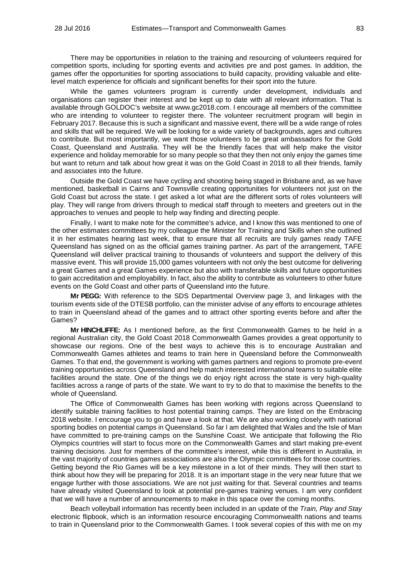There may be opportunities in relation to the training and resourcing of volunteers required for competition sports, including for sporting events and activities pre and post games. In addition, the games offer the opportunities for sporting associations to build capacity, providing valuable and elitelevel match experience for officials and significant benefits for their sport into the future.

While the games volunteers program is currently under development, individuals and organisations can register their interest and be kept up to date with all relevant information. That is available through GOLDOC's website at www.gc2018.com. I encourage all members of the committee who are intending to volunteer to register there. The volunteer recruitment program will begin in February 2017. Because this is such a significant and massive event, there will be a wide range of roles and skills that will be required. We will be looking for a wide variety of backgrounds, ages and cultures to contribute. But most importantly, we want those volunteers to be great ambassadors for the Gold Coast, Queensland and Australia. They will be the friendly faces that will help make the visitor experience and holiday memorable for so many people so that they then not only enjoy the games time but want to return and talk about how great it was on the Gold Coast in 2018 to all their friends, family and associates into the future.

Outside the Gold Coast we have cycling and shooting being staged in Brisbane and, as we have mentioned, basketball in Cairns and Townsville creating opportunities for volunteers not just on the Gold Coast but across the state. I get asked a lot what are the different sorts of roles volunteers will play. They will range from drivers through to medical staff through to meeters and greeters out in the approaches to venues and people to help way finding and directing people.

Finally, I want to make note for the committee's advice, and I know this was mentioned to one of the other estimates committees by my colleague the Minister for Training and Skills when she outlined it in her estimates hearing last week, that to ensure that all recruits are truly games ready TAFE Queensland has signed on as the official games training partner. As part of the arrangement, TAFE Queensland will deliver practical training to thousands of volunteers and support the delivery of this massive event. This will provide 15,000 games volunteers with not only the best outcome for delivering a great Games and a great Games experience but also with transferable skills and future opportunities to gain accreditation and employability. In fact, also the ability to contribute as volunteers to other future events on the Gold Coast and other parts of Queensland into the future.

**Mr PEGG:** With reference to the SDS Departmental Overview page 3, and linkages with the tourism events side of the DTESB portfolio, can the minister advise of any efforts to encourage athletes to train in Queensland ahead of the games and to attract other sporting events before and after the Games?

**Mr HINCHLIFFE:** As I mentioned before, as the first Commonwealth Games to be held in a regional Australian city, the Gold Coast 2018 Commonwealth Games provides a great opportunity to showcase our regions. One of the best ways to achieve this is to encourage Australian and Commonwealth Games athletes and teams to train here in Queensland before the Commonwealth Games. To that end, the government is working with games partners and regions to promote pre-event training opportunities across Queensland and help match interested international teams to suitable elite facilities around the state. One of the things we do enjoy right across the state is very high-quality facilities across a range of parts of the state. We want to try to do that to maximise the benefits to the whole of Queensland.

The Office of Commonwealth Games has been working with regions across Queensland to identify suitable training facilities to host potential training camps. They are listed on the Embracing 2018 website. I encourage you to go and have a look at that. We are also working closely with national sporting bodies on potential camps in Queensland. So far I am delighted that Wales and the Isle of Man have committed to pre-training camps on the Sunshine Coast. We anticipate that following the Rio Olympics countries will start to focus more on the Commonwealth Games and start making pre-event training decisions. Just for members of the committee's interest, while this is different in Australia, in the vast majority of countries games associations are also the Olympic committees for those countries. Getting beyond the Rio Games will be a key milestone in a lot of their minds. They will then start to think about how they will be preparing for 2018. It is an important stage in the very near future that we engage further with those associations. We are not just waiting for that. Several countries and teams have already visited Queensland to look at potential pre-games training venues. I am very confident that we will have a number of announcements to make in this space over the coming months.

Beach volleyball information has recently been included in an update of the *Train, Play and Stay*  electronic flipbook, which is an information resource encouraging Commonwealth nations and teams to train in Queensland prior to the Commonwealth Games. I took several copies of this with me on my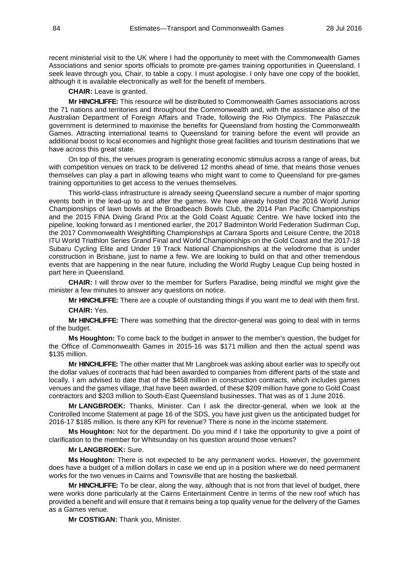recent ministerial visit to the UK where I had the opportunity to meet with the Commonwealth Games Associations and senior sports officials to promote pre-games training opportunities in Queensland. I seek leave through you, Chair, to table a copy. I must apologise. I only have one copy of the booklet, although it is available electronically as well for the benefit of members.

**CHAIR:** Leave is granted.

**Mr HINCHLIFFE:** This resource will be distributed to Commonwealth Games associations across the 71 nations and territories and throughout the Commonwealth and, with the assistance also of the Australian Department of Foreign Affairs and Trade, following the Rio Olympics. The Palaszczuk government is determined to maximise the benefits for Queensland from hosting the Commonwealth Games. Attracting international teams to Queensland for training before the event will provide an additional boost to local economies and highlight those great facilities and tourism destinations that we have across this great state.

On top of this, the venues program is generating economic stimulus across a range of areas, but with competition venues on track to be delivered 12 months ahead of time, that means those venues themselves can play a part in allowing teams who might want to come to Queensland for pre-games training opportunities to get access to the venues themselves.

This world-class infrastructure is already seeing Queensland secure a number of major sporting events both in the lead-up to and after the games. We have already hosted the 2016 World Junior Championships of lawn bowls at the Broadbeach Bowls Club, the 2014 Pan Pacific Championships and the 2015 FINA Diving Grand Prix at the Gold Coast Aquatic Centre. We have locked into the pipeline, looking forward as I mentioned earlier, the 2017 Badminton World Federation Sudirman Cup, the 2017 Commonwealth Weightlifting Championships at Carrara Sports and Leisure Centre, the 2018 ITU World Triathlon Series Grand Final and World Championships on the Gold Coast and the 2017-18 Subaru Cycling Elite and Under 19 Track National Championships at the velodrome that is under construction in Brisbane, just to name a few. We are looking to build on that and other tremendous events that are happening in the near future, including the World Rugby League Cup being hosted in part here in Queensland.

**CHAIR:** I will throw over to the member for Surfers Paradise, being mindful we might give the minister a few minutes to answer any questions on notice.

**Mr HINCHLIFFE:** There are a couple of outstanding things if you want me to deal with them first.

**CHAIR:** Yes.

**Mr HINCHLIFFE:** There was something that the director-general was going to deal with in terms of the budget.

**Ms Houghton:** To come back to the budget in answer to the member's question, the budget for the Office of Commonwealth Games in 2015-16 was \$171 million and then the actual spend was \$135 million.

**Mr HINCHLIFFE:** The other matter that Mr Langbroek was asking about earlier was to specify out the dollar values of contracts that had been awarded to companies from different parts of the state and locally. I am advised to date that of the \$458 million in construction contracts, which includes games venues and the games village, that have been awarded, of these \$209 million have gone to Gold Coast contractors and \$203 million to South-East Queensland businesses. That was as of 1 June 2016.

**Mr LANGBROEK:** Thanks, Minister. Can I ask the director-general, when we look at the Controlled Income Statement at page 16 of the SDS, you have just given us the anticipated budget for 2016-17 \$185 million. Is there any KPI for revenue? There is none in the income statement.

**Ms Houghton:** Not for the department. Do you mind if I take the opportunity to give a point of clarification to the member for Whitsunday on his question around those venues?

## **Mr LANGBROEK:** Sure.

**Ms Houghton:** There is not expected to be any permanent works. However, the government does have a budget of a million dollars in case we end up in a position where we do need permanent works for the two venues in Cairns and Townsville that are hosting the basketball.

**Mr HINCHLIFFE:** To be clear, along the way, although that is not from that level of budget, there were works done particularly at the Cairns Entertainment Centre in terms of the new roof which has provided a benefit and will ensure that it remains being a top quality venue for the delivery of the Games as a Games venue.

**Mr COSTIGAN:** Thank you, Minister.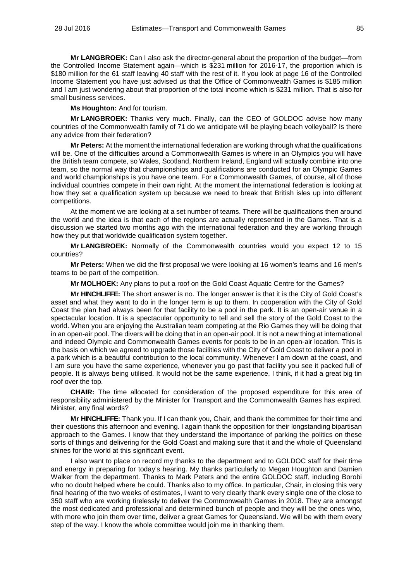**Mr LANGBROEK:** Can I also ask the director-general about the proportion of the budget—from the Controlled Income Statement again—which is \$231 million for 2016-17, the proportion which is \$180 million for the 61 staff leaving 40 staff with the rest of it. If you look at page 16 of the Controlled Income Statement you have just advised us that the Office of Commonwealth Games is \$185 million and I am just wondering about that proportion of the total income which is \$231 million. That is also for small business services.

**Ms Houghton:** And for tourism.

**Mr LANGBROEK:** Thanks very much. Finally, can the CEO of GOLDOC advise how many countries of the Commonwealth family of 71 do we anticipate will be playing beach volleyball? Is there any advice from their federation?

**Mr Peters:** At the moment the international federation are working through what the qualifications will be. One of the difficulties around a Commonwealth Games is where in an Olympics you will have the British team compete, so Wales, Scotland, Northern Ireland, England will actually combine into one team, so the normal way that championships and qualifications are conducted for an Olympic Games and world championships is you have one team. For a Commonwealth Games, of course, all of those individual countries compete in their own right. At the moment the international federation is looking at how they set a qualification system up because we need to break that British isles up into different competitions.

At the moment we are looking at a set number of teams. There will be qualifications then around the world and the idea is that each of the regions are actually represented in the Games. That is a discussion we started two months ago with the international federation and they are working through how they put that worldwide qualification system together.

**Mr LANGBROEK:** Normally of the Commonwealth countries would you expect 12 to 15 countries?

**Mr Peters:** When we did the first proposal we were looking at 16 women's teams and 16 men's teams to be part of the competition.

**Mr MOLHOEK:** Any plans to put a roof on the Gold Coast Aquatic Centre for the Games?

**Mr HINCHLIFFE:** The short answer is no. The longer answer is that it is the City of Gold Coast's asset and what they want to do in the longer term is up to them. In cooperation with the City of Gold Coast the plan had always been for that facility to be a pool in the park. It is an open-air venue in a spectacular location. It is a spectacular opportunity to tell and sell the story of the Gold Coast to the world. When you are enjoying the Australian team competing at the Rio Games they will be doing that in an open-air pool. The divers will be doing that in an open-air pool. It is not a new thing at international and indeed Olympic and Commonwealth Games events for pools to be in an open-air location. This is the basis on which we agreed to upgrade those facilities with the City of Gold Coast to deliver a pool in a park which is a beautiful contribution to the local community. Whenever I am down at the coast, and I am sure you have the same experience, whenever you go past that facility you see it packed full of people. It is always being utilised. It would not be the same experience, I think, if it had a great big tin roof over the top.

**CHAIR:** The time allocated for consideration of the proposed expenditure for this area of responsibility administered by the Minister for Transport and the Commonwealth Games has expired. Minister, any final words?

**Mr HINCHLIFFE:** Thank you. If I can thank you, Chair, and thank the committee for their time and their questions this afternoon and evening. I again thank the opposition for their longstanding bipartisan approach to the Games. I know that they understand the importance of parking the politics on these sorts of things and delivering for the Gold Coast and making sure that it and the whole of Queensland shines for the world at this significant event.

I also want to place on record my thanks to the department and to GOLDOC staff for their time and energy in preparing for today's hearing. My thanks particularly to Megan Houghton and Damien Walker from the department. Thanks to Mark Peters and the entire GOLDOC staff, including Borobi who no doubt helped where he could. Thanks also to my office. In particular, Chair, in closing this very final hearing of the two weeks of estimates, I want to very clearly thank every single one of the close to 350 staff who are working tirelessly to deliver the Commonwealth Games in 2018. They are amongst the most dedicated and professional and determined bunch of people and they will be the ones who, with more who join them over time, deliver a great Games for Queensland. We will be with them every step of the way. I know the whole committee would join me in thanking them.